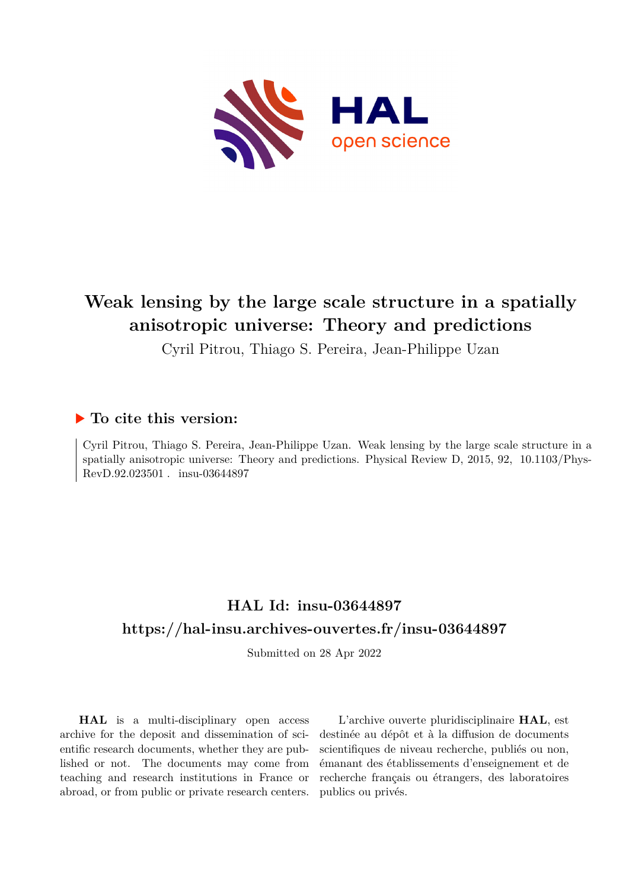

# **Weak lensing by the large scale structure in a spatially anisotropic universe: Theory and predictions**

Cyril Pitrou, Thiago S. Pereira, Jean-Philippe Uzan

# **To cite this version:**

Cyril Pitrou, Thiago S. Pereira, Jean-Philippe Uzan. Weak lensing by the large scale structure in a spatially anisotropic universe: Theory and predictions. Physical Review D, 2015, 92, 10.1103/Phys- $RevD.92.023501$ . insu-03644897

# **HAL Id: insu-03644897 <https://hal-insu.archives-ouvertes.fr/insu-03644897>**

Submitted on 28 Apr 2022

**HAL** is a multi-disciplinary open access archive for the deposit and dissemination of scientific research documents, whether they are published or not. The documents may come from teaching and research institutions in France or abroad, or from public or private research centers.

L'archive ouverte pluridisciplinaire **HAL**, est destinée au dépôt et à la diffusion de documents scientifiques de niveau recherche, publiés ou non, émanant des établissements d'enseignement et de recherche français ou étrangers, des laboratoires publics ou privés.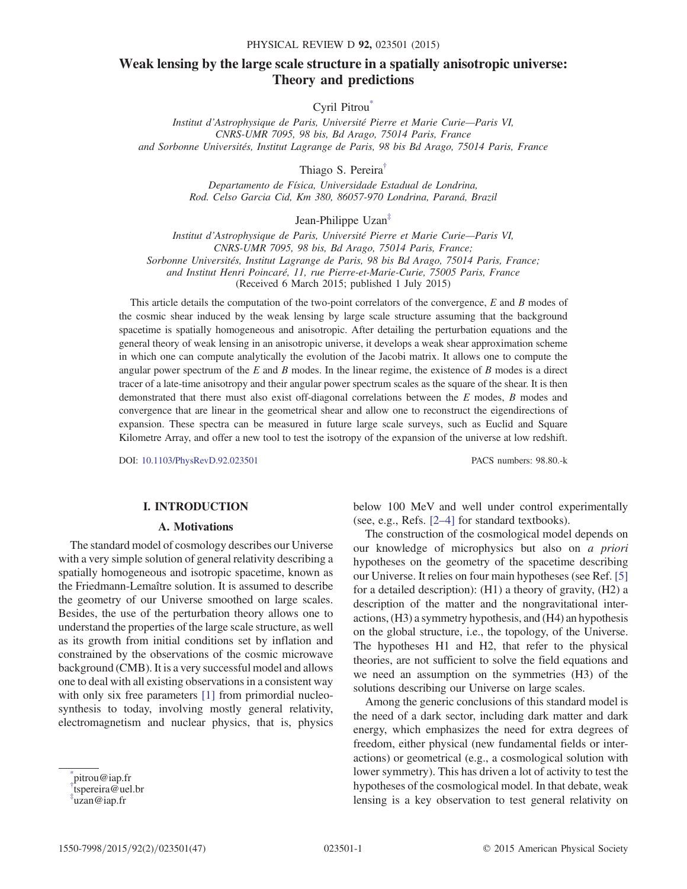# Weak lensing by the large scale structure in a spatially anisotropic universe: Theory and predictions

Cyril Pitrou<sup>\*</sup>

Institut d'Astrophysique de Paris, Université Pierre et Marie Curie—Paris VI, CNRS-UMR 7095, 98 bis, Bd Arago, 75014 Paris, France and Sorbonne Universités, Institut Lagrange de Paris, 98 bis Bd Arago, 75014 Paris, France

Thiago S. Pereira†

Departamento de Física, Universidade Estadual de Londrina, Rod. Celso Garcia Cid, Km 380, 86057-970 Londrina, Paraná, Brazil

Jean-Philippe Uzan‡

Institut d'Astrophysique de Paris, Université Pierre et Marie Curie—Paris VI, CNRS-UMR 7095, 98 bis, Bd Arago, 75014 Paris, France; Sorbonne Universités, Institut Lagrange de Paris, 98 bis Bd Arago, 75014 Paris, France; and Institut Henri Poincaré, 11, rue Pierre-et-Marie-Curie, 75005 Paris, France (Received 6 March 2015; published 1 July 2015)

This article details the computation of the two-point correlators of the convergence,  $E$  and  $B$  modes of the cosmic shear induced by the weak lensing by large scale structure assuming that the background spacetime is spatially homogeneous and anisotropic. After detailing the perturbation equations and the general theory of weak lensing in an anisotropic universe, it develops a weak shear approximation scheme in which one can compute analytically the evolution of the Jacobi matrix. It allows one to compute the angular power spectrum of the  $E$  and  $B$  modes. In the linear regime, the existence of  $B$  modes is a direct tracer of a late-time anisotropy and their angular power spectrum scales as the square of the shear. It is then demonstrated that there must also exist off-diagonal correlations between the E modes, B modes and convergence that are linear in the geometrical shear and allow one to reconstruct the eigendirections of expansion. These spectra can be measured in future large scale surveys, such as Euclid and Square Kilometre Array, and offer a new tool to test the isotropy of the expansion of the universe at low redshift.

DOI: [10.1103/PhysRevD.92.023501](http://dx.doi.org/10.1103/PhysRevD.92.023501) PACS numbers: 98.80.-k

# I. INTRODUCTION

# A. Motivations

The standard model of cosmology describes our Universe with a very simple solution of general relativity describing a spatially homogeneous and isotropic spacetime, known as the Friedmann-Lemaître solution. It is assumed to describe the geometry of our Universe smoothed on large scales. Besides, the use of the perturbation theory allows one to understand the properties of the large scale structure, as well as its growth from initial conditions set by inflation and constrained by the observations of the cosmic microwave background (CMB). It is a very successful model and allows one to deal with all existing observations in a consistent way with only six free parameters [1] from primordial nucleosynthesis to today, involving mostly general relativity, electromagnetism and nuclear physics, that is, physics

below 100 MeV and well under control experimentally (see, e.g., Refs. [2–4] for standard textbooks).

The construction of the cosmological model depends on our knowledge of microphysics but also on a priori hypotheses on the geometry of the spacetime describing our Universe. It relies on four main hypotheses (see Ref. [5] for a detailed description): (H1) a theory of gravity, (H2) a description of the matter and the nongravitational interactions, (H3) a symmetry hypothesis, and (H4) an hypothesis on the global structure, i.e., the topology, of the Universe. The hypotheses H1 and H2, that refer to the physical theories, are not sufficient to solve the field equations and we need an assumption on the symmetries (H3) of the solutions describing our Universe on large scales.

Among the generic conclusions of this standard model is the need of a dark sector, including dark matter and dark energy, which emphasizes the need for extra degrees of freedom, either physical (new fundamental fields or interactions) or geometrical (e.g., a cosmological solution with lower symmetry). This has driven a lot of activity to test the hypotheses of the cosmological model. In that debate, weak lensing is a key observation to test general relativity on

<sup>\*</sup> pitrou@iap.fr

<sup>†</sup> tspereira@uel.br

<sup>‡</sup> uzan@iap.fr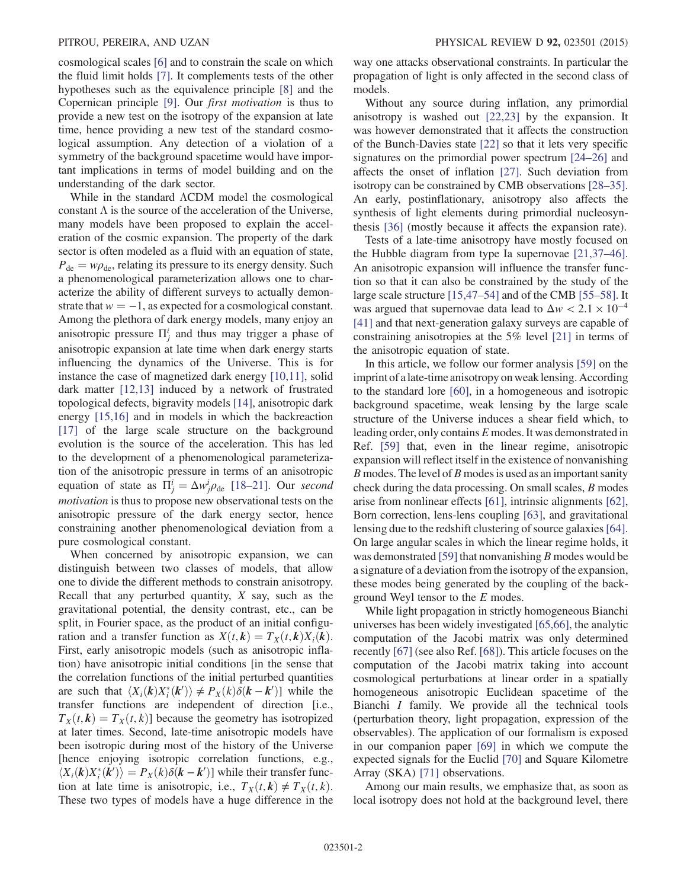cosmological scales [6] and to constrain the scale on which the fluid limit holds [7]. It complements tests of the other hypotheses such as the equivalence principle [8] and the Copernican principle [9]. Our first motivation is thus to provide a new test on the isotropy of the expansion at late time, hence providing a new test of the standard cosmological assumption. Any detection of a violation of a symmetry of the background spacetime would have important implications in terms of model building and on the understanding of the dark sector.

While in the standard ΛCDM model the cosmological constant  $\Lambda$  is the source of the acceleration of the Universe, many models have been proposed to explain the acceleration of the cosmic expansion. The property of the dark sector is often modeled as a fluid with an equation of state,  $P_{de} = w \rho_{de}$ , relating its pressure to its energy density. Such a phenomenological parameterization allows one to characterize the ability of different surveys to actually demonstrate that  $w = -1$ , as expected for a cosmological constant. Among the plethora of dark energy models, many enjoy an anisotropic pressure  $\Pi_j^i$  and thus may trigger a phase of anisotropic expansion at late time when dark energy starts influencing the dynamics of the Universe. This is for instance the case of magnetized dark energy [10,11], solid dark matter [12,13] induced by a network of frustrated topological defects, bigravity models [14], anisotropic dark energy [15,16] and in models in which the backreaction [17] of the large scale structure on the background evolution is the source of the acceleration. This has led to the development of a phenomenological parameterization of the anisotropic pressure in terms of an anisotropic equation of state as  $\Pi_j^i = \Delta w_j^i \rho_{\text{de}}$  [18–21]. Our second motivation is thus to propose new observational tests on the anisotropic pressure of the dark energy sector, hence constraining another phenomenological deviation from a pure cosmological constant.

When concerned by anisotropic expansion, we can distinguish between two classes of models, that allow one to divide the different methods to constrain anisotropy. Recall that any perturbed quantity,  $X$  say, such as the gravitational potential, the density contrast, etc., can be split, in Fourier space, as the product of an initial configuration and a transfer function as  $X(t, \mathbf{k}) = T_X(t, \mathbf{k})X_i(\mathbf{k})$ . First, early anisotropic models (such as anisotropic inflation) have anisotropic initial conditions [in the sense that the correlation functions of the initial perturbed quantities are such that  $\langle X_i(\mathbf{k})X_i^*(\mathbf{k}')\rangle \neq P_X(k)\delta(\mathbf{k}-\mathbf{k}')$ ] while the transfer functions are independent of direction lie transfer functions are independent of direction [i.e.,  $T_X(t, \mathbf{k}) = T_X(t, k)$  because the geometry has isotropized at later times. Second, late-time anisotropic models have been isotropic during most of the history of the Universe [hence enjoying isotropic correlation functions, e.g.,  $\langle X_i(\mathbf{k})X_i^*(\mathbf{k}')\rangle = P_X(k)\delta(\mathbf{k} - \mathbf{k}')$ ] while their transfer func-<br>tion at late time is anisotropic i.e.  $T_Y(\mathbf{k}) \neq T_Y(\mathbf{k})$ tion at late time is anisotropic, i.e.,  $T_X(t, k) \neq T_X(t, k)$ . These two types of models have a huge difference in the way one attacks observational constraints. In particular the propagation of light is only affected in the second class of models.

Without any source during inflation, any primordial anisotropy is washed out [22,23] by the expansion. It was however demonstrated that it affects the construction of the Bunch-Davies state [22] so that it lets very specific signatures on the primordial power spectrum [24–26] and affects the onset of inflation [27]. Such deviation from isotropy can be constrained by CMB observations [28–35]. An early, postinflationary, anisotropy also affects the synthesis of light elements during primordial nucleosynthesis [36] (mostly because it affects the expansion rate).

Tests of a late-time anisotropy have mostly focused on the Hubble diagram from type Ia supernovae [21,37–46]. An anisotropic expansion will influence the transfer function so that it can also be constrained by the study of the large scale structure [15,47–54] and of the CMB [55–58]. It was argued that supernovae data lead to  $\Delta w < 2.1 \times 10^{-4}$ [41] and that next-generation galaxy surveys are capable of constraining anisotropies at the 5% level [21] in terms of the anisotropic equation of state.

In this article, we follow our former analysis [59] on the imprint of a late-time anisotropy on weak lensing. According to the standard lore [60], in a homogeneous and isotropic background spacetime, weak lensing by the large scale structure of the Universe induces a shear field which, to leading order, only contains  $E$  modes. It was demonstrated in Ref. [59] that, even in the linear regime, anisotropic expansion will reflect itself in the existence of nonvanishing  $B$  modes. The level of  $B$  modes is used as an important sanity check during the data processing. On small scales, B modes arise from nonlinear effects [61], intrinsic alignments [62], Born correction, lens-lens coupling [63], and gravitational lensing due to the redshift clustering of source galaxies [64]. On large angular scales in which the linear regime holds, it was demonstrated [59] that nonvanishing  $B$  modes would be a signature of a deviation from the isotropy of the expansion, these modes being generated by the coupling of the background Weyl tensor to the E modes.

While light propagation in strictly homogeneous Bianchi universes has been widely investigated [65,66], the analytic computation of the Jacobi matrix was only determined recently [67] (see also Ref. [68]). This article focuses on the computation of the Jacobi matrix taking into account cosmological perturbations at linear order in a spatially homogeneous anisotropic Euclidean spacetime of the Bianchi I family. We provide all the technical tools (perturbation theory, light propagation, expression of the observables). The application of our formalism is exposed in our companion paper [69] in which we compute the expected signals for the Euclid [70] and Square Kilometre Array (SKA) [71] observations.

Among our main results, we emphasize that, as soon as local isotropy does not hold at the background level, there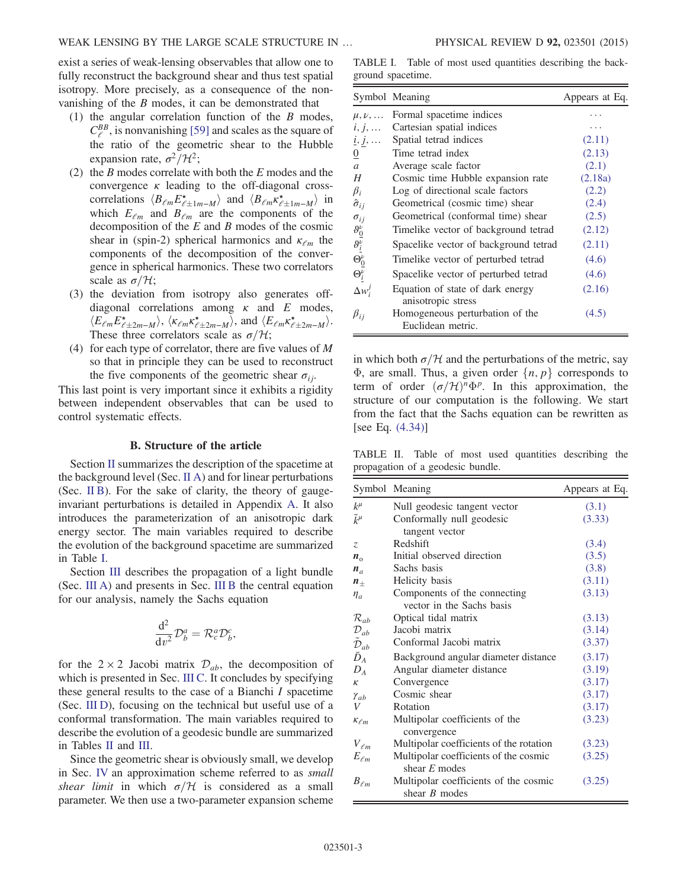exist a series of weak-lensing observables that allow one to fully reconstruct the background shear and thus test spatial isotropy. More precisely, as a consequence of the nonvanishing of the B modes, it can be demonstrated that

- (1) the angular correlation function of the B modes,  $C_{\ell}^{BB}$ , is nonvanishing [59] and scales as the square of the ratio of the geometric shear to the Hubble expansion rate,  $\sigma^2/\mathcal{H}^2$ ;
- (2) the B modes correlate with both the  $E$  modes and the convergence  $\kappa$  leading to the off-diagonal crosscorrelations  $\langle B_{\ell m} E_{\ell \pm 1m-M}^* \rangle$  and  $\langle B_{\ell m} K_{\ell \pm 1m-M}^* \rangle$  in<br>which  $F_{\ell m}$  and  $B_{\ell m}$  are the components of the which  $E_{\ell m}$  and  $B_{\ell m}$  are the components of the decomposition of the  $E$  and  $B$  modes of the cosmic shear in (spin-2) spherical harmonics and  $\kappa_{\ell m}$  the components of the decomposition of the convergence in spherical harmonics. These two correlators scale as  $\sigma/\mathcal{H}$ ;
- (3) the deviation from isotropy also generates offdiagonal correlations among  $\kappa$  and  $E$  modes,  $\langle E_{\ell m} E_{\ell \pm 2m-M}^* \rangle$ ,  $\langle \kappa_{\ell m} \kappa_{\ell \pm 2m-M}^* \rangle$ , and  $\langle E_{\ell m} \kappa_{\ell \pm 2m-M}^* \rangle$ .<br>These three correlators scale as  $\sigma / H$ . These three correlators scale as  $\sigma/\mathcal{H}$ ;
- (4) for each type of correlator, there are five values of M so that in principle they can be used to reconstruct the five components of the geometric shear  $\sigma_{ij}$ .

This last point is very important since it exhibits a rigidity between independent observables that can be used to control systematic effects.

#### B. Structure of the article

Section II summarizes the description of the spacetime at the background level (Sec. II A) and for linear perturbations (Sec. II B). For the sake of clarity, the theory of gaugeinvariant perturbations is detailed in Appendix A. It also introduces the parameterization of an anisotropic dark energy sector. The main variables required to describe the evolution of the background spacetime are summarized in Table I.

Section III describes the propagation of a light bundle (Sec. III A) and presents in Sec. III B the central equation for our analysis, namely the Sachs equation

$$
\frac{\mathrm{d}^2}{\mathrm{d}v^2}\mathcal{D}_b^a = \mathcal{R}_c^a \mathcal{D}_b^c,
$$

for the  $2 \times 2$  Jacobi matrix  $\mathcal{D}_{ab}$ , the decomposition of which is presented in Sec. III C. It concludes by specifying these general results to the case of a Bianchi I spacetime (Sec. III D), focusing on the technical but useful use of a conformal transformation. The main variables required to describe the evolution of a geodesic bundle are summarized in Tables II and III.

Since the geometric shear is obviously small, we develop in Sec. IV an approximation scheme referred to as small shear limit in which  $\sigma/H$  is considered as a small parameter. We then use a two-parameter expansion scheme

TABLE I. Table of most used quantities describing the background spacetime.

|                                                                                       | Symbol Meaning                                                             | Appears at Eq. |
|---------------------------------------------------------------------------------------|----------------------------------------------------------------------------|----------------|
| $\mu, \nu, \ldots$                                                                    | Formal spacetime indices                                                   |                |
| $i, j, \ldots$                                                                        | Cartesian spatial indices                                                  | .              |
| $\underline{i}, \underline{j}, \dots$                                                 | Spatial tetrad indices                                                     | (2.11)         |
| $\overline{0}$                                                                        | Time tetrad index                                                          | (2.13)         |
| $\overline{a}$                                                                        | Average scale factor                                                       | (2.1)          |
| Н                                                                                     | Cosmic time Hubble expansion rate                                          | (2.18a)        |
| $\beta_i$                                                                             | Log of directional scale factors                                           | (2.2)          |
| $\hat{\sigma}_{ij}$                                                                   | Geometrical (cosmic time) shear                                            | (2.4)          |
| $\sigma_{ij}$                                                                         | Geometrical (conformal time) shear                                         | (2.5)          |
|                                                                                       | Timelike vector of background tetrad                                       | (2.12)         |
| $\frac{\partial_0^{\nu}}{\partial_i^{\nu}} \frac{\partial_0^{\nu}}{\partial_0^{\nu}}$ | Spacelike vector of background tetrad                                      | (2.11)         |
|                                                                                       | Timelike vector of perturbed tetrad                                        | (4.6)          |
|                                                                                       | Spacelike vector of perturbed tetrad                                       | (4.6)          |
| $\Delta w_i^j$                                                                        | Equation of state of dark energy                                           | (2.16)         |
| $\beta_{ij}$                                                                          | anisotropic stress<br>Homogeneous perturbation of the<br>Euclidean metric. | (4.5)          |

in which both  $\sigma/H$  and the perturbations of the metric, say  $Φ$ , are small. Thus, a given order  ${n, p}$  corresponds to term of order  $(\sigma/\mathcal{H})^n\Phi^p$ . In this approximation, the structure of our computation is the following. We start from the fact that the Sachs equation can be rewritten as [see Eq. (4.34)]

TABLE II. Table of most used quantities describing the propagation of a geodesic bundle.

|                            | Symbol Meaning                          | Appears at Eq. |
|----------------------------|-----------------------------------------|----------------|
| $k^{\mu}$                  | Null geodesic tangent vector            | (3.1)          |
| $\tilde{k}^{\mu}$          | Conformally null geodesic               | (3.33)         |
|                            | tangent vector                          |                |
| Z.                         | Redshift                                | (3.4)          |
| $n_{\rm o}$                | Initial observed direction              | (3.5)          |
| $n_{a}$                    | Sachs basis                             | (3.8)          |
| $n_{+}$                    | Helicity basis                          | (3.11)         |
| $\eta_a$                   | Components of the connecting            | (3.13)         |
|                            | vector in the Sachs basis               |                |
| $\mathcal{R}_{ab}$         | Optical tidal matrix                    | (3.13)         |
| $\mathcal{D}_{ab}$         | Jacobi matrix                           | (3.14)         |
| $\tilde{\mathcal{D}}_{ab}$ | Conformal Jacobi matrix                 | (3.37)         |
| $\bar{D}_A$                | Background angular diameter distance    | (3.17)         |
| $D_A$                      | Angular diameter distance               | (3.19)         |
| $\kappa$                   | Convergence                             | (3.17)         |
| $\gamma_{ab}$              | Cosmic shear                            | (3.17)         |
| V                          | Rotation                                | (3.17)         |
| $K_{\ell,m}$               | Multipolar coefficients of the          | (3.23)         |
|                            | convergence                             |                |
| $V_{\ell m}$               | Multipolar coefficients of the rotation | (3.23)         |
| $E_{\ell m}$               | Multipolar coefficients of the cosmic   | (3.25)         |
|                            | shear $E$ modes                         |                |
| $B_{\ell m}$               | Multipolar coefficients of the cosmic   | (3.25)         |
|                            | shear $B$ modes                         |                |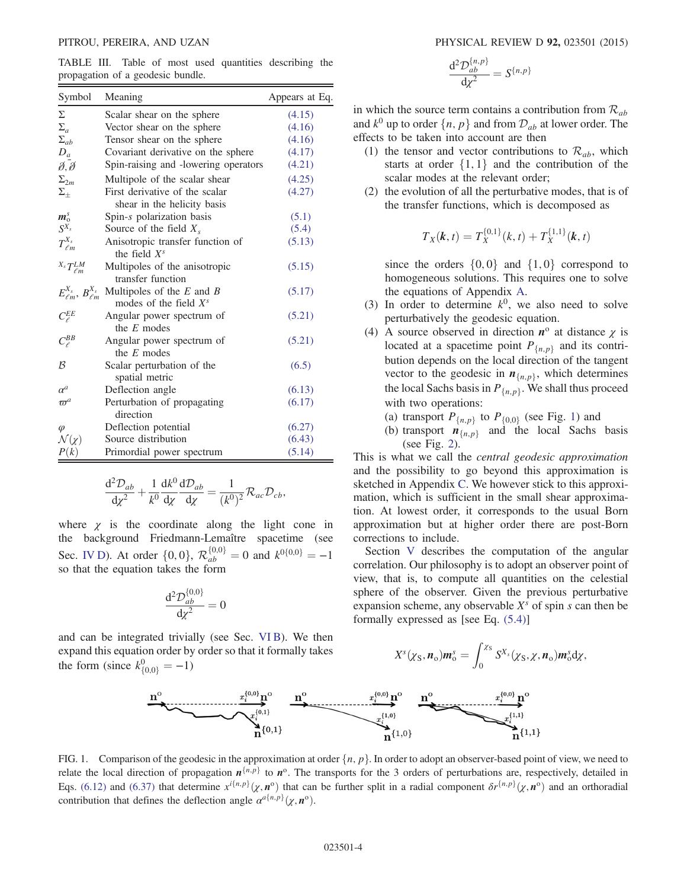TABLE III. Table of most used quantities describing the propagation of a geodesic bundle.

| Symbol                               | Meaning                                            | Appears at Eq. |
|--------------------------------------|----------------------------------------------------|----------------|
| Σ                                    | Scalar shear on the sphere                         | (4.15)         |
| $\Sigma_a$                           | Vector shear on the sphere                         | (4.16)         |
| $\Sigma_{ab}$                        | Tensor shear on the sphere                         | (4.16)         |
| $D_a$                                | Covariant derivative on the sphere                 | (4.17)         |
| $\partial, \overline{\partial}$      | Spin-raising and -lowering operators               | (4.21)         |
| $\Sigma_{2m}$                        | Multipole of the scalar shear                      | (4.25)         |
| $\Sigma_+$                           | First derivative of the scalar                     | (4.27)         |
|                                      | shear in the helicity basis                        |                |
| $m_{\rm o}^{\rm s}$                  | Spin-s polarization basis                          | (5.1)          |
| $S^{X_s}$                            | Source of the field $X_s$                          | (5.4)          |
| $T^{X_s}_{\ell m}$                   | Anisotropic transfer function of                   | (5.13)         |
|                                      | the field $X^s$                                    |                |
| $X_s T_{\ell m}^{LM}$                | Multipoles of the anisotropic<br>transfer function | (5.15)         |
| $E_{\ell m}^{X_s}, B_{\ell m}^{X_s}$ | Multipoles of the $E$ and $B$                      | (5.17)         |
|                                      | modes of the field $Xs$                            |                |
| $C_{\ell}^{EE}$                      | Angular power spectrum of<br>the $E$ modes         | (5.21)         |
| $C^{BB}_{\ell}$                      | Angular power spectrum of<br>the $E$ modes         | (5.21)         |
| ß                                    | Scalar perturbation of the<br>spatial metric       | (6.5)          |
| $\alpha^a$                           | Deflection angle                                   | (6.13)         |
| $\varpi^a$                           | Perturbation of propagating                        | (6.17)         |
|                                      | direction                                          |                |
| $\varphi$                            | Deflection potential                               | (6.27)         |
| $\mathcal{N}(\chi)$                  | Source distribution                                | (6.43)         |
| P(k)                                 | Primordial power spectrum                          | (5.14)         |

$$
\frac{\mathrm{d}^2 \mathcal{D}_{ab}}{\mathrm{d} \chi^2} + \frac{1}{k^0} \frac{\mathrm{d} k^0}{\mathrm{d} \chi} \frac{\mathrm{d} \mathcal{D}_{ab}}{\mathrm{d} \chi} = \frac{1}{(k^0)^2} \mathcal{R}_{ac} \mathcal{D}_{cb},
$$

where  $\chi$  is the coordinate along the light cone in the background Friedmann-Lemaître spacetime (see Sec. IV D). At order  $\{0,0\}$ ,  $\mathcal{R}_{ab}^{\{0,0\}} = 0$  and  $k^{0\{0,0\}} = -1$ so that the equation takes the form

$$
\frac{\mathrm{d}^2 \mathcal{D}_{ab}^{\{0,0\}}}{\mathrm{d} \chi^2} = 0
$$

and can be integrated trivially (see Sec. VI B). We then expand this equation order by order so that it formally takes the form (since  $k_{\{0,0\}}^0 = -1$ )

$$
\frac{\mathrm{d}^2\mathcal{D}_{ab}^{\{n,p\}}}{\mathrm{d} \chi^2}=S^{\{n,p\}}
$$

in which the source term contains a contribution from  $\mathcal{R}_{ab}$ and  $k^0$  up to order  $\{n, p\}$  and from  $\mathcal{D}_{ab}$  at lower order. The effects to be taken into account are then

- (1) the tensor and vector contributions to  $\mathcal{R}_{ab}$ , which starts at order  $\{1, 1\}$  and the contribution of the scalar modes at the relevant order;
- (2) the evolution of all the perturbative modes, that is of the transfer functions, which is decomposed as

$$
T_X(\mathbf{k},t) = T_X^{\{0,1\}}(k,t) + T_X^{\{1,1\}}(\mathbf{k},t)
$$

since the orders  $\{0, 0\}$  and  $\{1, 0\}$  correspond to homogeneous solutions. This requires one to solve the equations of Appendix A.

- (3) In order to determine  $k^0$ , we also need to solve perturbatively the geodesic equation.
- (4) A source observed in direction  $n^{\circ}$  at distance  $\chi$  is located at a spacetime point  $P_{\{n,p\}}$  and its contribution depends on the local direction of the tangent vector to the geodesic in  $n_{\{n,p\}}$ , which determines the local Sachs basis in  $P_{\{n,p\}}$ . We shall thus proceed with two operations:
	- (a) transport  $P_{\{n,p\}}$  to  $P_{\{0,0\}}$  (see Fig. 1) and
	- (b) transport  $n_{\{n,p\}}$  and the local Sachs basis (see Fig. 2).

This is what we call the central geodesic approximation and the possibility to go beyond this approximation is sketched in Appendix C. We however stick to this approximation, which is sufficient in the small shear approximation. At lowest order, it corresponds to the usual Born approximation but at higher order there are post-Born corrections to include.

Section V describes the computation of the angular correlation. Our philosophy is to adopt an observer point of view, that is, to compute all quantities on the celestial sphere of the observer. Given the previous perturbative expansion scheme, any observable  $X<sup>s</sup>$  of spin s can then be formally expressed as [see Eq. (5.4)]

$$
X^{s}(\chi_{\mathsf{S}}, \mathbf{n}_{\mathsf{o}})\mathbf{m}_{\mathsf{o}}^{s} = \int_{0}^{\chi_{\mathsf{S}}} S^{X_{s}}(\chi_{\mathsf{S}}, \chi, \mathbf{n}_{\mathsf{o}})\mathbf{m}_{\mathsf{o}}^{s} \mathrm{d}\chi,
$$



FIG. 1. Comparison of the geodesic in the approximation at order  $\{n, p\}$ . In order to adopt an observer-based point of view, we need to relate the local direction of propagation  $n^{\{n,p\}}$  to  $n^{\circ}$ . The transports for the 3 orders of perturbations are, respectively, detailed in Eqs. (6.12) and (6.37) that determine  $x^{i\{n,p\}}(\chi, n^{\circ})$  that can be further split in a radial component  $\delta r^{\{n,p\}}(\chi, n^{\circ})$  and an orthoradial contribution that defines the deflection angle  $\alpha^{a\{n,p\}}(\chi, n^{\circ})$ .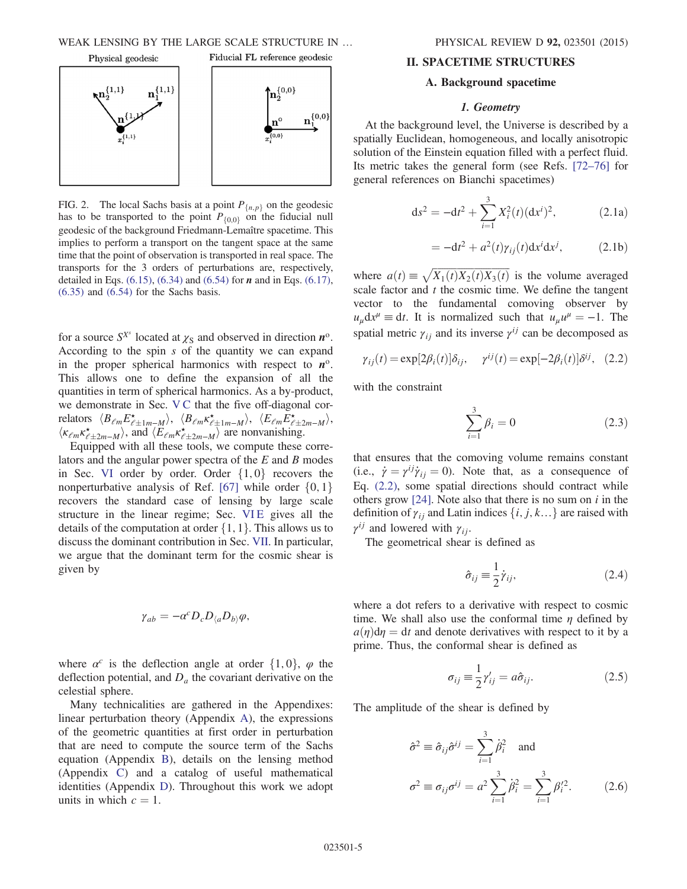

FIG. 2. The local Sachs basis at a point  $P_{\{n,p\}}$  on the geodesic has to be transported to the point  $P_{\{0,0\}}$  on the fiducial null geodesic of the background Friedmann-Lemaître spacetime. This implies to perform a transport on the tangent space at the same time that the point of observation is transported in real space. The transports for the 3 orders of perturbations are, respectively, detailed in Eqs.  $(6.15)$ ,  $(6.34)$  and  $(6.54)$  for *n* and in Eqs.  $(6.17)$ ,  $(6.35)$  and  $(6.54)$  for the Sachs basis.

for a source  $S^{X^s}$  located at  $\chi_S$  and observed in direction  $n^{\circ}$ . According to the spin s of the quantity we can expand in the proper spherical harmonics with respect to  $n^{\circ}$ . This allows one to define the expansion of all the quantities in term of spherical harmonics. As a by-product, we demonstrate in Sec. V C that the five off-diagonal correlators  $\langle B_{\ell m} E_{\ell \pm 1m-M}^{\star} \rangle$ ,  $\langle B_{\ell m} K_{\ell \pm 1m-M}^{\star} \rangle$ ,  $\langle E_{\ell m} E_{\ell \pm 2m-M}^{\star} \rangle$ ,  $\langle E_{\ell m} K_{\ell \pm 1m-M}^{\star} \rangle$ ,  $\langle E_{\ell m} E_{\ell \pm 2m-M}^{\star} \rangle$ ,  $\langle k_{\ell m} \kappa_{\pm 2m-M}^* \rangle$ , and  $\langle E_{\ell m} \kappa_{\pm 2m-M}^* \rangle$  are nonvanishing.<br>Fourinned with all these tools, we compute these

Equipped with all these tools, we compute these correlators and the angular power spectra of the  $E$  and  $B$  modes in Sec. VI order by order. Order  $\{1,0\}$  recovers the nonperturbative analysis of Ref. [67] while order  $\{0, 1\}$ recovers the standard case of lensing by large scale structure in the linear regime; Sec. VIE gives all the details of the computation at order  $\{1, 1\}$ . This allows us to discuss the dominant contribution in Sec. VII. In particular, we argue that the dominant term for the cosmic shear is given by

$$
\gamma_{ab} = -\alpha^c D_c D_{\langle a} D_{b \rangle} \varphi,
$$

where  $\alpha^c$  is the deflection angle at order  $\{1,0\}$ ,  $\varphi$  the deflection potential, and  $D_a$  the covariant derivative on the celestial sphere.

Many technicalities are gathered in the Appendixes: linear perturbation theory (Appendix A), the expressions of the geometric quantities at first order in perturbation that are need to compute the source term of the Sachs equation (Appendix B), details on the lensing method (Appendix C) and a catalog of useful mathematical identities (Appendix D). Throughout this work we adopt units in which  $c = 1$ .

# II. SPACETIME STRUCTURES

# A. Background spacetime

# 1. Geometry

At the background level, the Universe is described by a spatially Euclidean, homogeneous, and locally anisotropic solution of the Einstein equation filled with a perfect fluid. Its metric takes the general form (see Refs. [72–76] for general references on Bianchi spacetimes)

$$
ds^{2} = -dt^{2} + \sum_{i=1}^{3} X_{i}^{2}(t)(dx^{i})^{2},
$$
 (2.1a)

$$
=-dt^2 + a^2(t)\gamma_{ij}(t)dx^i dx^j, \qquad (2.1b)
$$

where  $a(t) \equiv \sqrt{X_1(t)X_2(t)X_3(t)}$  is the volume averaged scale factor and t the cosmic time. We define the tangent scale factor and  $t$  the cosmic time. We define the tangent vector to the fundamental comoving observer by  $u_{\mu}dx^{\mu} \equiv dt$ . It is normalized such that  $u_{\mu}u^{\mu} = -1$ . The spatial metric  $\gamma_{ij}$  and its inverse  $\gamma^{ij}$  can be decomposed as

$$
\gamma_{ij}(t) = \exp[2\beta_i(t)]\delta_{ij}, \quad \gamma^{ij}(t) = \exp[-2\beta_i(t)]\delta^{ij}, \quad (2.2)
$$

with the constraint

$$
\sum_{i=1}^{3} \beta_i = 0
$$
 (2.3)

that ensures that the comoving volume remains constant (i.e.,  $\dot{\gamma} = \gamma^{ij} \dot{\gamma}_{ij} = 0$ ). Note that, as a consequence of Eq. (2.2), some spatial directions should contract while others grow  $[24]$ . Note also that there is no sum on i in the definition of  $\gamma_{ij}$  and Latin indices  $\{i, j, k...\}$  are raised with  $\gamma^{ij}$  and lowered with  $\gamma_{ij}$ .

The geometrical shear is defined as

$$
\hat{\sigma}_{ij} \equiv \frac{1}{2} \dot{\gamma}_{ij},\tag{2.4}
$$

where a dot refers to a derivative with respect to cosmic time. We shall also use the conformal time  $\eta$  defined by  $a(\eta)d\eta = dt$  and denote derivatives with respect to it by a prime. Thus, the conformal shear is defined as

$$
\sigma_{ij} \equiv \frac{1}{2} \gamma'_{ij} = a \hat{\sigma}_{ij}.
$$
 (2.5)

The amplitude of the shear is defined by

$$
\hat{\sigma}^2 \equiv \hat{\sigma}_{ij}\hat{\sigma}^{ij} = \sum_{i=1}^3 \dot{\beta}_i^2 \text{ and}
$$

$$
\sigma^2 \equiv \sigma_{ij}\sigma^{ij} = a^2 \sum_{i=1}^3 \dot{\beta}_i^2 = \sum_{i=1}^3 \beta_i^2. \qquad (2.6)
$$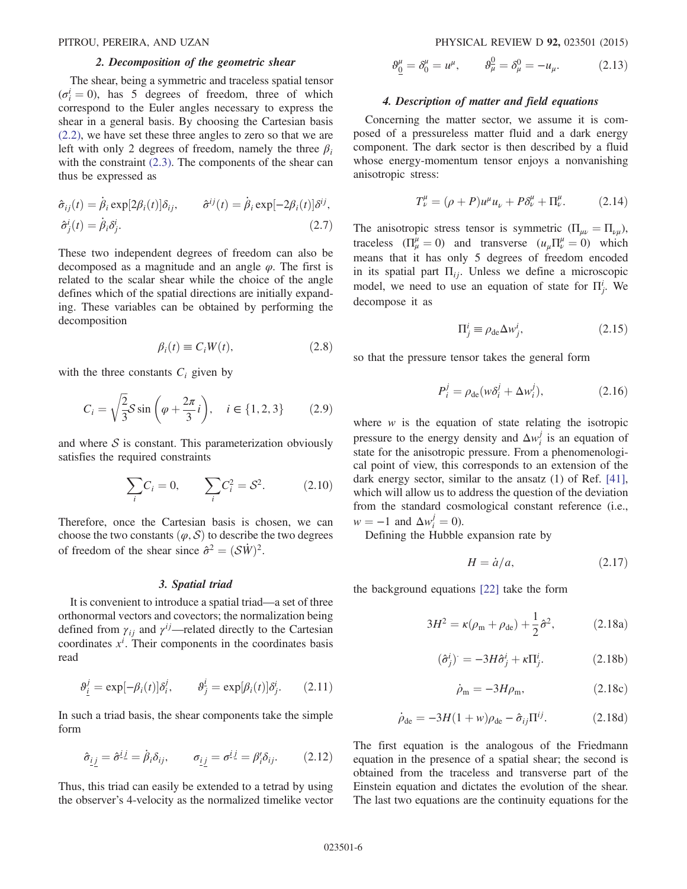# 2. Decomposition of the geometric shear

The shear, being a symmetric and traceless spatial tensor  $(\sigma_i^i = 0)$ , has 5 degrees of freedom, three of which correspond to the Fuler angles necessary to express the correspond to the Euler angles necessary to express the shear in a general basis. By choosing the Cartesian basis (2.2), we have set these three angles to zero so that we are left with only 2 degrees of freedom, namely the three  $\beta_i$ with the constraint  $(2.3)$ . The components of the shear can thus be expressed as

$$
\hat{\sigma}_{ij}(t) = \dot{\beta}_i \exp[2\beta_i(t)]\delta_{ij}, \qquad \hat{\sigma}^{ij}(t) = \dot{\beta}_i \exp[-2\beta_i(t)]\delta^{ij}, \n\hat{\sigma}^i_j(t) = \dot{\beta}_i \delta^i_j.
$$
\n(2.7)

These two independent degrees of freedom can also be decomposed as a magnitude and an angle  $\varphi$ . The first is related to the scalar shear while the choice of the angle defines which of the spatial directions are initially expanding. These variables can be obtained by performing the decomposition

$$
\beta_i(t) \equiv C_i W(t), \qquad (2.8)
$$

with the three constants  $C_i$  given by

$$
C_i = \sqrt{\frac{2}{3}} S \sin \left( \varphi + \frac{2\pi}{3} i \right), \quad i \in \{1, 2, 3\} \tag{2.9}
$$

and where  $S$  is constant. This parameterization obviously satisfies the required constraints

$$
\sum_{i} C_i = 0, \qquad \sum_{i} C_i^2 = S^2. \tag{2.10}
$$

Therefore, once the Cartesian basis is chosen, we can choose the two constants  $(\varphi, \mathcal{S})$  to describe the two degrees of freedom of the shear since  $\hat{\sigma}^2 = (\mathcal{S}\dot{W})^2$ .

#### 3. Spatial triad

It is convenient to introduce a spatial triad—a set of three orthonormal vectors and covectors; the normalization being defined from  $\gamma_{ii}$  and  $\gamma^{ij}$ —related directly to the Cartesian coordinates  $x^i$ . Their components in the coordinates basis read

$$
\vartheta_{\underline{i}}^j = \exp[-\beta_i(t)]\delta_i^j, \qquad \vartheta_j^i = \exp[\beta_i(t)]\delta_j^i. \qquad (2.11)
$$

In such a triad basis, the shear components take the simple form

$$
\hat{\sigma}_{\underline{i}\underline{j}} = \hat{\sigma}^{\underline{i}\underline{j}} = \hat{\beta}_i \delta_{ij}, \qquad \sigma_{\underline{i}\underline{j}} = \sigma^{\underline{i}\underline{j}} = \beta'_i \delta_{ij}.
$$
 (2.12)

Thus, this triad can easily be extended to a tetrad by using the observer's 4-velocity as the normalized timelike vector

$$
\theta^{\mu}_{\underline{0}} = \delta^{\mu}_{0} = u^{\mu}, \qquad \theta^{\underline{0}}_{\mu} = \delta^0_{\mu} = -u_{\mu}.
$$
 (2.13)

#### 4. Description of matter and field equations

Concerning the matter sector, we assume it is composed of a pressureless matter fluid and a dark energy component. The dark sector is then described by a fluid whose energy-momentum tensor enjoys a nonvanishing anisotropic stress:

$$
T^{\mu}_{\nu} = (\rho + P)u^{\mu}u_{\nu} + P\delta^{\mu}_{\nu} + \Pi^{\mu}_{\nu}.
$$
 (2.14)

The anisotropic stress tensor is symmetric  $(\Pi_{\mu\nu} = \Pi_{\nu\mu})$ , traceless  $(\Pi_{\mu}^{\mu} = 0)$  and transverse  $(u_{\mu} \Pi_{\nu}^{\mu} = 0)$  which means that it has only 5 degrees of freedom encoded in its spatial part  $\Pi_{ij}$ . Unless we define a microscopic model, we need to use an equation of state for  $\Pi_j^i$ . We decompose it as

$$
\Pi_j^i \equiv \rho_{\text{de}} \Delta w_j^i, \tag{2.15}
$$

so that the pressure tensor takes the general form

$$
P_i^j = \rho_{\rm de}(w\delta_i^j + \Delta w_i^j),\tag{2.16}
$$

where  $w$  is the equation of state relating the isotropic pressure to the energy density and  $\Delta w_i^j$  is an equation of state for the anisotropic pressure. From a phenomenological point of view, this corresponds to an extension of the dark energy sector, similar to the ansatz (1) of Ref. [41], which will allow us to address the question of the deviation from the standard cosmological constant reference (i.e.,  $w = -1$  and  $\Delta w_i^j = 0$ ).<br>Defining the Hubble

Defining the Hubble expansion rate by

$$
H = \dot{a}/a,\tag{2.17}
$$

the background equations [22] take the form

$$
3H^2 = \kappa(\rho_m + \rho_{de}) + \frac{1}{2}\hat{\sigma}^2, \qquad (2.18a)
$$

$$
(\hat{\sigma}_j^i) = -3H\hat{\sigma}_j^i + \kappa \Pi_j^i.
$$
 (2.18b)

$$
\dot{\rho}_{\rm m} = -3H\rho_{\rm m},\qquad(2.18c)
$$

$$
\dot{\rho}_{\rm de} = -3H(1+w)\rho_{\rm de} - \hat{\sigma}_{ij}\Pi^{ij}.
$$
 (2.18d)

The first equation is the analogous of the Friedmann equation in the presence of a spatial shear; the second is obtained from the traceless and transverse part of the Einstein equation and dictates the evolution of the shear. The last two equations are the continuity equations for the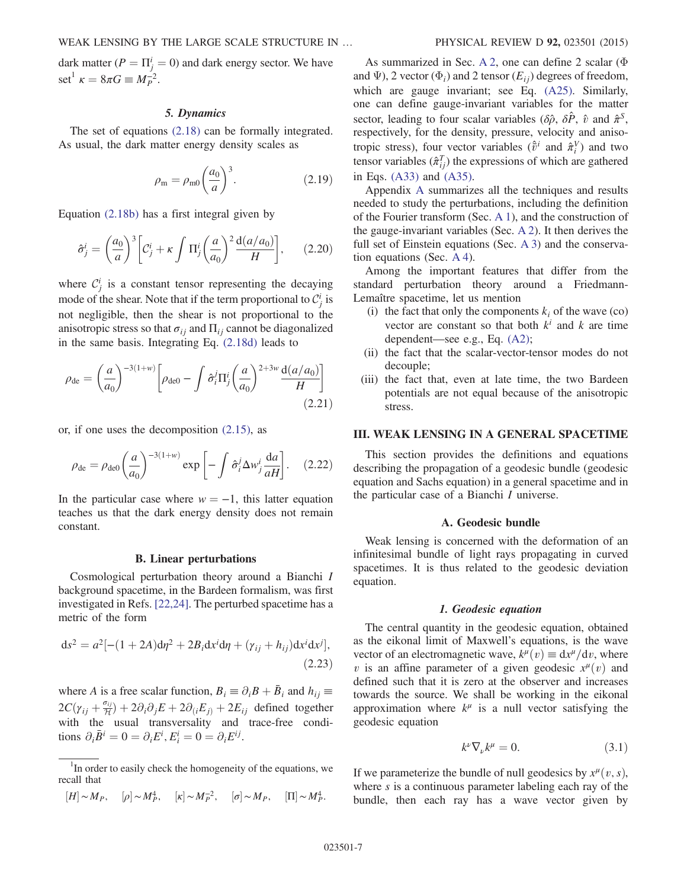dark matter  $(P = \Pi_j^i = 0)$  and dark energy sector. We have set<sup>1</sup>  $\kappa = 8\pi G \equiv M_P^{-2}$ .

#### 5. Dynamics

The set of equations (2.18) can be formally integrated. As usual, the dark matter energy density scales as

$$
\rho_{\rm m} = \rho_{\rm m0} \left( \frac{a_0}{a} \right)^3. \tag{2.19}
$$

Equation (2.18b) has a first integral given by

$$
\hat{\sigma}_j^i = \left(\frac{a_0}{a}\right)^3 \left[\mathcal{C}_j^i + \kappa \int \Pi_j^i \left(\frac{a}{a_0}\right)^2 \frac{d(a/a_0)}{H}\right],\qquad(2.20)
$$

where  $\mathcal{C}_j^i$  is a constant tensor representing the decaying mode of the shear. Note that if the term proportional to  $\mathcal{C}_j^i$  is not negligible, then the shear is not proportional to the anisotropic stress so that  $\sigma_{ij}$  and  $\Pi_{ij}$  cannot be diagonalized in the same basis. Integrating Eq. (2.18d) leads to

$$
\rho_{\rm de} = \left(\frac{a}{a_0}\right)^{-3(1+w)} \left[\rho_{\rm de0} - \int \hat{\sigma}_i^j \Pi_j^i \left(\frac{a}{a_0}\right)^{2+3w} \frac{\mathrm{d}(a/a_0)}{H}\right] \tag{2.21}
$$

or, if one uses the decomposition (2.15), as

$$
\rho_{\rm de} = \rho_{\rm de0} \left( \frac{a}{a_0} \right)^{-3(1+w)} \exp \left[ - \int \hat{\sigma}_i^j \Delta w_j^i \frac{\mathrm{d}a}{aH} \right]. \tag{2.22}
$$

In the particular case where  $w = -1$ , this latter equation teaches us that the dark energy density does not remain constant.

#### B. Linear perturbations

Cosmological perturbation theory around a Bianchi I background spacetime, in the Bardeen formalism, was first investigated in Refs. [22,24]. The perturbed spacetime has a metric of the form

$$
ds^{2} = a^{2}[-(1+2A)d\eta^{2} + 2B_{i}dx^{i}d\eta + (\gamma_{ij} + h_{ij})dx^{i}dx^{j}],
$$
\n(2.23)

where A is a free scalar function,  $B_i \equiv \partial_i B + \bar{B}_i$  and  $h_{ij} \equiv$  $2C(\gamma_{ij} + \frac{\sigma_{ij}}{\mathcal{H}}) + 2\partial_i\partial_j E + 2\partial_{(i}E_{j)} + 2E_{ij}$  defined together with the usual transversality and trace-free conditions  $\partial_i \bar{B}^i = 0 = \partial_i E^i$ ,  $E^i_i = 0 = \partial_i E^{ij}$ .

$$
[H] \sim M_P, \quad [\rho] \sim M_P^4, \quad [\kappa] \sim M_P^{-2}, \quad [\sigma] \sim M_P, \quad [\Pi] \sim M_P^4.
$$

As summarized in Sec. A 2, one can define 2 scalar (Φ and  $\Psi$ ), 2 vector ( $\Phi_i$ ) and 2 tensor ( $E_{ij}$ ) degrees of freedom, which are gauge invariant; see Eq. (A25). Similarly, one can define gauge-invariant variables for the matter sector, leading to four scalar variables ( $\delta \hat{\rho}$ ,  $\delta \hat{P}$ ,  $\hat{v}$  and  $\hat{\pi}^S$ , respectively, for the density, pressure, velocity and anisotropic stress), four vector variables  $(\hat{v}^i$  and  $\hat{\pi}^V_i$ ) and two tensor variables  $(\hat{\pi}_{ij}^T)$  the expressions of which are gathered in Eqs. (A33) and (A35).

Appendix A summarizes all the techniques and results needed to study the perturbations, including the definition of the Fourier transform (Sec. A 1), and the construction of the gauge-invariant variables (Sec. A 2). It then derives the full set of Einstein equations (Sec. A 3) and the conservation equations (Sec. A 4).

Among the important features that differ from the standard perturbation theory around a Friedmann-Lemaître spacetime, let us mention

- (i) the fact that only the components  $k_i$  of the wave (co) vector are constant so that both  $k^i$  and k are time dependent—see e.g., Eq. (A2);
- (ii) the fact that the scalar-vector-tensor modes do not decouple;
- (iii) the fact that, even at late time, the two Bardeen potentials are not equal because of the anisotropic stress.

# III. WEAK LENSING IN A GENERAL SPACETIME

This section provides the definitions and equations describing the propagation of a geodesic bundle (geodesic equation and Sachs equation) in a general spacetime and in the particular case of a Bianchi I universe.

#### A. Geodesic bundle

Weak lensing is concerned with the deformation of an infinitesimal bundle of light rays propagating in curved spacetimes. It is thus related to the geodesic deviation equation.

## 1. Geodesic equation

The central quantity in the geodesic equation, obtained as the eikonal limit of Maxwell's equations, is the wave vector of an electromagnetic wave,  $k^{\mu}(v) \equiv dx^{\mu}/dv$ , where v is an affine parameter of a given geodesic  $x^{\mu}(v)$  and defined such that it is zero at the observer and increases towards the source. We shall be working in the eikonal approximation where  $k^{\mu}$  is a null vector satisfying the geodesic equation

$$
k^{\nu}\nabla_{\nu}k^{\mu} = 0. \tag{3.1}
$$

If we parameterize the bundle of null geodesics by  $x^{\mu}(v, s)$ , where  $s$  is a continuous parameter labeling each ray of the bundle, then each ray has a wave vector given by

<sup>&</sup>lt;sup>1</sup>In order to easily check the homogeneity of the equations, we recall that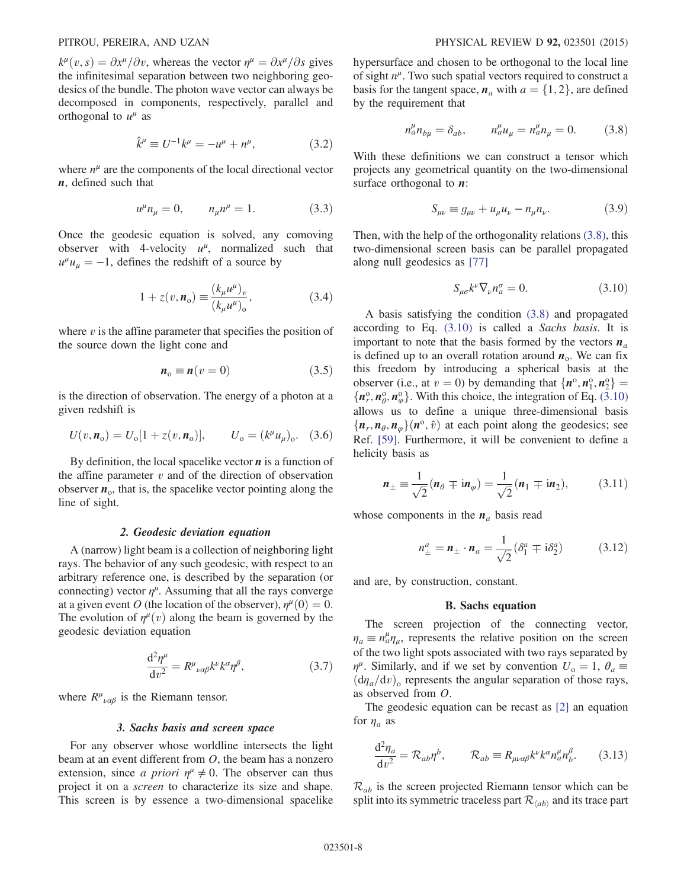$k^{\mu}(v, s) = \partial x^{\mu}/\partial v$ , whereas the vector  $\eta^{\mu} = \partial x^{\mu}/\partial s$  gives the infinitesimal separation between two neighboring geodesics of the bundle. The photon wave vector can always be decomposed in components, respectively, parallel and orthogonal to  $u^{\mu}$  as

$$
\hat{k}^{\mu} \equiv U^{-1}k^{\mu} = -u^{\mu} + n^{\mu}, \tag{3.2}
$$

where  $n^{\mu}$  are the components of the local directional vector  $n$ , defined such that

$$
u^{\mu}n_{\mu} = 0, \qquad n_{\mu}n^{\mu} = 1. \tag{3.3}
$$

Once the geodesic equation is solved, any comoving observer with 4-velocity  $u^{\mu}$ , normalized such that  $u^{\mu}u_{\mu} = -1$ , defines the redshift of a source by

$$
1 + z(v, n_o) \equiv \frac{(k_{\mu}u^{\mu})_v}{(k_{\mu}u^{\mu})_o}, \qquad (3.4)
$$

where  $v$  is the affine parameter that specifies the position of the source down the light cone and

$$
n_{o} \equiv n(v=0) \tag{3.5}
$$

is the direction of observation. The energy of a photon at a given redshift is

$$
U(v, n_o) = U_o[1 + z(v, n_o)], \qquad U_o = (k^{\mu} u_{\mu})_o. \quad (3.6)
$$

By definition, the local spacelike vector  $\boldsymbol{n}$  is a function of the affine parameter  $v$  and of the direction of observation observer  $n_0$ , that is, the spacelike vector pointing along the line of sight.

#### 2. Geodesic deviation equation

A (narrow) light beam is a collection of neighboring light rays. The behavior of any such geodesic, with respect to an arbitrary reference one, is described by the separation (or connecting) vector  $\eta^{\mu}$ . Assuming that all the rays converge at a given event O (the location of the observer),  $\eta^{\mu}(0) = 0$ . The evolution of  $\eta^{\mu}(v)$  along the beam is governed by the geodesic deviation equation

$$
\frac{\mathrm{d}^2 \eta^{\mu}}{\mathrm{d}v^2} = R^{\mu}{}_{\nu\alpha\beta} k^{\nu} k^{\alpha} \eta^{\beta},\tag{3.7}
$$

where  $R^{\mu}{}_{\nu\alpha\beta}$  is the Riemann tensor.

# 3. Sachs basis and screen space

For any observer whose worldline intersects the light beam at an event different from  $O$ , the beam has a nonzero extension, since a priori  $\eta^{\mu} \neq 0$ . The observer can thus project it on a screen to characterize its size and shape. This screen is by essence a two-dimensional spacelike hypersurface and chosen to be orthogonal to the local line of sight  $n^{\mu}$ . Two such spatial vectors required to construct a basis for the tangent space,  $n_a$  with  $a = \{1, 2\}$ , are defined by the requirement that

$$
n_a^{\mu} n_{b\mu} = \delta_{ab}, \qquad n_a^{\mu} u_{\mu} = n_a^{\mu} n_{\mu} = 0. \tag{3.8}
$$

With these definitions we can construct a tensor which projects any geometrical quantity on the two-dimensional surface orthogonal to  $n$ :

$$
S_{\mu\nu} \equiv g_{\mu\nu} + u_{\mu}u_{\nu} - n_{\mu}n_{\nu}.
$$
 (3.9)

Then, with the help of the orthogonality relations (3.8), this two-dimensional screen basis can be parallel propagated along null geodesics as [77]

$$
S_{\mu\sigma}k^{\nu}\nabla_{\nu}n^{\sigma}_{a}=0.\tag{3.10}
$$

A basis satisfying the condition (3.8) and propagated according to Eq. (3.10) is called a Sachs basis. It is important to note that the basis formed by the vectors  $n_a$ is defined up to an overall rotation around  $n_0$ . We can fix this freedom by introducing a spherical basis at the observer (i.e., at  $v = 0$ ) by demanding that  $\{n^{\circ}, n^{\circ}, n^{\circ}\}$ <br> $\{n^{\circ}, n^{\circ}\}$  With this choice, the integration of Eq. (3) boserver (i.e., at  $v = 0$ ) by demanding that  $\{n^0, n_1, n_2\} =$ <br> $\{n_p^0, n_p^0, n_p^0\}$ . With this choice, the integration of Eq. (3.10) allows us to define a unique three-dimensional basis  ${n_r, n_\theta, n_\phi}(n^\circ, \hat{v})$  at each point along the geodesics; see Ref. [59]. Furthermore, it will be convenient to define a helicity basis as

$$
\mathbf{n}_{\pm} \equiv \frac{1}{\sqrt{2}} (\mathbf{n}_{\theta} \mp \mathrm{i}\mathbf{n}_{\varphi}) = \frac{1}{\sqrt{2}} (\mathbf{n}_{1} \mp \mathrm{i}\mathbf{n}_{2}), \quad (3.11)
$$

whose components in the  $n_a$  basis read

$$
n_{\pm}^{a} = \boldsymbol{n}_{\pm} \cdot \boldsymbol{n}_{a} = \frac{1}{\sqrt{2}} (\delta_{1}^{a} \mp i \delta_{2}^{a}) \tag{3.12}
$$

and are, by construction, constant.

# B. Sachs equation

The screen projection of the connecting vector,  $\eta_a \equiv n_a^\mu \eta_\mu$ , represents the relative position on the screen of the two light spots associated with two rays separated by  $\eta^{\mu}$ . Similarly, and if we set by convention  $U_0 = 1, \theta_a \equiv$  $(d\eta_a/dv)$ <sub>o</sub> represents the angular separation of those rays, as observed from O.

The geodesic equation can be recast as [2] an equation for  $\eta_a$  as

$$
\frac{\mathrm{d}^2 n_a}{\mathrm{d}v^2} = \mathcal{R}_{ab} \eta^b, \qquad \mathcal{R}_{ab} \equiv R_{\mu\nu a\beta} k^\nu k^\alpha n_a^\mu n_b^\beta. \qquad (3.13)
$$

 $\mathcal{R}_{ab}$  is the screen projected Riemann tensor which can be split into its symmetric traceless part  $\mathcal{R}_{\langle ab \rangle}$  and its trace part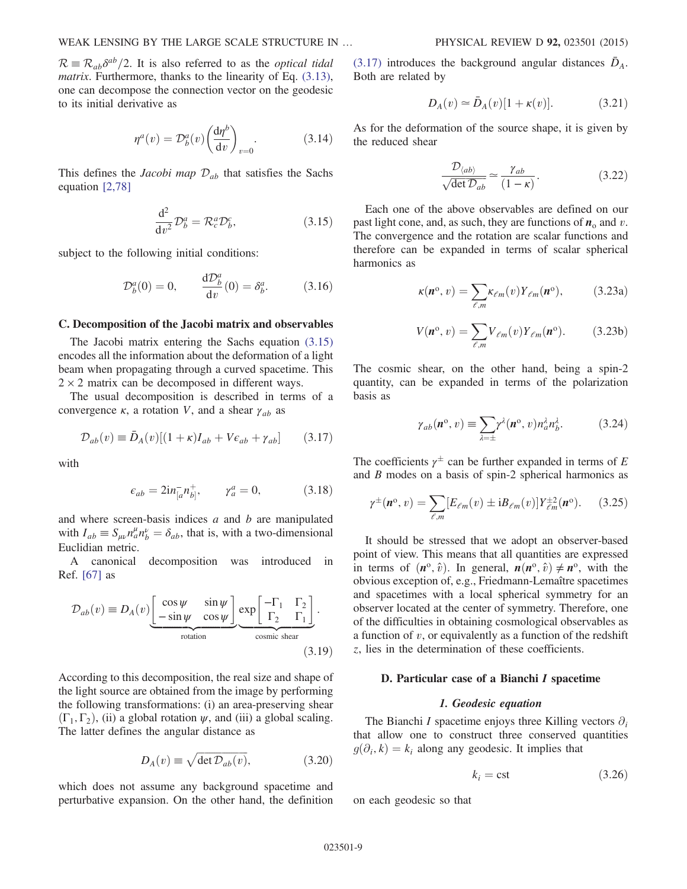$\mathcal{R} \equiv \mathcal{R}_{ab}\delta^{ab}/2$ . It is also referred to as the *optical tidal* matrix. Furthermore, thanks to the linearity of Eq.  $(3.13)$ , one can decompose the connection vector on the geodesic to its initial derivative as

$$
\eta^{a}(v) = \mathcal{D}_{b}^{a}(v) \left(\frac{\mathrm{d}\eta^{b}}{\mathrm{d}v}\right)_{v=0}.
$$
 (3.14)

This defines the *Jacobi map*  $\mathcal{D}_{ab}$  that satisfies the Sachs equation [2,78]

$$
\frac{\mathrm{d}^2}{\mathrm{d}v^2} \mathcal{D}_b^a = \mathcal{R}_c^a \mathcal{D}_b^c,\tag{3.15}
$$

subject to the following initial conditions:

$$
\mathcal{D}_b^a(0) = 0, \qquad \frac{\mathrm{d}\mathcal{D}_b^a}{\mathrm{d}v}(0) = \delta_b^a. \tag{3.16}
$$

#### C. Decomposition of the Jacobi matrix and observables

The Jacobi matrix entering the Sachs equation (3.15) encodes all the information about the deformation of a light beam when propagating through a curved spacetime. This  $2 \times 2$  matrix can be decomposed in different ways.

The usual decomposition is described in terms of a convergence κ, a rotation V, and a shear  $γ_{ab}$  as

$$
\mathcal{D}_{ab}(v) \equiv \bar{D}_A(v)[(1+\kappa)I_{ab} + V\epsilon_{ab} + \gamma_{ab}] \tag{3.17}
$$

with

$$
\epsilon_{ab} = 2i n_{[a}^-\ n_{b]}^+, \qquad \gamma_a^a = 0, \tag{3.18}
$$

and where screen-basis indices  $a$  and  $b$  are manipulated with  $I_{ab} \equiv S_{\mu\nu} n_a^{\mu} n_b^{\nu} = \delta_{ab}$ , that is, with a two-dimensional Euclidian metric Euclidian metric.

A canonical decomposition was introduced in Ref. [67] as

$$
\mathcal{D}_{ab}(v) \equiv D_A(v) \underbrace{\begin{bmatrix} \cos \psi & \sin \psi \\ -\sin \psi & \cos \psi \end{bmatrix}}_{\text{rotation}} \underbrace{\exp \begin{bmatrix} -\Gamma_1 & \Gamma_2 \\ \Gamma_2 & \Gamma_1 \end{bmatrix}}_{\text{cosmic shear}}.
$$
\n(3.19)

According to this decomposition, the real size and shape of the light source are obtained from the image by performing the following transformations: (i) an area-preserving shear  $(\Gamma_1, \Gamma_2)$ , (ii) a global rotation  $\psi$ , and (iii) a global scaling. The latter defines the angular distance as

$$
D_A(v) \equiv \sqrt{\det \mathcal{D}_{ab}(v)},\tag{3.20}
$$

which does not assume any background spacetime and perturbative expansion. On the other hand, the definition (3.17) introduces the background angular distances  $\bar{D}_A$ . Both are related by

$$
D_A(v) \simeq \bar{D}_A(v)[1 + \kappa(v)]. \tag{3.21}
$$

As for the deformation of the source shape, it is given by the reduced shear

$$
\frac{\mathcal{D}_{\langle ab \rangle}}{\sqrt{\det \mathcal{D}_{ab}}} \simeq \frac{\gamma_{ab}}{(1-\kappa)}.
$$
\n(3.22)

Each one of the above observables are defined on our past light cone, and, as such, they are functions of  $n_0$  and v. The convergence and the rotation are scalar functions and therefore can be expanded in terms of scalar spherical harmonics as

$$
\kappa(\boldsymbol{n}^{\mathrm{o}}, v) = \sum_{\ell,m} \kappa_{\ell m}(v) Y_{\ell m}(\boldsymbol{n}^{\mathrm{o}}), \qquad (3.23a)
$$

$$
V(\boldsymbol{n}^{\mathrm{o}}, v) = \sum_{\ell,m} V_{\ell m}(v) Y_{\ell m}(\boldsymbol{n}^{\mathrm{o}}). \qquad (3.23b)
$$

The cosmic shear, on the other hand, being a spin-2 quantity, can be expanded in terms of the polarization basis as

$$
\gamma_{ab}(\boldsymbol{n}^{\mathrm{o}},v) \equiv \sum_{\lambda=\pm} \gamma^{\lambda}(\boldsymbol{n}^{\mathrm{o}},v) n_a^{\lambda} n_b^{\lambda}.
$$
 (3.24)

The coefficients  $\gamma^{\pm}$  can be further expanded in terms of E and  $B$  modes on a basis of spin-2 spherical harmonics as

$$
\gamma^{\pm}(\boldsymbol{n}^{\circ}, v) = \sum_{\ell,m} [E_{\ell m}(v) \pm i B_{\ell m}(v)] Y_{\ell m}^{\pm 2}(\boldsymbol{n}^{\circ}). \qquad (3.25)
$$

It should be stressed that we adopt an observer-based point of view. This means that all quantities are expressed in terms of  $(n^{\circ}, \hat{v})$ . In general,  $n(n^{\circ}, \hat{v}) \neq n^{\circ}$ , with the obvious exception of, e.g., Friedmann-Lemaître spacetimes and spacetimes with a local spherical symmetry for an observer located at the center of symmetry. Therefore, one of the difficulties in obtaining cosmological observables as a function of  $v$ , or equivalently as a function of the redshift z, lies in the determination of these coefficients.

# D. Particular case of a Bianchi I spacetime

# 1. Geodesic equation

The Bianchi I spacetime enjoys three Killing vectors  $\partial_i$ that allow one to construct three conserved quantities  $g(\partial_i, k) = k_i$  along any geodesic. It implies that

$$
k_i = \text{cst} \tag{3.26}
$$

on each geodesic so that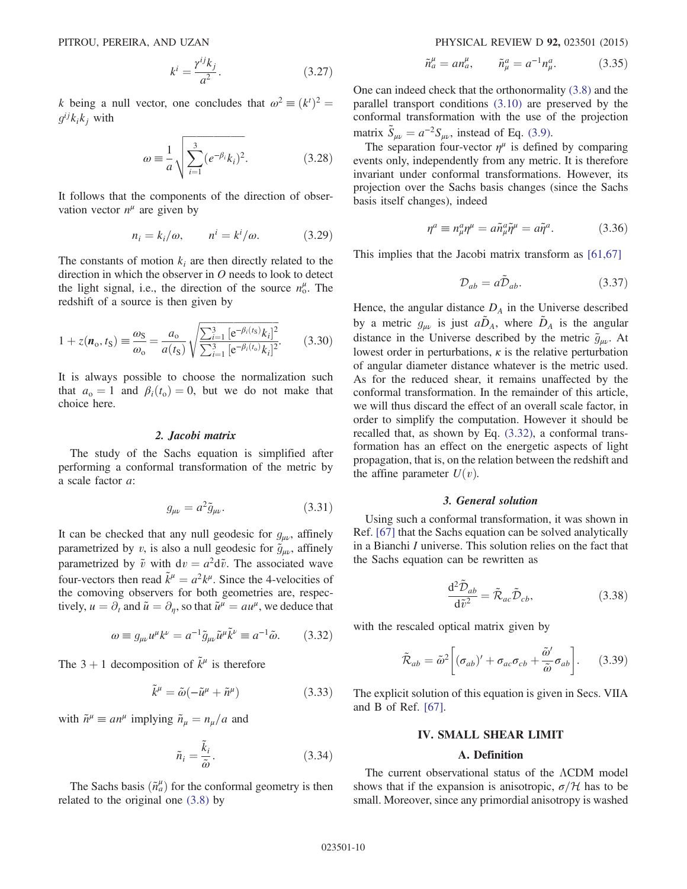$$
k^i = \frac{\gamma^{ij} k_j}{a^2}.\tag{3.27}
$$

k being a null vector, one concludes that  $\omega^2 \equiv (k^t)^2 =$  $g^{ij}k_ik_j$  with

$$
\omega = \frac{1}{a} \sqrt{\sum_{i=1}^{3} (e^{-\beta_i} k_i)^2}.
$$
 (3.28)

It follows that the components of the direction of observation vector  $n^{\mu}$  are given by

$$
n_i = k_i/\omega, \qquad n^i = k^i/\omega. \tag{3.29}
$$

The constants of motion  $k_i$  are then directly related to the direction in which the observer in  $O$  needs to look to detect the light signal, i.e., the direction of the source  $n_0^{\mu}$ . The redshift of a source is then given by

$$
1 + z(\mathbf{n}_o, t_S) \equiv \frac{\omega_S}{\omega_o} = \frac{a_o}{a(t_S)} \sqrt{\frac{\sum_{i=1}^3 \left[ e^{-\beta_i(t_S)} k_i \right]^2}{\sum_{i=1}^3 \left[ e^{-\beta_i(t_o)} k_i \right]^2}}.
$$
(3.30)

It is always possible to choose the normalization such that  $a_0 = 1$  and  $\beta_i(t_0) = 0$ , but we do not make that choice here.

#### 2. Jacobi matrix

The study of the Sachs equation is simplified after performing a conformal transformation of the metric by a scale factor a:

$$
g_{\mu\nu} = a^2 \tilde{g}_{\mu\nu}.\tag{3.31}
$$

It can be checked that any null geodesic for  $g_{\mu\nu}$ , affinely parametrized by v, is also a null geodesic for  $\tilde{g}_{\mu\nu}$ , affinely parametrized by  $\tilde{v}$  with  $dv = a^2 d\tilde{v}$ . The associated wave four-vectors then read  $\tilde{k}^{\mu} = a^2 k^{\mu}$ . Since the 4-velocities of<br>the comoving observers for both geometries are respecthe comoving observers for both geometries are, respectively,  $u = \partial_t$  and  $\tilde{u} = \partial_{\eta}$ , so that  $\tilde{u}^{\mu} = au^{\mu}$ , we deduce that

$$
\omega \equiv g_{\mu\nu} u^{\mu} k^{\nu} = a^{-1} \tilde{g}_{\mu\nu} \tilde{u}^{\mu} \tilde{k}^{\nu} \equiv a^{-1} \tilde{\omega}.
$$
 (3.32)

The 3 + 1 decomposition of  $\tilde{k}^{\mu}$  is therefore

$$
\tilde{k}^{\mu} = \tilde{\omega}(-\tilde{u}^{\mu} + \tilde{n}^{\mu})
$$
\n(3.33)

with  $\tilde{n}^{\mu} \equiv a n^{\mu}$  implying  $\tilde{n}_{\mu} = n_{\mu}/a$  and

$$
\tilde{n}_i = \frac{\tilde{k}_i}{\tilde{\omega}}.\tag{3.34}
$$

The Sachs basis  $(\tilde{n}_a^{\mu})$  for the conformal geometry is then ated to the original one (3.8) by related to the original one (3.8) by

$$
\tilde{n}_a^{\mu} = a n_a^{\mu}, \qquad \tilde{n}_\mu^a = a^{-1} n_\mu^a. \tag{3.35}
$$

One can indeed check that the orthonormality (3.8) and the parallel transport conditions (3.10) are preserved by the conformal transformation with the use of the projection matrix  $\tilde{S}_{\mu\nu} = a^{-2} S_{\mu\nu}$ , instead of Eq. (3.9).

The separation four-vector  $\eta^{\mu}$  is defined by comparing events only, independently from any metric. It is therefore invariant under conformal transformations. However, its projection over the Sachs basis changes (since the Sachs basis itself changes), indeed

$$
\eta^a \equiv n^a_\mu \eta^\mu = a\tilde{n}^a_\mu \tilde{\eta}^\mu = a\tilde{\eta}^a. \tag{3.36}
$$

This implies that the Jacobi matrix transform as [61,67]

$$
\mathcal{D}_{ab} = a\tilde{\mathcal{D}}_{ab}.\tag{3.37}
$$

Hence, the angular distance  $D_A$  in the Universe described by a metric  $g_{\mu\nu}$  is just  $a\tilde{D}_A$ , where  $\tilde{D}_A$  is the angular distance in the Universe described by the metric  $\tilde{g}_{\mu\nu}$ . At lowest order in perturbations,  $\kappa$  is the relative perturbation of angular diameter distance whatever is the metric used. As for the reduced shear, it remains unaffected by the conformal transformation. In the remainder of this article, we will thus discard the effect of an overall scale factor, in order to simplify the computation. However it should be recalled that, as shown by Eq. (3.32), a conformal transformation has an effect on the energetic aspects of light propagation, that is, on the relation between the redshift and the affine parameter  $U(v)$ .

# 3. General solution

Using such a conformal transformation, it was shown in Ref. [67] that the Sachs equation can be solved analytically in a Bianchi I universe. This solution relies on the fact that the Sachs equation can be rewritten as

$$
\frac{\mathrm{d}^2 \tilde{\mathcal{D}}_{ab}}{\mathrm{d}\tilde{v}^2} = \tilde{\mathcal{R}}_{ac} \tilde{\mathcal{D}}_{cb},\tag{3.38}
$$

with the rescaled optical matrix given by

$$
\tilde{\mathcal{R}}_{ab} = \tilde{\omega}^2 \bigg[ (\sigma_{ab})' + \sigma_{ac} \sigma_{cb} + \frac{\tilde{\omega}'}{\tilde{\omega}} \sigma_{ab} \bigg].
$$
 (3.39)

The explicit solution of this equation is given in Secs. VIIA and B of Ref. [67].

#### IV. SMALL SHEAR LIMIT

#### A. Definition

The current observational status of the ΛCDM model shows that if the expansion is anisotropic,  $\sigma/H$  has to be small. Moreover, since any primordial anisotropy is washed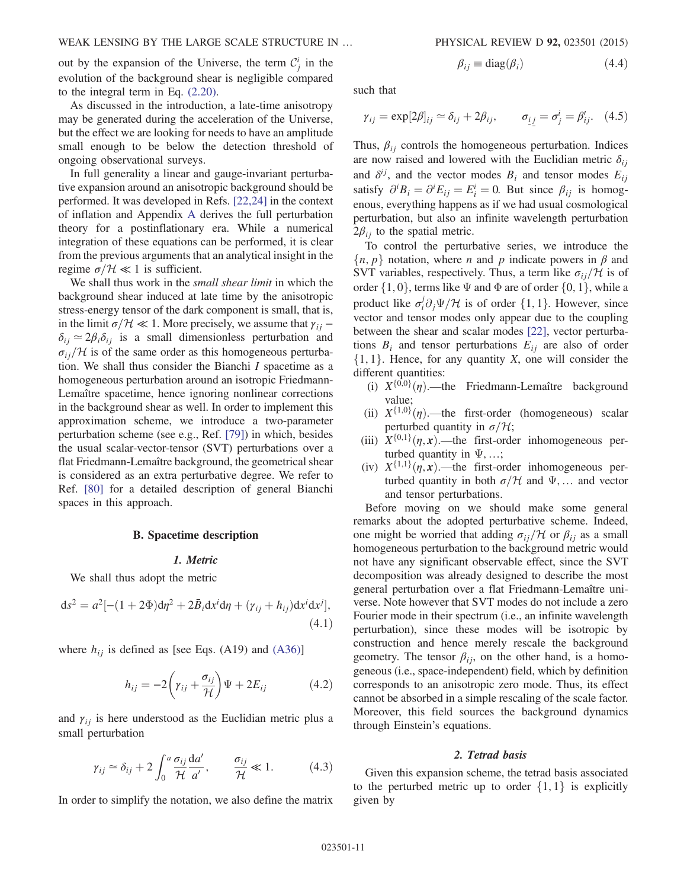out by the expansion of the Universe, the term  $\mathcal{C}_j^i$  in the evolution of the background shear is negligible compared to the integral term in Eq. (2.20).

As discussed in the introduction, a late-time anisotropy may be generated during the acceleration of the Universe, but the effect we are looking for needs to have an amplitude small enough to be below the detection threshold of ongoing observational surveys.

In full generality a linear and gauge-invariant perturbative expansion around an anisotropic background should be performed. It was developed in Refs. [22,24] in the context of inflation and Appendix A derives the full perturbation theory for a postinflationary era. While a numerical integration of these equations can be performed, it is clear from the previous arguments that an analytical insight in the regime  $\sigma/\mathcal{H} \ll 1$  is sufficient.

We shall thus work in the *small shear limit* in which the background shear induced at late time by the anisotropic stress-energy tensor of the dark component is small, that is, in the limit  $\sigma/\mathcal{H} \ll 1$ . More precisely, we assume that  $\gamma_{ij}$  −  $\delta_{ij} \approx 2\beta_i \delta_{ij}$  is a small dimensionless perturbation and  $\sigma_{ii}/\mathcal{H}$  is of the same order as this homogeneous perturbation. We shall thus consider the Bianchi I spacetime as a homogeneous perturbation around an isotropic Friedmann-Lemaître spacetime, hence ignoring nonlinear corrections in the background shear as well. In order to implement this approximation scheme, we introduce a two-parameter perturbation scheme (see e.g., Ref. [79]) in which, besides the usual scalar-vector-tensor (SVT) perturbations over a flat Friedmann-Lemaître background, the geometrical shear is considered as an extra perturbative degree. We refer to Ref. [80] for a detailed description of general Bianchi spaces in this approach.

#### B. Spacetime description

#### 1. Metric

We shall thus adopt the metric

$$
ds2 = a2[-(1+2\Phi)d\eta2 + 2\bar{B}_i dxid\eta + (\gamma_{ij} + h_{ij})dxidxj],
$$
\n(4.1)

where  $h_{ij}$  is defined as [see Eqs. (A19) and (A36)]

$$
h_{ij} = -2\left(\gamma_{ij} + \frac{\sigma_{ij}}{\mathcal{H}}\right)\Psi + 2E_{ij}
$$
 (4.2)

and  $\gamma_{ij}$  is here understood as the Euclidian metric plus a small perturbation

$$
\gamma_{ij} \simeq \delta_{ij} + 2 \int_0^a \frac{\sigma_{ij} \, \mathrm{d}a'}{\mathcal{H} \, a'}, \qquad \frac{\sigma_{ij}}{\mathcal{H}} \ll 1. \tag{4.3}
$$

In order to simplify the notation, we also define the matrix

$$
\beta_{ij} \equiv \text{diag}(\beta_i) \tag{4.4}
$$

such that

$$
\gamma_{ij} = \exp[2\beta]_{ij} \approx \delta_{ij} + 2\beta_{ij}, \qquad \sigma_{\underline{i}\underline{j}} = \sigma^i_j = \beta'_{ij}. \quad (4.5)
$$

Thus,  $\beta_{ij}$  controls the homogeneous perturbation. Indices are now raised and lowered with the Euclidian metric  $\delta_{ij}$ and  $\delta^{ij}$ , and the vector modes  $B_i$  and tensor modes  $E_{ij}$ satisfy  $\partial^i B_i = \partial^i E_{ij} = E_i^i = 0$ . But since  $\beta_{ij}$  is homogenous everything happens as if we had usual cosmological enous, everything happens as if we had usual cosmological perturbation, but also an infinite wavelength perturbation  $2\beta_{ii}$  to the spatial metric.

To control the perturbative series, we introduce the  ${n, p}$  notation, where *n* and *p* indicate powers in *β* and SVT variables, respectively. Thus, a term like  $\sigma_{ij}/\mathcal{H}$  is of order  $\{1, 0\}$ , terms like  $\Psi$  and  $\Phi$  are of order  $\{0, 1\}$ , while a product like  $\sigma_i^j \partial_j \Psi / \mathcal{H}$  is of order  $\{1, 1\}$ . However, since vector and tensor modes only appear due to the coupling between the shear and scalar modes [22], vector perturbations  $B_i$  and tensor perturbations  $E_{ij}$  are also of order  $\{1, 1\}$ . Hence, for any quantity X, one will consider the different quantities:

- (i)  $X^{\{0,0\}}(\eta)$ .—the Friedmann-Lemaître background value;
- (ii)  $X^{\{1,0\}}(\eta)$ .—the first-order (homogeneous) scalar perturbed quantity in  $\sigma/\mathcal{H}$ ;
- (iii)  $X^{\{0,1\}}(\eta, x)$ .—the first-order inhomogeneous perturbed quantity in  $\Psi$ , ...;
- (iv)  $X^{\{1,1\}}(\eta,\mathbf{x})$ .—the first-order inhomogeneous perturbed quantity in both  $\sigma/H$  and  $\Psi$ , … and vector and tensor perturbations.

Before moving on we should make some general remarks about the adopted perturbative scheme. Indeed, one might be worried that adding  $\sigma_{ii}/\mathcal{H}$  or  $\beta_{ii}$  as a small homogeneous perturbation to the background metric would not have any significant observable effect, since the SVT decomposition was already designed to describe the most general perturbation over a flat Friedmann-Lemaître universe. Note however that SVT modes do not include a zero Fourier mode in their spectrum (i.e., an infinite wavelength perturbation), since these modes will be isotropic by construction and hence merely rescale the background geometry. The tensor  $\beta_{ij}$ , on the other hand, is a homogeneous (i.e., space-independent) field, which by definition corresponds to an anisotropic zero mode. Thus, its effect cannot be absorbed in a simple rescaling of the scale factor. Moreover, this field sources the background dynamics through Einstein's equations.

#### 2. Tetrad basis

Given this expansion scheme, the tetrad basis associated to the perturbed metric up to order  $\{1, 1\}$  is explicitly given by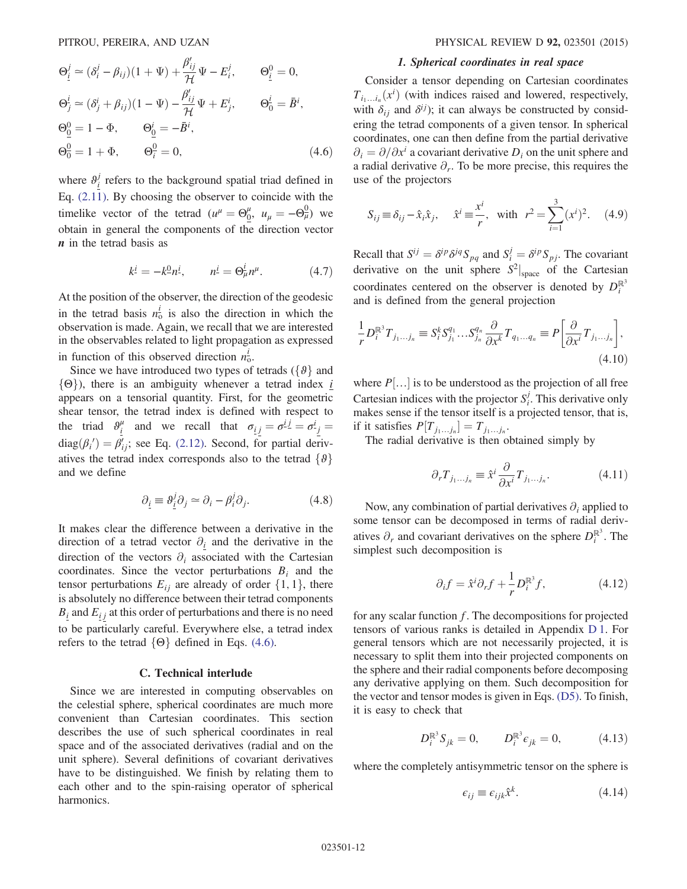$$
\Theta_{\underline{i}}^j \simeq (\delta_i^j - \beta_{ij})(1 + \Psi) + \frac{\beta'_{ij}}{\mathcal{H}} \Psi - E_i^j, \qquad \Theta_{\underline{i}}^0 = 0,
$$
  
\n
$$
\Theta_j^i \simeq (\delta_j^i + \beta_{ij})(1 - \Psi) - \frac{\beta'_{ij}}{\mathcal{H}} \Psi + E_j^i, \qquad \Theta_0^i = \overline{B}^i,
$$
  
\n
$$
\Theta_0^0 = 1 - \Phi, \qquad \Theta_{\underline{0}}^i = -\overline{B}^i,
$$
  
\n
$$
\Theta_0^0 = 1 + \Phi, \qquad \Theta_i^0 = 0,
$$
  
\n(4.6)

where  $\theta_i^j$  refers to the background spatial triad defined in Eq. (2.11). By choosing the observer to coincide with the timelike vector of the tetrad  $(u^{\mu} = \Theta_{0}^{\mu}, u_{\mu} = -\Theta_{\mu}^{0})$  we obtain in general the components of the direction vector  $\boldsymbol{n}$  in the tetrad basis as

$$
k^{\underline{i}} = -k^{\underline{0}} n^{\underline{i}}, \qquad n^{\underline{i}} = \Theta^{\underline{i}}_{\mu} n^{\mu}.
$$
 (4.7)

At the position of the observer, the direction of the geodesic in the tetrad basis  $n_0^i$  is also the direction in which the observation is made. Again, we recall that we are interested in the observables related to light propagation as expressed in function of this observed direction  $n_{0}^{i}$ .

Since we have introduced two types of tetrads ( $\{\vartheta\}$  and  $\{\Theta\}$ ), there is an ambiguity whenever a tetrad index *i* appears on a tensorial quantity. First, for the geometric shear tensor, the tetrad index is defined with respect to the triad  $\theta_i^{\mu}$  and we recall that  $\sigma_{i\,j} = \sigma^{\dot{i}\,j} = \sigma^{\dot{i}}_{j} =$ diag( $\beta_i'$ ) =  $\beta'_{ij}$ ; see Eq. (2.12). Second, for partial deriv-<br>otives the tetrad index corresponds also to the tetrad [0] atives the tetrad index corresponds also to the tetrad  $\{\vartheta\}$ and we define

$$
\partial_{\underline{i}} \equiv \partial_{\underline{i}}^j \partial_j \simeq \partial_i - \beta_i^j \partial_j. \tag{4.8}
$$

It makes clear the difference between a derivative in the direction of a tetrad vector  $\partial_i$  and the derivative in the direction of the vectors  $\partial_i$  associated with the Cartesian coordinates. Since the vector perturbations  $B_i$  and the tensor perturbations  $E_{ij}$  are already of order  $\{1, 1\}$ , there is absolutely no difference between their tetrad components  $B_i$  and  $E_{ij}$  at this order of perturbations and there is no need to be particularly careful. Everywhere else, a tetrad index refers to the tetrad  $\{\Theta\}$  defined in Eqs. (4.6).

# C. Technical interlude

Since we are interested in computing observables on the celestial sphere, spherical coordinates are much more convenient than Cartesian coordinates. This section describes the use of such spherical coordinates in real space and of the associated derivatives (radial and on the unit sphere). Several definitions of covariant derivatives have to be distinguished. We finish by relating them to each other and to the spin-raising operator of spherical harmonics.

#### 1. Spherical coordinates in real space

Consider a tensor depending on Cartesian coordinates  $T_{i_1...i_n}(x^i)$  (with indices raised and lowered, respectively, with  $\delta_{ij}$  and  $\delta^{ij}$ ); it can always be constructed by considering the tetrad components of a given tensor. In spherical coordinates, one can then define from the partial derivative  $\partial_i = \partial/\partial x^i$  a covariant derivative  $D_i$  on the unit sphere and a radial derivative  $\partial_r$ . To be more precise, this requires the use of the projectors

$$
S_{ij} \equiv \delta_{ij} - \hat{x}_i \hat{x}_j
$$
,  $\hat{x}^i \equiv \frac{x^i}{r}$ , with  $r^2 = \sum_{i=1}^3 (x^i)^2$ . (4.9)

Recall that  $S^{ij} = \delta^{ip} \delta^{jq} S_{pq}$  and  $S_i^j = \delta^{ip} S_{pj}$ . The covariant derivative on the unit sphere  $S^2|_{space}$  of the Cartesian coordinates centered on the observer is denoted by  $D_i^{\mathbb{R}^3}$ and is defined from the general projection

$$
\frac{1}{r}D_i^{\mathbb{R}^3}T_{j_1...j_n} \equiv S_i^k S_{j_1}^{q_1}...S_{j_n}^{q_n} \frac{\partial}{\partial x^k} T_{q_1...q_n} \equiv P\bigg[\frac{\partial}{\partial x^i}T_{j_1...j_n}\bigg],\tag{4.10}
$$

where  $P[\ldots]$  is to be understood as the projection of all free Cartesian indices with the projector  $S_i^j$ . This derivative only makes sense if the tensor itself is a projected tensor, that is, if it satisfies  $P[T_{j_1...j_n}]=T_{j_1...j_n}$ .

The radial derivative is then obtained simply by

$$
\partial_r T_{j_1...j_n} \equiv \hat{x}^i \frac{\partial}{\partial x^i} T_{j_1...j_n}.
$$
 (4.11)

Now, any combination of partial derivatives  $\partial_i$  applied to some tensor can be decomposed in terms of radial derivatives  $\partial_r$  and covariant derivatives on the sphere  $D_i^{\mathbb{R}^3}$ . The simplest such decomposition is

$$
\partial_i f = \hat{x}^i \partial_r f + \frac{1}{r} D_i^{\mathbb{R}^3} f,\tag{4.12}
$$

for any scalar function f. The decompositions for projected tensors of various ranks is detailed in Appendix D 1. For general tensors which are not necessarily projected, it is necessary to split them into their projected components on the sphere and their radial components before decomposing any derivative applying on them. Such decomposition for the vector and tensor modes is given in Eqs. (D5). To finish, it is easy to check that

$$
D_i^{\mathbb{R}^3} S_{jk} = 0, \qquad D_i^{\mathbb{R}^3} \epsilon_{jk} = 0, \tag{4.13}
$$

where the completely antisymmetric tensor on the sphere is

$$
\epsilon_{ij} \equiv \epsilon_{ijk} \hat{x}^k. \tag{4.14}
$$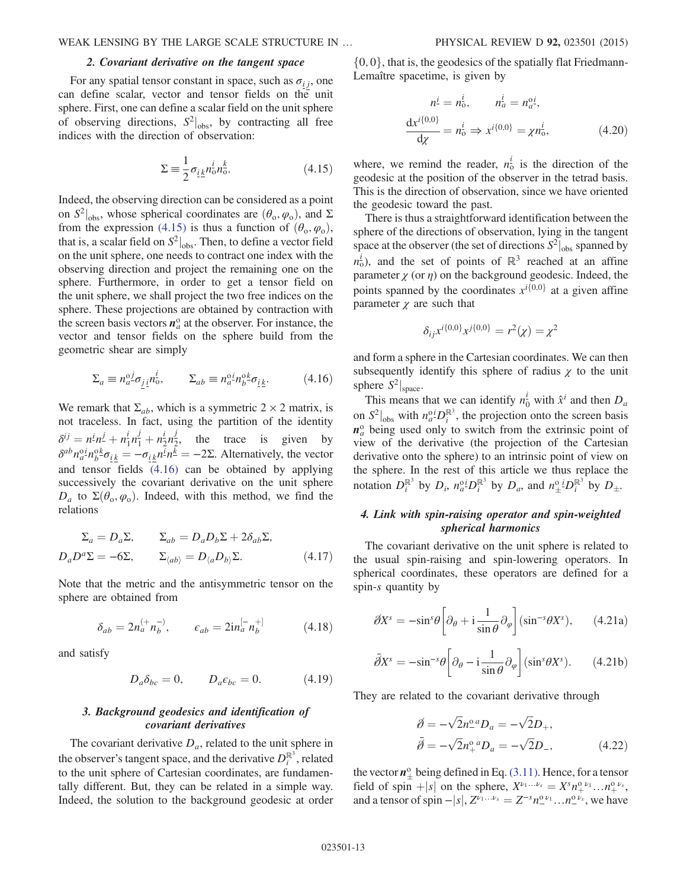#### 2. Covariant derivative on the tangent space

For any spatial tensor constant in space, such as  $\sigma_{i,i}$ , one can define scalar, vector and tensor fields on the unit sphere. First, one can define a scalar field on the unit sphere of observing directions,  $S^2|_{\text{obs}}$ , by contracting all free indices with the direction of observation:

$$
\Sigma \equiv \frac{1}{2} \sigma_{\underline{i}\,\underline{k}} n_{\mathrm{o}}^{\underline{i}} n_{\mathrm{o}}^{\underline{k}}.\tag{4.15}
$$

Indeed, the observing direction can be considered as a point on  $S^2|_{\text{obs}}$ , whose spherical coordinates are  $(\theta_0, \varphi_0)$ , and  $\Sigma$ from the expression (4.15) is thus a function of  $(\theta_0, \varphi_0)$ , that is, a scalar field on  $S^2|_{obs}$ . Then, to define a vector field on the unit sphere, one needs to contract one index with the observing direction and project the remaining one on the sphere. Furthermore, in order to get a tensor field on the unit sphere, we shall project the two free indices on the sphere. These projections are obtained by contraction with the screen basis vectors  $n_a^0$  at the observer. For instance, the vector and tensor fields on the sphere build from the geometric shear are simply

$$
\Sigma_a \equiv n_a^{0j} \sigma_{\underline{j}\,\underline{i}} n_0^{\underline{i}}, \qquad \Sigma_{ab} \equiv n_a^{0i} n_b^{0k} \sigma_{\underline{i}\,\underline{k}}.\tag{4.16}
$$

We remark that  $\Sigma_{ab}$ , which is a symmetric 2 × 2 matrix, is not traceless. In fact, using the partition of the identity  $\delta^{ij} = n^i n^j + n^i_1 n^j_1 + n^i_2 n^j_2$ , the trace is given by<br>  $\delta^{ab}n^{0i}n^{0k}\sigma_{ij} = \sigma_{ij}n^{i}n^{k} = 2\Sigma$  Alternatively the vector  $\delta^{ab} n_a^{\alpha i} n_b^{\alpha} \sigma_{i k} = -\sigma_{i k} n^i n^k = -2\Sigma$ . Alternatively, the vector and tensor fields (4.16) can be obtained by applying successively the covariant derivative on the unit sphere  $D_a$  to  $\Sigma(\theta_0, \varphi_0)$ . Indeed, with this method, we find the relations

$$
\Sigma_a = D_a \Sigma, \qquad \Sigma_{ab} = D_a D_b \Sigma + 2\delta_{ab} \Sigma,
$$
  

$$
D_a D^a \Sigma = -6\Sigma, \qquad \Sigma_{\langle ab \rangle} = D_{\langle a} D_{b \rangle} \Sigma.
$$
 (4.17)

Note that the metric and the antisymmetric tensor on the sphere are obtained from

$$
\delta_{ab} = 2n_a^{(+}n_b^{-)}, \qquad \epsilon_{ab} = 2in_a^{[-}n_b^{+]} \tag{4.18}
$$

and satisfy

$$
D_a \delta_{bc} = 0, \qquad D_a \epsilon_{bc} = 0. \tag{4.19}
$$

# 3. Background geodesics and identification of covariant derivatives

The covariant derivative  $D_a$ , related to the unit sphere in the observer's tangent space, and the derivative  $D_i^{\mathbb{R}^3}$ , related to the unit sphere of Cartesian coordinates, are fundamentally different. But, they can be related in a simple way. Indeed, the solution to the background geodesic at order

 $\{0, 0\}$ , that is, the geodesics of the spatially flat Friedmann-Lemaître spacetime, is given by

$$
n^{\underline{i}} = n^{\underline{i}}_0, \qquad n^{\underline{i}}_a = n^{0i}_a,
$$
  
\n
$$
\frac{dx^{i\{0,0\}}}{dy} = n^{\underline{i}}_0 \Rightarrow x^{i\{0,0\}} = \chi n^{\underline{i}}_0,
$$
\n(4.20)

where, we remind the reader,  $n_0^i$  is the direction of the geodesic at the position of the observer in the tetrad basis. This is the direction of observation, since we have oriented the geodesic toward the past.

There is thus a straightforward identification between the sphere of the directions of observation, lying in the tangent space at the observer (the set of directions  $S^2|_{\text{obs}}$  spanned by  $n_0^i$ ), and the set of points of  $\mathbb{R}^3$  reached at an affine parameter  $\chi$  (or  $\eta$ ) on the background geodesic. Indeed, the points spanned by the coordinates  $x^{i\{0,0\}}$  at a given affine parameter  $\chi$  are such that

$$
\delta_{ij} x^{i\{0,0\}} x^{j\{0,0\}} = r^2(\chi) = \chi^2
$$

and form a sphere in the Cartesian coordinates. We can then subsequently identify this sphere of radius  $\chi$  to the unit sphere  $S^2|_{\text{space}}$ .

This means that we can identify  $n_0^i$  with  $\hat{x}^i$  and then  $D_a$ on  $S^2|_{\text{obs}}$  with  $n_a^{\text{o}i}D_i^{\mathbb{R}^3}$ , the projection onto the screen basis  $n^{\text{o}}$  being used only to switch from the extrinsic point of  $n_a^{\circ}$  being used only to switch from the extrinsic point of view of the derivative (the projection of the Cartesian derivative onto the sphere) to an intrinsic point of view on the sphere. In the rest of this article we thus replace the notation  $D_i^{\mathbb{R}^3}$  by  $D_i$ ,  $n_a^{\circ i}D_i^{\mathbb{R}^3}$  by  $D_a$ , and  $n_{\pm}^{\circ i}D_i^{\mathbb{R}^3}$  by  $D_{\pm}$ .

# 4. Link with spin-raising operator and spin-weighted spherical harmonics

The covariant derivative on the unit sphere is related to the usual spin-raising and spin-lowering operators. In spherical coordinates, these operators are defined for a spin-s quantity by

$$
\partial X^s = -\sin^s \theta \left[ \partial_\theta + i \frac{1}{\sin \theta} \partial_\varphi \right] (\sin^{-s} \theta X^s), \qquad (4.21a)
$$

$$
\bar{\partial}X^s = -\sin^{-s}\theta \left[\partial_\theta - i\frac{1}{\sin\theta}\partial_\varphi\right] (\sin^s \theta X^s). \tag{4.21b}
$$

They are related to the covariant derivative through

$$
\delta = -\sqrt{2}n^{\circ}_{-}{}^{a}D_{a} = -\sqrt{2}D_{+}, \n\bar{\delta} = -\sqrt{2}n^{\circ}_{+}{}^{a}D_{a} = -\sqrt{2}D_{-},
$$
\n(4.22)

the vector  $n_{\pm}^0$  being defined in Eq. (3.11). Hence, for a tensor<br>field of spin  $\pm |s|$  on the sphere  $X^{\nu_1 \dots \nu_s} = X^s n^0 \nu_1 \dots n^0 \nu_s$ field of spin + |s| on the sphere,  $X^{\nu_1 \dots \nu_s} = X^s n_1^{\alpha_1 \nu_1} \dots n_1^{\alpha_1 \nu_s}$ <br>and a tensor of spin - |s|  $Z^{\nu_1 \dots \nu_s} = Z^{-s} n_1^{\alpha_1 \nu_1} \dots n_1^{\alpha_1 \nu_s}$  we have and a tensor of spin  $-|s|$ ,  $Z^{\nu_1 \dots \nu_s} = Z^{-s} n_2^{\circ \nu_1} \dots n_2^{\circ \nu_s}$ , we have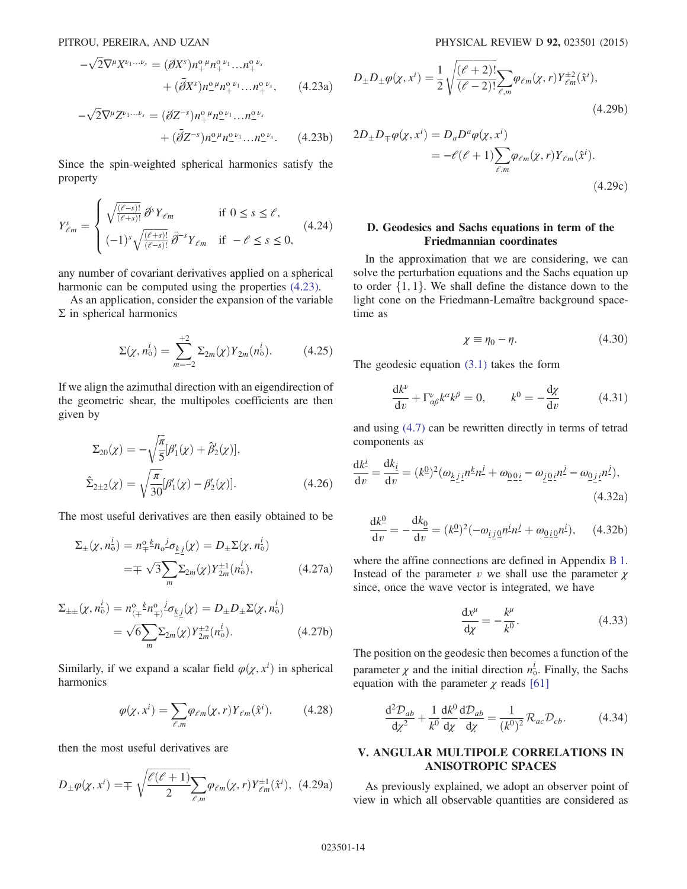$$
-\sqrt{2}\nabla^{\mu}X^{\nu_{1}...\nu_{s}} = (\mathcal{O}X^{s})n_{+}^{\circ}\mu_{n_{+}}^{\circ}\nu_{1}...n_{+}^{\circ}\nu_{s}
$$
  
+  $(\bar{\partial}X^{s})n_{-}^{\circ}\mu_{n_{+}}^{\circ}\nu_{1}...n_{+}^{\circ}\nu_{s},$  (4.23a)  

$$
-\sqrt{2}\nabla^{\mu}Z^{\nu_{1}...\nu_{s}} = (\mathcal{O}Z^{-s})n_{+}^{\circ}\mu_{n_{-}}^{\circ}\nu_{1}...n_{-}^{\circ}\nu_{s}
$$
  
+  $(\bar{\partial}Z^{-s})n_{-}^{\circ}\mu_{n_{-}}^{\circ}\nu_{1}...n_{-}^{\circ}\nu_{s}.$  (4.23b)

Since the spin-weighted spherical harmonics satisfy the property

$$
Y_{\ell m}^s = \begin{cases} \sqrt{\frac{(\ell - s)!}{(\ell + s)!}} \, \delta^s Y_{\ell m} & \text{if } 0 \le s \le \ell, \\ (-1)^s \sqrt{\frac{(\ell + s)!}{(\ell - s)!}} \, \bar{\partial}^{-s} Y_{\ell m} & \text{if } -\ell \le s \le 0, \end{cases} \tag{4.24}
$$

any number of covariant derivatives applied on a spherical harmonic can be computed using the properties  $(4.23)$ .

As an application, consider the expansion of the variable  $\Sigma$  in spherical harmonics

$$
\Sigma(\chi, n_0^{\dot{t}}) = \sum_{m=-2}^{+2} \Sigma_{2m}(\chi) Y_{2m}(n_0^{\dot{t}}). \tag{4.25}
$$

If we align the azimuthal direction with an eigendirection of the geometric shear, the multipoles coefficients are then given by

$$
\Sigma_{20}(\chi) = -\sqrt{\frac{\pi}{5}} [\beta'_1(\chi) + \hat{\beta}'_2(\chi)],
$$
  

$$
\hat{\Sigma}_{2\pm 2}(\chi) = \sqrt{\frac{\pi}{30}} [\beta'_1(\chi) - \beta'_2(\chi)].
$$
 (4.26)

The most useful derivatives are then easily obtained to be

$$
\Sigma_{\pm}(\chi, n_0^{\dot{i}}) = n_{\mp}^{\dot{\alpha}} \kappa_n^{\dot{i}} \sigma_{\underline{k} \cdot \underline{j}}(\chi) = D_{\pm} \Sigma(\chi, n_0^{\dot{i}})
$$
  
=\mp \sqrt{3} \sum\_{m} \Sigma\_{2m}(\chi) Y\_{2m}^{\pm 1}(n\_0^{\dot{i}}), \qquad (4.27a)

$$
\Sigma_{\pm\pm}(\chi, n_0^{\underline{i}}) = n_{\langle \mp}^0 n_{\mp}^0 \gamma^{\underline{j}} \sigma_{\underline{k}\underline{j}}(\chi) = D_{\pm} D_{\pm} \Sigma(\chi, n_0^{\underline{i}})
$$
  
=  $\sqrt{6} \sum_m \Sigma_{2m}(\chi) Y_{2m}^{\pm 2}(n_0^{\underline{i}}).$  (4.27b)

Similarly, if we expand a scalar field  $\varphi(\chi, x^i)$  in spherical<br>harmonics harmonics

$$
\varphi(\chi, x^i) = \sum_{\ell,m} \varphi_{\ell m}(\chi, r) Y_{\ell m}(\hat{x}^i), \qquad (4.28)
$$

then the most useful derivatives are

$$
D_{\pm}\varphi(\chi,x^i) = \mp \sqrt{\frac{\ell(\ell+1)}{2}} \sum_{\ell,m} \varphi_{\ell m}(\chi,r) Y_{\ell m}^{\pm 1}(\hat{x}^i), \tag{4.29a}
$$

$$
D_{\pm}D_{\pm}\varphi(\chi,x^{i}) = \frac{1}{2}\sqrt{\frac{(\ell+2)!}{(\ell-2)!}}\sum_{\ell,m}\varphi_{\ell m}(\chi,r)Y_{\ell m}^{\pm 2}(\hat{x}^{i}),
$$
\n(4.29b)

$$
2D_{\pm}D_{\mp}\varphi(\chi, x^{i}) = D_{a}D^{a}\varphi(\chi, x^{i})
$$
  
=  $-\ell(\ell+1)\sum_{\ell,m}\varphi_{\ell m}(\chi, r)Y_{\ell m}(\hat{x}^{i}).$  (4.29c)

# D. Geodesics and Sachs equations in term of the Friedmannian coordinates

In the approximation that we are considering, we can solve the perturbation equations and the Sachs equation up to order  $\{1, 1\}$ . We shall define the distance down to the light cone on the Friedmann-Lemaître background spacetime as

$$
\chi \equiv \eta_0 - \eta. \tag{4.30}
$$

The geodesic equation (3.1) takes the form

$$
\frac{dk^{\nu}}{dv} + \Gamma^{\nu}_{\alpha\beta}k^{\alpha}k^{\beta} = 0, \qquad k^{0} = -\frac{d\chi}{dv}
$$
 (4.31)

and using (4.7) can be rewritten directly in terms of tetrad components as

$$
\frac{\mathrm{d}k^{\underline{i}}}{\mathrm{d}v} = \frac{\mathrm{d}k_{\underline{i}}}{\mathrm{d}v} = (k^{\underline{0}})^2 (\omega_{\underline{k}\underline{j}\underline{i}} n^{\underline{k}} n^{\underline{j}} + \omega_{\underline{0}\underline{0}\underline{i}} - \omega_{\underline{j}\underline{0}\underline{i}} n^{\underline{j}} - \omega_{\underline{0}\underline{j}\underline{i}} n^{\underline{j}}),\tag{4.32a}
$$

$$
\frac{\mathrm{d}k^{\underline{0}}}{\mathrm{d}v} = -\frac{\mathrm{d}k_{\underline{0}}}{\mathrm{d}v} = (k^{\underline{0}})^2(-\omega_{\underline{i}\underline{j}}\underline{0}n^{\underline{i}}n^{\underline{j}} + \omega_{\underline{0}\underline{i}}\underline{0}n^{\underline{i}}), \quad (4.32b)
$$

where the affine connections are defined in Appendix B 1. Instead of the parameter v we shall use the parameter  $\chi$ since, once the wave vector is integrated, we have

$$
\frac{\mathrm{d}x^{\mu}}{\mathrm{d}\chi} = -\frac{k^{\mu}}{k^0}.\tag{4.33}
$$

The position on the geodesic then becomes a function of the parameter  $\chi$  and the initial direction  $n_o^i$ . Finally, the Sachs equation with the parameter  $\chi$  reads [61]

$$
\frac{\mathrm{d}^2 \mathcal{D}_{ab}}{\mathrm{d} \chi^2} + \frac{1}{k^0} \frac{\mathrm{d} k^0}{\mathrm{d} \chi} \frac{\mathrm{d} \mathcal{D}_{ab}}{\mathrm{d} \chi} = \frac{1}{(k^0)^2} \mathcal{R}_{ac} \mathcal{D}_{cb}.
$$
 (4.34)

# V. ANGULAR MULTIPOLE CORRELATIONS IN ANISOTROPIC SPACES

As previously explained, we adopt an observer point of view in which all observable quantities are considered as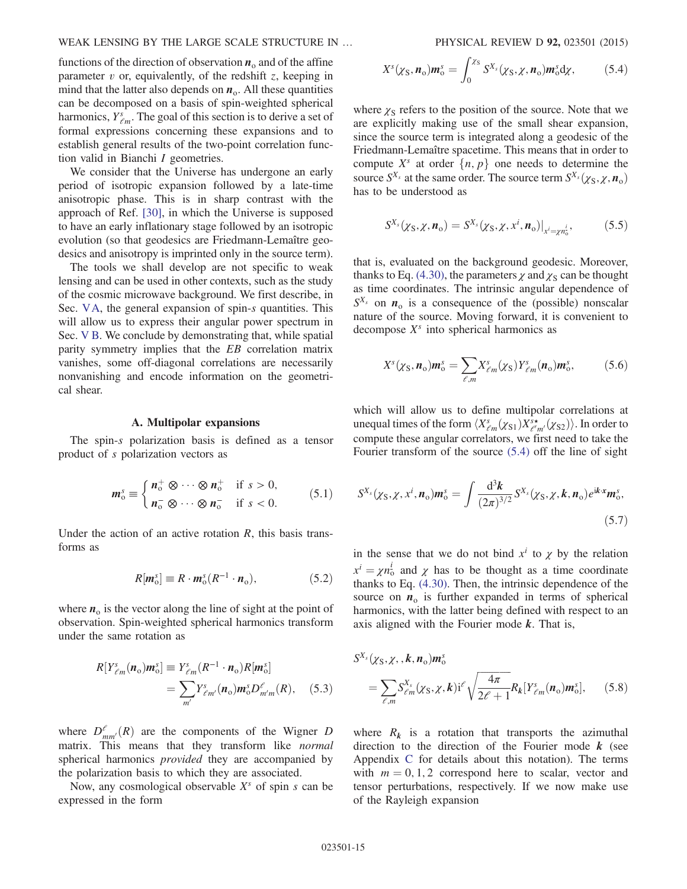functions of the direction of observation  $n_0$  and of the affine parameter  $v$  or, equivalently, of the redshift  $z$ , keeping in mind that the latter also depends on  $n_0$ . All these quantities can be decomposed on a basis of spin-weighted spherical harmonics,  $Y_{\ell m}^s$ . The goal of this section is to derive a set of formal expressions concerning these expansions and to establish general results of the two-point correlation function valid in Bianchi I geometries.

We consider that the Universe has undergone an early period of isotropic expansion followed by a late-time anisotropic phase. This is in sharp contrast with the approach of Ref. [30], in which the Universe is supposed to have an early inflationary stage followed by an isotropic evolution (so that geodesics are Friedmann-Lemaître geodesics and anisotropy is imprinted only in the source term).

The tools we shall develop are not specific to weak lensing and can be used in other contexts, such as the study of the cosmic microwave background. We first describe, in Sec. VA, the general expansion of spin-s quantities. This will allow us to express their angular power spectrum in Sec. V B. We conclude by demonstrating that, while spatial parity symmetry implies that the EB correlation matrix vanishes, some off-diagonal correlations are necessarily nonvanishing and encode information on the geometrical shear.

#### A. Multipolar expansions

The spin-s polarization basis is defined as a tensor product of s polarization vectors as

$$
\mathbf{m}_0^s \equiv \begin{cases} \mathbf{n}_0^+ \otimes \cdots \otimes \mathbf{n}_0^+ & \text{if } s > 0, \\ \mathbf{n}_0^- \otimes \cdots \otimes \mathbf{n}_0^- & \text{if } s < 0. \end{cases} \tag{5.1}
$$

Under the action of an active rotation  $R$ , this basis transforms as

$$
R[\mathbf{m}_{\mathrm{o}}^{s}] \equiv R \cdot \mathbf{m}_{\mathrm{o}}^{s}(R^{-1} \cdot \mathbf{n}_{\mathrm{o}}), \tag{5.2}
$$

where  $n_0$  is the vector along the line of sight at the point of observation. Spin-weighted spherical harmonics transform under the same rotation as

$$
R[Y_{\ell m}^{s}(\boldsymbol{n}_{o})\boldsymbol{m}_{o}^{s}] \equiv Y_{\ell m}^{s}(R^{-1}\cdot\boldsymbol{n}_{o})R[\boldsymbol{m}_{o}^{s}]
$$

$$
= \sum_{m'} Y_{\ell m'}^{s}(\boldsymbol{n}_{o})\boldsymbol{m}_{o}^{s}D_{m'm}^{\ell}(R), \quad (5.3)
$$

where  $D_{mm'}^{\ell}(R)$  are the components of the Wigner D<br>matrix This means that they transform like normal matrix. This means that they transform like normal spherical harmonics provided they are accompanied by the polarization basis to which they are associated.

Now, any cosmological observable  $X<sup>s</sup>$  of spin s can be expressed in the form

$$
X^{s}(\chi_{\mathsf{S}}, \mathbf{n}_{\mathsf{o}})\mathbf{m}_{\mathsf{o}}^{s} = \int_{0}^{\chi_{\mathsf{S}}} S^{X_{s}}(\chi_{\mathsf{S}}, \chi, \mathbf{n}_{\mathsf{o}})\mathbf{m}_{\mathsf{o}}^{s} \mathrm{d}\chi, \tag{5.4}
$$

where  $\chi_{\rm S}$  refers to the position of the source. Note that we are explicitly making use of the small shear expansion, since the source term is integrated along a geodesic of the Friedmann-Lemaître spacetime. This means that in order to compute  $X^s$  at order  $\{n, p\}$  one needs to determine the source  $S^{X_s}$  at the same order. The source term  $S^{X_s}(\chi_S, \chi, n_o)$ has to be understood as

$$
S^{X_s}(\chi_S, \chi, \mathbf{n}_o) = S^{X_s}(\chi_S, \chi, x^i, \mathbf{n}_o)|_{x^i = \chi \mathbf{n}_o^i}, \tag{5.5}
$$

that is, evaluated on the background geodesic. Moreover, thanks to Eq. (4.30), the parameters  $\chi$  and  $\chi$ <sub>S</sub> can be thought as time coordinates. The intrinsic angular dependence of  $S^{X_s}$  on  $n_0$  is a consequence of the (possible) nonscalar nature of the source. Moving forward, it is convenient to decompose  $X<sup>s</sup>$  into spherical harmonics as

$$
X^{s}(\chi_{\mathsf{S}}, \mathbf{n}_{\mathsf{o}})\mathbf{m}_{\mathsf{o}}^{s} = \sum_{\ell,m} X^{s}_{\ell m}(\chi_{\mathsf{S}}) Y^{s}_{\ell m}(\mathbf{n}_{\mathsf{o}})\mathbf{m}_{\mathsf{o}}^{s},\tag{5.6}
$$

which will allow us to define multipolar correlations at unequal times of the form  $\langle X_{\epsilon m}^s(\chi_{S1})X_{\epsilon' m'}^{s*}(\chi_{S2})\rangle$ . In order to compute these angular correlators, we first need to take the compute these angular correlators, we first need to take the Fourier transform of the source (5.4) off the line of sight

$$
S^{X_s}(\chi_S, \chi, x^i, n_\text{o})m_\text{o}^s = \int \frac{\mathrm{d}^3 \boldsymbol{k}}{(2\pi)^{3/2}} S^{X_s}(\chi_S, \chi, \boldsymbol{k}, n_\text{o}) e^{\mathrm{i} \boldsymbol{k} \cdot \boldsymbol{x}} m_\text{o}^s,
$$
\n(5.7)

in the sense that we do not bind  $x^i$  to  $\chi$  by the relation  $x^{i} = \chi n_{0}^{i}$  and  $\chi$  has to be thought as a time coordinate<br>thanks to Eq. (4.30). Then the intrinsic dependence of the thanks to Eq. (4.30). Then, the intrinsic dependence of the source on  $n_0$  is further expanded in terms of spherical harmonics, with the latter being defined with respect to an axis aligned with the Fourier mode  $k$ . That is,

$$
S^{X_s}(\chi_S, \chi, , k, n_o) m_0^s
$$
  
= 
$$
\sum_{\ell,m} S^{X_s}_{\ell m}(\chi_S, \chi, k) i^{\ell} \sqrt{\frac{4\pi}{2\ell+1}} R_k [Y^s_{\ell m} (n_o) m_0^s],
$$
 (5.8)

where  $R_k$  is a rotation that transports the azimuthal direction to the direction of the Fourier mode  $k$  (see Appendix C for details about this notation). The terms with  $m = 0, 1, 2$  correspond here to scalar, vector and tensor perturbations, respectively. If we now make use of the Rayleigh expansion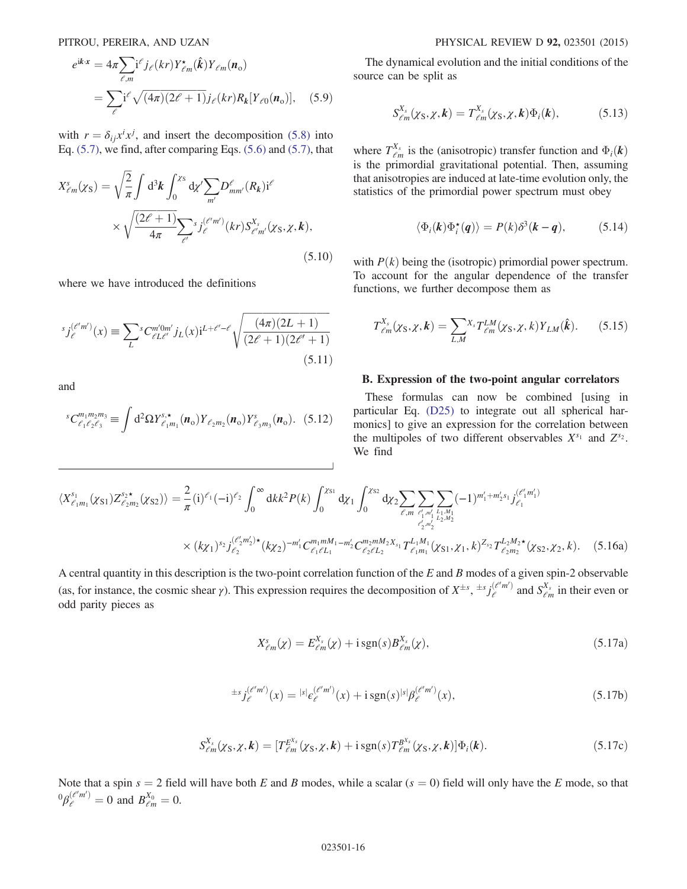$$
e^{ikx} = 4\pi \sum_{\ell,m} i^{\ell} j_{\ell}(kr) Y_{\ell m}^{*}(\hat{k}) Y_{\ell m}(n_{o})
$$
  
= 
$$
\sum_{\ell} i^{\ell} \sqrt{(4\pi)(2\ell+1)} j_{\ell}(kr) R_{k}[Y_{\ell 0}(n_{o})], \quad (5.9)
$$

with  $r = \delta_{ij} x^i x^j$ , and insert the decomposition (5.8) into<br>Eq. (5.7) we find after comparing Eqs. (5.6) and (5.7) that Eq.  $(5.7)$ , we find, after comparing Eqs.  $(5.6)$  and  $(5.7)$ , that

$$
X_{\ell m}^{s}(\chi_{\mathcal{S}}) = \sqrt{\frac{2}{\pi}} \int d^{3}k \int_{0}^{\chi_{\mathcal{S}}} d\chi' \sum_{m'} D_{mm'}^{\ell}(R_{k}) i^{\ell}
$$

$$
\times \sqrt{\frac{(2\ell+1)}{4\pi}} \sum_{\ell'} s_{j}^{(\ell'm')} (kr) S_{\ell'm'}^{X_{s}}(\chi_{\mathcal{S}}, \chi, k), \tag{5.10}
$$

where we have introduced the definitions

$$
s_j(\ell''m')(x) \equiv \sum_{L} S C_{\ell L \ell'}^{m' 0 m'} j_L(x) i^{L + \ell' - \ell} \sqrt{\frac{(4\pi)(2L+1)}{(2\ell+1)(2\ell' + 1)}}
$$
(5.11)

and

$$
{}^{s}C^{m_1m_2m_3}_{\ell_1\ell_2\ell_3} \equiv \int \mathrm{d}^2\Omega Y^{\mathcal{S},\star}_{\ell_1m_1}(\boldsymbol{n}_\mathrm{o}) Y_{\ell_2m_2}(\boldsymbol{n}_\mathrm{o}) Y^{\mathcal{S}}_{\ell_3m_3}(\boldsymbol{n}_\mathrm{o}). \tag{5.12}
$$

The dynamical evolution and the initial conditions of the source can be split as

$$
S_{\ell m}^{X_s}(\chi_S, \chi, \mathbf{k}) = T_{\ell m}^{X_s}(\chi_S, \chi, \mathbf{k}) \Phi_i(\mathbf{k}), \tag{5.13}
$$

where  $T_{\ell m}^{X_s}$  is the (anisotropic) transfer function and  $\Phi_i(\mathbf{k})$ <br>is the primordial gravitational potential. Then assuming is the primordial gravitational potential. Then, assuming that anisotropies are induced at late-time evolution only, the statistics of the primordial power spectrum must obey

$$
\langle \Phi_i(\mathbf{k}) \Phi_i^{\star}(\mathbf{q}) \rangle = P(k) \delta^3(\mathbf{k} - \mathbf{q}), \quad (5.14)
$$

with  $P(k)$  being the (isotropic) primordial power spectrum. To account for the angular dependence of the transfer functions, we further decompose them as

$$
T_{\ell m}^{X_s}(\chi_S, \chi, \mathbf{k}) = \sum_{L,M} X_s T_{\ell m}^{L M}(\chi_S, \chi, k) Y_{L M}(\hat{\mathbf{k}}). \qquad (5.15)
$$

#### B. Expression of the two-point angular correlators

These formulas can now be combined [using in particular Eq. (D25) to integrate out all spherical harmonics] to give an expression for the correlation between the multipoles of two different observables  $X^{s_1}$  and  $Z^{s_2}$ . We find

$$
\langle X_{\ell_{1}m_{1}}^{s_{1}}(\chi_{S1})Z_{\ell_{2}m_{2}}^{s_{2}}(\chi_{S2})\rangle = \frac{2}{\pi} (i)^{\ell_{1}} (-i)^{\ell_{2}} \int_{0}^{\infty} dk k^{2} P(k) \int_{0}^{\chi_{S1}} d\chi_{1} \int_{0}^{\chi_{S2}} d\chi_{2} \sum_{\ell,m} \sum_{\ell_{1}',m_{1}'} \sum_{l_{1},M_{1}'} (-1)^{m_{1}'+m_{2}'s_{1}} j_{\ell_{1}}^{(\ell_{1}'m_{1}')}\n\times (k\chi_{1})^{s_{2}} j_{\ell_{2}}^{(\ell_{2}'m_{2}')^{*}}(k\chi_{2})^{-m_{1}'} C_{\ell_{1}\ell L_{1}}^{m_{1}m_{1}m_{1}-m_{2}'} C_{\ell_{2}\ell L_{2}}^{m_{2}m_{2}M_{2}X_{s_{1}}} T_{\ell_{1}m_{1}}^{L_{1}M_{1}}(\chi_{S1},\chi_{1},k)^{Z_{s_{2}}} T_{\ell_{2}m_{2}}^{L_{2}M_{2}^{*}}(\chi_{S2},\chi_{2},k).
$$
(5.16a)

A central quantity in this description is the two-point correlation function of the  $E$  and  $B$  modes of a given spin-2 observable (as, for instance, the cosmic shear  $\gamma$ ). This expression requires the decomposition of  $X^{\pm s}$ ,  $\frac{f^{s'}(m')}{f}$  and  $S_{\ell m}^{X_s}$  in their even or odd parity pieces as

$$
X_{\ell m}^s(\chi) = E_{\ell m}^{X_s}(\chi) + i \operatorname{sgn}(s) B_{\ell m}^{X_s}(\chi), \tag{5.17a}
$$

$$
\pm s_j \mathcal{E}^{(\ell'm')}(x) = |s| \mathcal{E}^{(\ell'm')}_{\ell}(x) + i \operatorname{sgn}(s)|s| \beta_{\ell}^{(\ell'm')}(x), \tag{5.17b}
$$

$$
S_{\ell m}^{X_s}(\chi_S, \chi, \mathbf{k}) = [T_{\ell m}^{E^{X_s}}(\chi_S, \chi, \mathbf{k}) + i \operatorname{sgn}(s) T_{\ell m}^{B^{X_s}}(\chi_S, \chi, \mathbf{k})] \Phi_i(\mathbf{k}). \tag{5.17c}
$$

Note that a spin  $s = 2$  field will have both E and B modes, while a scalar  $(s = 0)$  field will only have the E mode, so that  ${}^0\beta_{\ell}^{(\ell'm')}=0$  and  $B_{\ell m}^{X_0}=0$ .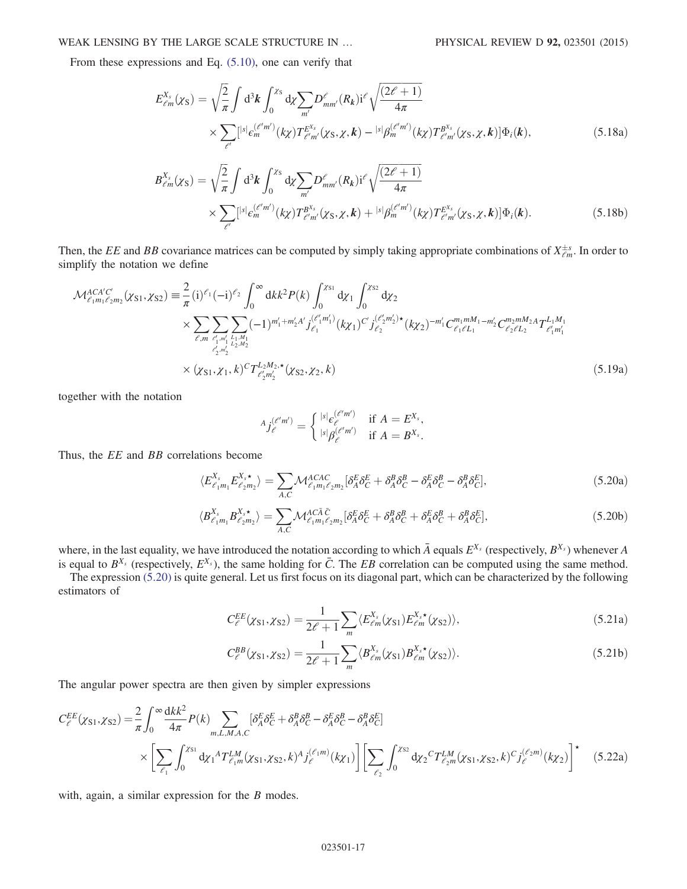From these expressions and Eq. (5.10), one can verify that

$$
E_{\ell m}^{X_s}(\chi_S) = \sqrt{\frac{2}{\pi}} \int d^3k \int_0^{\chi_S} d\chi \sum_{m'} D_{mm'}^{\ell}(R_k) i^{\ell} \sqrt{\frac{(2\ell+1)}{4\pi}} \times \sum_{\ell'} [s| \epsilon_m^{(\ell'm')} (k\chi) T_{\ell'm'}^{Ex_s}(\chi_S, \chi, \mathbf{k}) - |s| \beta_m^{(\ell'm')} (k\chi) T_{\ell'm'}^{B^X_s}(\chi_S, \chi, \mathbf{k})] \Phi_i(\mathbf{k}),
$$
\n(5.18a)

$$
B_{\ell m}^{X_s}(\chi_S) = \sqrt{\frac{2}{\pi}} \int d^3k \int_0^{\chi_S} d\chi \sum_{m'} D_{mm'}^{\ell}(R_k) i^{\ell} \sqrt{\frac{(2\ell+1)}{4\pi}} \\ \times \sum_{\ell'} [ |s| \epsilon_m^{(\ell'm')} (k\chi) T_{\ell'm'}^{BX_s}(\chi_S, \chi, k) + |s| \beta_m^{(\ell'm')} (k\chi) T_{\ell'm'}^{EX_s}(\chi_S, \chi, k)] \Phi_i(k).
$$
 (5.18b)

Then, the EE and BB covariance matrices can be computed by simply taking appropriate combinations of  $X_{\ell m}^{\pm s}$ . In order to simplify the notation we define

$$
\mathcal{M}^{ACA'C'}_{\ell_{1}m_{1}\ell_{2}m_{2}}(\chi_{S1},\chi_{S2}) \equiv \frac{2}{\pi} (i)^{\ell_{1}} (-i)^{\ell_{2}} \int_{0}^{\infty} dk k^{2} P(k) \int_{0}^{\chi_{S1}} d\chi_{1} \int_{0}^{\chi_{S2}} d\chi_{2} \times \sum_{\ell_{1}m_{1}'} \sum_{\ell_{1}m_{1}'} (-1)^{m_{1}'+m_{2}'} \int_{\ell_{1}'}^{\ell_{1}m_{1}'} (k\chi_{1})^{C'} j_{\ell_{2}}^{(\ell_{2}'m_{2}')\star} (k\chi_{2})^{-m_{1}'} C_{\ell_{1}\ell L_{1}}^{m_{1}m_{1}m_{1}-m_{2}'} C_{\ell_{2}\ell L_{2}}^{m_{2}m_{2}M_{2}L_{1}M_{1}} \times (\chi_{S1},\chi_{1},k)^{C} T_{\ell_{2}'}^{L_{2}M_{2}} \times (\chi_{S2},\chi_{2},k)
$$
\n
$$
(5.19a)
$$

together with the notation

$$
^A j_{\ell}^{(\ell'm')} = \begin{cases} |s| \epsilon_{\ell}^{(\ell'm')} & \text{if } A = E^{X_s}, \\ |s| \beta_{\ell}^{(\ell'm')} & \text{if } A = B^{X_s}. \end{cases}
$$

Thus, the EE and BB correlations become

$$
\langle E_{\ell_1 m_1}^{X_s} E_{\ell_2 m_2}^{X_s \star} \rangle = \sum_{A,C} \mathcal{M}_{\ell_1 m_1 \ell_2 m_2}^{ACAC} [\delta_A^E \delta_C^E + \delta_A^B \delta_C^B - \delta_A^E \delta_C^B - \delta_A^B \delta_C^E], \tag{5.20a}
$$

$$
\langle B_{\ell_1 m_1}^{X_s} B_{\ell_2 m_2}^{X_s \star} \rangle = \sum_{A,C} \mathcal{M}_{\ell_1 m_1 \ell_2 m_2}^{A C \bar{A} \bar{C}} [\delta_A^E \delta_C^E + \delta_A^B \delta_C^B + \delta_A^E \delta_C^B + \delta_A^B \delta_C^E],\tag{5.20b}
$$

where, in the last equality, we have introduced the notation according to which  $\bar{A}$  equals  $E^{X_s}$  (respectively,  $B^{X_s}$ ) whenever A is equal to  $B^{X_s}$  (respectively,  $E^{X_s}$ ), the same holding for  $\overline{C}$ . The  $\overline{EB}$  correlation can be computed using the same method.

The expression  $(5.20)$  is quite general. Let us first focus on its diagonal part, which can be characterized by the following estimators of

$$
C_{\ell}^{EE}(\chi_{S1},\chi_{S2}) = \frac{1}{2\ell+1} \sum_{m} \langle E_{\ell m}^{X_s}(\chi_{S1}) E_{\ell m}^{X_s \star}(\chi_{S2}) \rangle, \tag{5.21a}
$$

$$
C_{\ell}^{BB}(\chi_{S1},\chi_{S2}) = \frac{1}{2\ell+1} \sum_{m} \langle B_{\ell m}^{X_s}(\chi_{S1}) B_{\ell m}^{X_s \star}(\chi_{S2}) \rangle.
$$
 (5.21b)

The angular power spectra are then given by simpler expressions

$$
C_{\ell}^{EE}(\chi_{S1},\chi_{S2}) = \frac{2}{\pi} \int_0^{\infty} \frac{dkk^2}{4\pi} P(k) \sum_{m,L,M,A,C} [\delta_A^E \delta_C^E + \delta_A^B \delta_C^B - \delta_A^E \delta_C^B - \delta_A^B \delta_C^E] \times \left[ \sum_{\ell_1} \int_0^{\chi_{S1}} d\chi_1^A T_{\ell_1 m}^{LM}(\chi_{S1},\chi_{S2},k)^A j_{\ell}^{(\ell_1 m)}(k\chi_1) \right] \left[ \sum_{\ell_2} \int_0^{\chi_{S2}} d\chi_2^C T_{\ell_2 m}^{LM}(\chi_{S1},\chi_{S2},k)^C j_{\ell}^{(\ell_2 m)}(k\chi_2) \right]^{\star} \tag{5.22a}
$$

with, again, a similar expression for the B modes.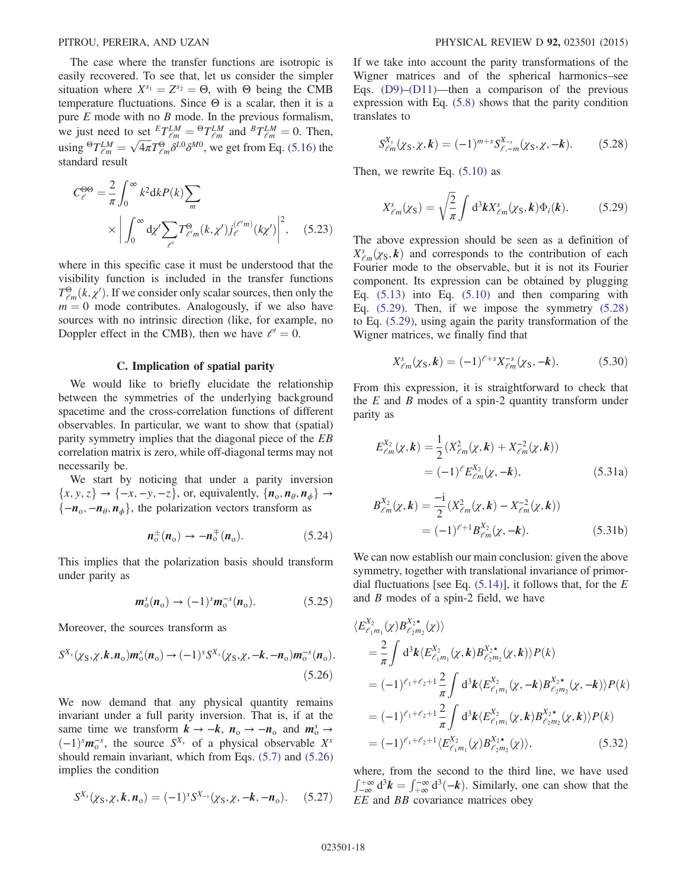The case where the transfer functions are isotropic is easily recovered. To see that, let us consider the simpler situation where  $X^{s_1} = Z^{s_2} = \Theta$ , with  $\Theta$  being the CMB temperature fluctuations. Since  $\Theta$  is a scalar, then it is a pure  $E$  mode with no  $B$  mode. In the previous formalism, we just need to set  ${}^E T_{\ell m}^{LM} = {}^{\Theta} T_{\ell m}^{LM}$  and  ${}^B T_{\ell m}^{LM} = 0$ . Then,<br>using  ${}^{\Theta} T_{\ell m}^{LM} = \sqrt{4\pi} T_{\ell m}^{\Theta} \delta^{L0} \delta^{M0}$ , we get from Eq. (5.16) the<br>standard result standard result

$$
C_{\ell}^{\Theta \Theta} = \frac{2}{\pi} \int_0^{\infty} k^2 \mathrm{d}k P(k) \sum_m
$$
  
 
$$
\times \left| \int_0^{\infty} \mathrm{d} \chi' \sum_{\ell'} T_{\ell'm}^{\Theta}(k, \chi') j_{\ell}^{(\ell'm)}(k \chi') \right|^2, \quad (5.23)
$$

where in this specific case it must be understood that the visibility function is included in the transfer functions  $T_{\epsilon m}^{\Theta}(k, \chi')$ . If we consider only scalar sources, then only the  $\epsilon m = 0$  mode contributes. Analogously, if we also have  $m = 0$  mode contributes. Analogously, if we also have sources with no intrinsic direction (like, for example, no Doppler effect in the CMB), then we have  $\ell' = 0$ .

#### C. Implication of spatial parity

We would like to briefly elucidate the relationship between the symmetries of the underlying background spacetime and the cross-correlation functions of different observables. In particular, we want to show that (spatial) parity symmetry implies that the diagonal piece of the EB correlation matrix is zero, while off-diagonal terms may not necessarily be.

We start by noticing that under a parity inversion  $\{x, y, z\} \rightarrow \{-x, -y, -z\}$ , or, equivalently,  $\{\boldsymbol{n}_0, \boldsymbol{n}_\theta, \boldsymbol{n}_\phi\} \rightarrow$  $\{-n_{\rho}, -n_{\theta}, n_{\phi}\}\$ , the polarization vectors transform as

$$
\mathbf{n}_o^{\pm}(\mathbf{n}_o) \to -\mathbf{n}_o^{\mp}(\mathbf{n}_o). \tag{5.24}
$$

This implies that the polarization basis should transform under parity as

$$
\mathbf{m}_\mathrm{o}^s(\mathbf{n}_\mathrm{o}) \rightarrow (-1)^s \mathbf{m}_\mathrm{o}^{-s}(\mathbf{n}_\mathrm{o}). \tag{5.25}
$$

Moreover, the sources transform as

$$
S^{X_s}(\chi_S, \chi, k, n_\text{o}) m_\text{o}^s(n_\text{o}) \rightarrow (-1)^s S^{X_s}(\chi_S, \chi, -k, -n_\text{o}) m_\text{o}^{-s}(n_\text{o}).
$$
\n
$$
(5.26)
$$

We now demand that any physical quantity remains invariant under a full parity inversion. That is, if at the same time we transform  $k \to -k$ ,  $n_{o} \to -n_{o}$  and  $m_{o}^{s} \to$  $(-1)^s m_0^{-s}$ , the source  $S^{X_s}$  of a physical observable  $X^s$ <br>should remain invariant which from Eqs. (5.7) and (5.26) should remain invariant, which from Eqs. (5.7) and (5.26) implies the condition

$$
S^{X_s}(\chi_S, \chi, \mathbf{k}, \mathbf{n}_o) = (-1)^s S^{X_{-s}}(\chi_S, \chi, -\mathbf{k}, -\mathbf{n}_o). \quad (5.27)
$$

If we take into account the parity transformations of the Wigner matrices and of the spherical harmonics–see Eqs. (D9)–(D11)—then a comparison of the previous expression with Eq. (5.8) shows that the parity condition translates to

$$
S_{\ell m}^{X_s}(\chi_S, \chi, \mathbf{k}) = (-1)^{m+s} S_{\ell, -m}^{X_{-s}}(\chi_S, \chi, -\mathbf{k}).
$$
 (5.28)

Then, we rewrite Eq.  $(5.10)$  as

$$
X_{\ell m}^s(\chi_{\rm S}) = \sqrt{\frac{2}{\pi}} \int \mathrm{d}^3 k X_{\ell m}^s(\chi_{\rm S}, k) \Phi_i(k). \tag{5.29}
$$

The above expression should be seen as a definition of  $X_{\text{em}}^{s}(\chi_{\text{S}}, \mathbf{k})$  and corresponds to the contribution of each Equrier mode to the observable but it is not its Equrier Fourier mode to the observable, but it is not its Fourier component. Its expression can be obtained by plugging Eq.  $(5.13)$  into Eq.  $(5.10)$  and then comparing with Eq.  $(5.29)$ . Then, if we impose the symmetry  $(5.28)$ to Eq. (5.29), using again the parity transformation of the Wigner matrices, we finally find that

$$
X_{\ell m}^s(\chi_S, \mathbf{k}) = (-1)^{\ell+s} X_{\ell m}^{-s}(\chi_S, -\mathbf{k}).
$$
 (5.30)

From this expression, it is straightforward to check that the  $E$  and  $B$  modes of a spin-2 quantity transform under parity as

$$
E_{\ell m}^{X_2}(\chi, \mathbf{k}) = \frac{1}{2} (X_{\ell m}^2(\chi, \mathbf{k}) + X_{\ell m}^{-2}(\chi, \mathbf{k}))
$$
  
=  $(-1)^{\ell} E_{\ell m}^{X_2}(\chi, -\mathbf{k}),$  (5.31a)

$$
B_{\ell m}^{X_2}(\chi, \mathbf{k}) = \frac{-i}{2} (X_{\ell m}^2(\chi, \mathbf{k}) - X_{\ell m}^{-2}(\chi, \mathbf{k}))
$$
  
=  $(-1)^{\ell+1} B_{\ell m}^{X_2}(\chi, -\mathbf{k}).$  (5.31b)

We can now establish our main conclusion: given the above symmetry, together with translational invariance of primordial fluctuations [see Eq.  $(5.14)$ ], it follows that, for the E and B modes of a spin-2 field, we have

$$
\langle E_{\ell_1 m_1}^{X_2}(\chi) B_{\ell_2 m_2}^{X_2 \star}(\chi) \rangle
$$
  
\n= $\frac{2}{\pi} \int d^3k \langle E_{\ell_1 m_1}^{X_2}(\chi, k) B_{\ell_2 m_2}^{X_2 \star}(\chi, k) \rangle P(k)$   
\n= $(-1)^{\ell_1 + \ell_2 + 1} \frac{2}{\pi} \int d^3k \langle E_{\ell_1 m_1}^{X_2}(\chi, -k) B_{\ell_2 m_2}^{X_2 \star}(\chi, -k) \rangle P(k)$   
\n= $(-1)^{\ell_1 + \ell_2 + 1} \frac{2}{\pi} \int d^3k \langle E_{\ell_1 m_1}^{X_2}(\chi, k) B_{\ell_2 m_2}^{X_2 \star}(\chi, k) \rangle P(k)$   
\n= $(-1)^{\ell_1 + \ell_2 + 1} \langle E_{\ell_1 m_1}^{X_2}(\chi) B_{\ell_2 m_2}^{X_2 \star}(\chi) \rangle$ , (5.32)

where, from the second to the third line, we have used  $\int_{-\infty}^{+\infty} d^3k = \int_{-\infty}^{+\infty} d^3(-k)$ . Similarly, one can show that the  $FE$  and  $BR$  covariance matrices obey. EE and BB covariance matrices obey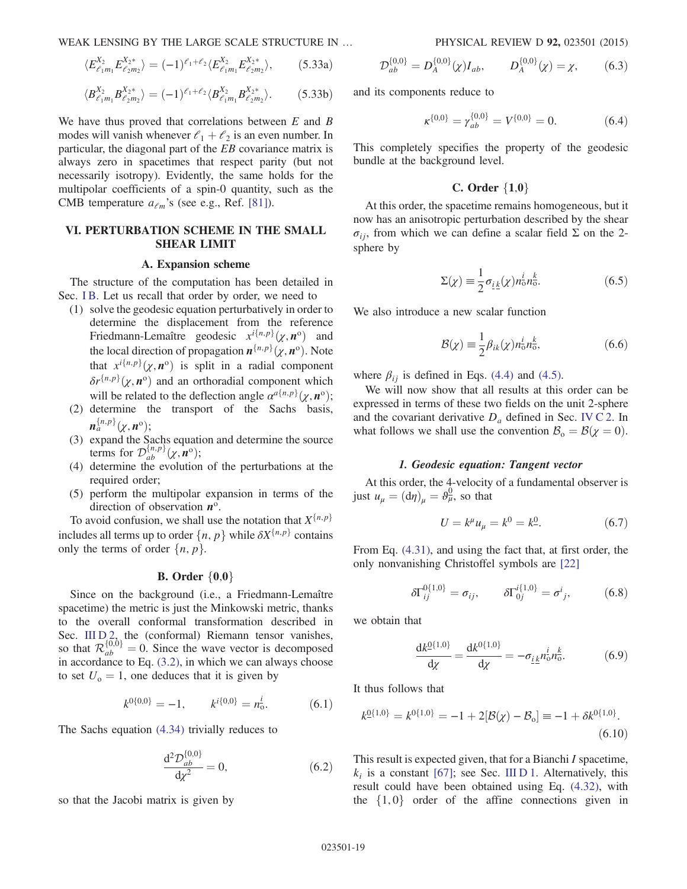$$
\langle E_{\ell_1 m_1}^{X_2} E_{\ell_2 m_2}^{X_2*} \rangle = (-1)^{\ell_1 + \ell_2} \langle E_{\ell_1 m_1}^{X_2} E_{\ell_2 m_2}^{X_2*} \rangle, \qquad (5.33a)
$$

$$
\langle B_{\ell_1 m_1}^{X_2} B_{\ell_2 m_2}^{X_2*} \rangle = (-1)^{\ell_1 + \ell_2} \langle B_{\ell_1 m_1}^{X_2} B_{\ell_2 m_2}^{X_2*} \rangle. \tag{5.33b}
$$

We have thus proved that correlations between  $E$  and  $B$ modes will vanish whenever  $\ell_1 + \ell_2$  is an even number. In particular, the diagonal part of the EB covariance matrix is always zero in spacetimes that respect parity (but not necessarily isotropy). Evidently, the same holds for the multipolar coefficients of a spin-0 quantity, such as the CMB temperature  $a_{\ell m}$ 's (see e.g., Ref. [81]).

# VI. PERTURBATION SCHEME IN THE SMALL SHEAR LIMIT

#### A. Expansion scheme

The structure of the computation has been detailed in Sec. I B. Let us recall that order by order, we need to

- (1) solve the geodesic equation perturbatively in order to determine the displacement from the reference Friedmann-Lemaître geodesic  $x^{i\{n,p\}}(\chi, n^{\circ})$  and the local direction of propagation  $n^{\{n,p\}}(\chi, n^{\circ})$ . Note that  $x^{i\{n,p\}}(\gamma, n^{\circ})$  is split in a radial component  $\delta r^{\{n,p\}}(\chi,n^{\circ})$  and an orthoradial component which will be related to the deflection angle  $\alpha^{a\{n,p\}}(\chi, n^{\circ});$
- (2) determine the transport of the Sachs basis,  $\mathbf{n}_a^{\{n,p\}}(\chi,\mathbf{n}^\mathrm{o});$
- (3) expand the Sachs equation and determine the source terms for  $\mathcal{D}_{ab}^{\{n,p\}}(\chi, n^{\circ});$ <br>determine the evolution
- (4) determine the evolution of the perturbations at the required order;
- (5) perform the multipolar expansion in terms of the direction of observation  $n^{\circ}$ .

To avoid confusion, we shall use the notation that  $X^{\{n,p\}}$ includes all terms up to order  $\{n, p\}$  while  $\delta X^{\{n,p\}}$  contains only the terms of order  $\{n, p\}.$ 

#### B. Order  $\{0,0\}$

Since on the background (i.e., a Friedmann-Lemaître spacetime) the metric is just the Minkowski metric, thanks to the overall conformal transformation described in Sec. III  $D_2$ , the (conformal) Riemann tensor vanishes, so that  $\mathcal{R}_{ab}^{\{0,0\}} = 0$ . Since the wave vector is decomposed<br>in accordance to Eq. (3.2), in which we can always choose in accordance to Eq. (3.2), in which we can always choose to set  $U_0 = 1$ , one deduces that it is given by

$$
k^{0{0,0}} = -1,
$$
  $k^{i{0,0}} = n_0^i.$  (6.1)

The Sachs equation (4.34) trivially reduces to

$$
\frac{d^2 \mathcal{D}_{ab}^{\{0,0\}}}{d \chi^2} = 0, \tag{6.2}
$$

so that the Jacobi matrix is given by

$$
\mathcal{D}_{ab}^{\{0,0\}} = D_A^{\{0,0\}}(\chi) I_{ab}, \qquad D_A^{\{0,0\}}(\chi) = \chi,\tag{6.3}
$$

and its components reduce to

$$
\kappa^{\{0,0\}} = \gamma_{ab}^{\{0,0\}} = V^{\{0,0\}} = 0. \tag{6.4}
$$

This completely specifies the property of the geodesic bundle at the background level.

#### C. Order  $\{1,0\}$

At this order, the spacetime remains homogeneous, but it now has an anisotropic perturbation described by the shear  $\sigma_{ij}$ , from which we can define a scalar field Σ on the 2sphere by

$$
\Sigma(\chi) \equiv \frac{1}{2} \sigma_{\underline{i}\,\underline{k}}(\chi) n_0^{\underline{i}} n_0^{\underline{k}}.\tag{6.5}
$$

We also introduce a new scalar function

$$
\mathcal{B}(\chi) \equiv \frac{1}{2} \beta_{ik}(\chi) n_0^i n_0^k, \tag{6.6}
$$

where  $\beta_{ij}$  is defined in Eqs. (4.4) and (4.5).

We will now show that all results at this order can be expressed in terms of these two fields on the unit 2-sphere and the covariant derivative  $D_a$  defined in Sec. IV C 2. In what follows we shall use the convention  $\mathcal{B}_{o} = \mathcal{B}(\chi = 0)$ .

# 1. Geodesic equation: Tangent vector

At this order, the 4-velocity of a fundamental observer is just  $u_{\mu} = (d\eta)_{\mu} = \vartheta_{\mu}^{0}$ , so that

$$
U = k^{\mu} u_{\mu} = k^0 = k^0.
$$
 (6.7)

From Eq. (4.31), and using the fact that, at first order, the only nonvanishing Christoffel symbols are [22]

$$
\delta\Gamma_{ij}^{0\{1,0\}} = \sigma_{ij}, \qquad \delta\Gamma_{0j}^{i\{1,0\}} = \sigma^i{}_j, \qquad (6.8)
$$

we obtain that

$$
\frac{dk_{\ell}^{0\{1,0\}}}{dy} = \frac{dk_{\ell}^{0\{1,0\}}}{dy} = -\sigma_{\underline{i}\underline{k}} n_{0}^{\underline{i}} n_{0}^{\underline{k}}.
$$
 (6.9)

It thus follows that

$$
k^{\mathfrak{Q}\{1,0\}} = k^{0\{1,0\}} = -1 + 2[\mathcal{B}(\chi) - \mathcal{B}_0] \equiv -1 + \delta k^{0\{1,0\}}.
$$
\n(6.10)

This result is expected given, that for a Bianchi I spacetime,  $k_i$  is a constant [67]; see Sec. III D 1. Alternatively, this result could have been obtained using Eq. (4.32), with the  $\{1, 0\}$  order of the affine connections given in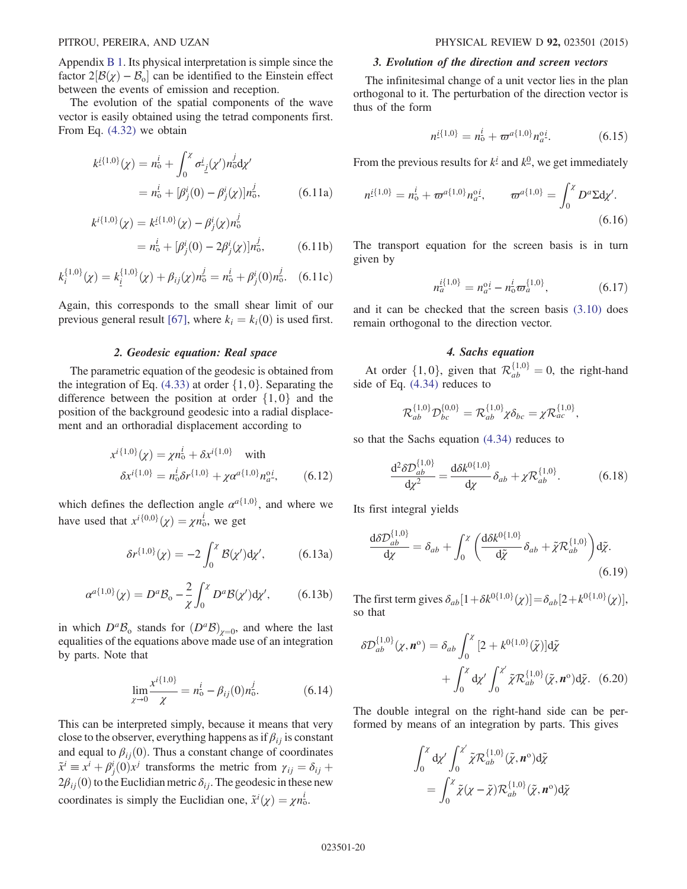Appendix B 1. Its physical interpretation is simple since the factor  $2[\mathcal{B}(\chi) - \mathcal{B}_0]$  can be identified to the Einstein effect between the events of emission and reception.

The evolution of the spatial components of the wave vector is easily obtained using the tetrad components first. From Eq. (4.32) we obtain

$$
k^{\underline{i}\{1,0\}}(\chi) = n_0^{\underline{i}} + \int_0^\chi \sigma^{\underline{i}}_{\underline{j}}(\chi') n_0^{\underline{j}} d\chi'
$$
  
=  $n_0^{\underline{i}} + [\beta_j^i(0) - \beta_j^i(\chi)] n_0^{\underline{j}}$ , (6.11a)

$$
k^{i{1,0}}(\chi) = k^{i{1,0}}(\chi) - \beta^i_j(\chi)n^j_{\text{o}}
$$
  
=  $n^i_{\text{o}} + [\beta^i_j(0) - 2\beta^i_j(\chi)]n^j_{\text{o}},$  (6.11b)

$$
k_i^{\{1,0\}}(\chi) = k_{\underline{i}}^{\{1,0\}}(\chi) + \beta_{ij}(\chi)n_{\underline{0}}^{\underline{j}} = n_{\underline{0}}^{\underline{i}} + \beta_j^{\underline{i}}(0)n_{\underline{0}}^{\underline{j}}.
$$
 (6.11c)

Again, this corresponds to the small shear limit of our previous general result [67], where  $k_i = k_i(0)$  is used first.

#### 2. Geodesic equation: Real space

The parametric equation of the geodesic is obtained from the integration of Eq.  $(4.33)$  at order  $\{1, 0\}$ . Separating the difference between the position at order  $\{1, 0\}$  and the position of the background geodesic into a radial displacement and an orthoradial displacement according to

$$
x^{i\{1,0\}}(x) = \chi n_o^{\underline{i}} + \delta x^{i\{1,0\}} \quad \text{with}
$$

$$
\delta x^{i\{1,0\}} = n_o^{\underline{i}} \delta r^{\{1,0\}} + \chi \alpha^{a\{1,0\}} n_a^{\text{o} \underline{i}}, \qquad (6.12)
$$

which defines the deflection angle  $\alpha^{a\{1,0\}}$ , and where we have used that  $x^{i{0,0}}(x) = \chi n_0^i$ , we get

$$
\delta r^{\{1,0\}}(\chi) = -2 \int_0^\chi \mathcal{B}(\chi') \mathrm{d}\chi', \tag{6.13a}
$$

$$
\alpha^{a\{1,0\}}(\chi) = D^a \mathcal{B}_0 - \frac{2}{\chi} \int_0^{\chi} D^a \mathcal{B}(\chi') \mathrm{d}\chi', \qquad (6.13b)
$$

in which  $D^a \mathcal{B}_0$  stands for  $(D^a \mathcal{B})_{\gamma=0}$ , and where the last equalities of the equations above made use of an integration by parts. Note that

$$
\lim_{\chi \to 0} \frac{x^{i\{1,0\}}}{\chi} = n_o^i - \beta_{ij}(0)n_o^j.
$$
 (6.14)

This can be interpreted simply, because it means that very close to the observer, everything happens as if  $\beta_{ij}$  is constant and equal to  $\beta_{ij}(0)$ . Thus a constant change of coordinates  $\tilde{x}^i \equiv x^i + \beta^i_j(0)x^j$  transforms the metric from  $\gamma_{ij} = \delta_{ij} + 2\beta_{ij}(0)$  to the Euclidian metric  $\delta$ . The goodesign these news  $2\beta_{ij}(0)$  to the Euclidian metric  $\delta_{ij}$ . The geodesic in these new coordinates is simply the Euclidian one,  $\tilde{x}^i(\chi) = \chi n_0^i$ .

# 3. Evolution of the direction and screen vectors

The infinitesimal change of a unit vector lies in the plan orthogonal to it. The perturbation of the direction vector is thus of the form

$$
n^{\underline{i}\{1,0\}} = n_0^{\underline{i}} + \varpi^{a\{1,0\}} n_a^{\text{o}\underline{i}}.\tag{6.15}
$$

From the previous results for  $k^{\underline{i}}$  and  $k^{\underline{0}}$ , we get immediately

$$
n^{\underline{i}\{1,0\}} = n_0^{\underline{i}} + \varpi^{a\{1,0\}} n_a^{o\underline{i}}, \qquad \varpi^{a\{1,0\}} = \int_0^\chi D^a \Sigma \mathrm{d} \chi'. \tag{6.16}
$$

The transport equation for the screen basis is in turn given by

$$
n_a^{i\{1,0\}} = n_a^{0i} - n_0^i \varpi_a^{\{1,0\}}, \tag{6.17}
$$

and it can be checked that the screen basis (3.10) does remain orthogonal to the direction vector.

# 4. Sachs equation

At order  $\{1,0\}$ , given that  $\mathcal{R}_{ab}^{\{1,0\}} = 0$ , the right-hand side of Eq. (4.34) reduces to

$$
\mathcal{R}_{ab}^{\{1,0\}}\mathcal{D}_{bc}^{\{0,0\}}=\mathcal{R}_{ab}^{\{1,0\}}\chi\delta_{bc}=\chi\mathcal{R}_{ac}^{\{1,0\}},
$$

so that the Sachs equation (4.34) reduces to

$$
\frac{d^2 \delta D_{ab}^{\{1,0\}}}{dy^2} = \frac{d \delta k^{0\{1,0\}}}{dy} \delta_{ab} + \chi \mathcal{R}_{ab}^{\{1,0\}}.
$$
 (6.18)

Its first integral yields

$$
\frac{\mathrm{d}\delta \mathcal{D}_{ab}^{\{1,0\}}}{\mathrm{d}\chi} = \delta_{ab} + \int_0^\chi \left( \frac{\mathrm{d}\delta k^{0\{1,0\}}}{\mathrm{d}\tilde{\chi}} \delta_{ab} + \tilde{\chi} \mathcal{R}_{ab}^{\{1,0\}} \right) \mathrm{d}\tilde{\chi}.\tag{6.19}
$$

The first term gives  $\delta_{ab}[1+\delta k^{0{1,0}}(\chi)] = \delta_{ab}[2+k^{0{1,0}}(\chi)]$ , so that

$$
\delta \mathcal{D}_{ab}^{\{1,0\}}(\chi,\boldsymbol{n}^{\text{o}}) = \delta_{ab} \int_0^{\chi} [2 + k^{0\{1,0\}}(\tilde{\chi})] \mathrm{d}\tilde{\chi} + \int_0^{\chi} \mathrm{d}\chi' \int_0^{\chi'} \tilde{\chi} \mathcal{R}_{ab}^{\{1,0\}}(\tilde{\chi},\boldsymbol{n}^{\text{o}}) \mathrm{d}\tilde{\chi}. \tag{6.20}
$$

The double integral on the right-hand side can be performed by means of an integration by parts. This gives

$$
\int_0^{\chi} d\chi' \int_0^{\chi'} \tilde{\chi} \mathcal{R}_{ab}^{\{1,0\}}(\tilde{\chi}, \boldsymbol{n}^{\circ}) d\tilde{\chi}
$$
  
= 
$$
\int_0^{\chi} \tilde{\chi}(\chi - \tilde{\chi}) \mathcal{R}_{ab}^{\{1,0\}}(\tilde{\chi}, \boldsymbol{n}^{\circ}) d\tilde{\chi}
$$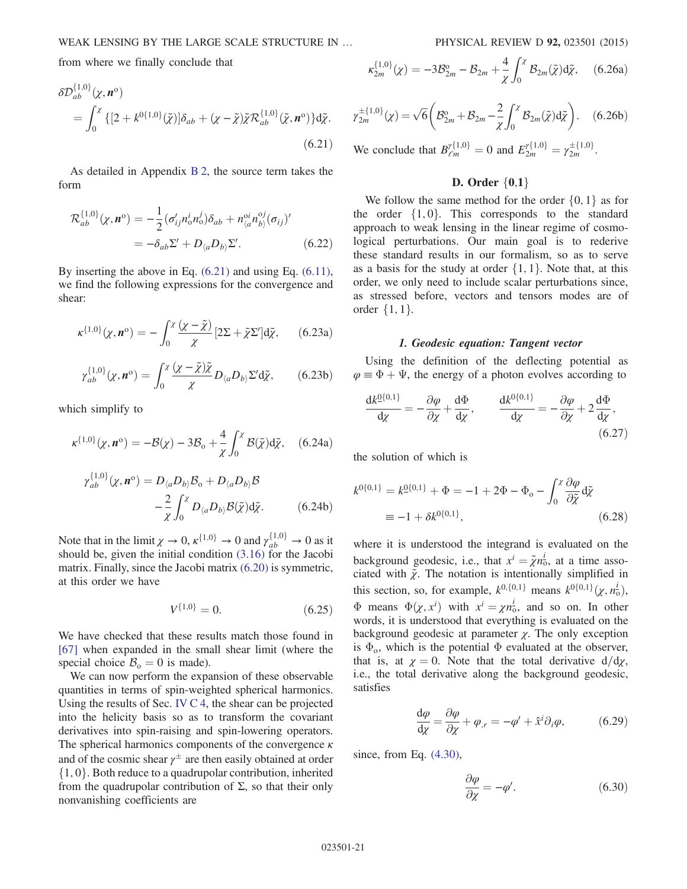from where we finally conclude that

$$
\delta \mathcal{D}_{ab}^{\{1,0\}}(\chi, \mathbf{n}^{\circ})
$$
  
=  $\int_0^{\chi} \{ [2 + k^{0\{1,0\}}(\tilde{\chi})] \delta_{ab} + (\chi - \tilde{\chi}) \tilde{\chi} \mathcal{R}_{ab}^{\{1,0\}}(\tilde{\chi}, \mathbf{n}^{\circ}) \} d\tilde{\chi}.$   
(6.21)

As detailed in Appendix B 2, the source term takes the form

$$
\mathcal{R}_{ab}^{\{1,0\}}(\chi,\boldsymbol{n}^{\text{o}}) = -\frac{1}{2} (\sigma'_{ij} n_o^i n_o^j) \delta_{ab} + n_{\langle a}^{\text{o}i} n_{b\rangle}^{\text{o}j} (\sigma_{ij})'
$$

$$
= -\delta_{ab} \Sigma' + D_{\langle a} D_{b\rangle} \Sigma'. \tag{6.22}
$$

By inserting the above in Eq. (6.21) and using Eq. (6.11), we find the following expressions for the convergence and shear:

$$
\kappa^{\{1,0\}}(\chi,\boldsymbol{n}^{\text{o}}) = -\int_0^\chi \frac{(\chi-\tilde{\chi})}{\chi} \left[2\Sigma + \tilde{\chi}\Sigma'\right] \mathrm{d}\tilde{\chi},\qquad(6.23a)
$$

$$
\gamma_{ab}^{\{1,0\}}(\chi,\boldsymbol{n}^{\text{o}}) = \int_0^\chi \frac{(\chi-\tilde{\chi})\tilde{\chi}}{\chi} D_{\langle a}D_{b\rangle} \Sigma' \mathrm{d}\tilde{\chi},\qquad(6.23b)
$$

which simplify to

$$
\kappa^{\{1,0\}}(\chi,\mathbf{n}^{\mathrm{o}}) = -\mathcal{B}(\chi) - 3\mathcal{B}_{\mathrm{o}} + \frac{4}{\chi} \int_0^{\chi} \mathcal{B}(\tilde{\chi}) \mathrm{d}\tilde{\chi}, \quad (6.24a)
$$

$$
\gamma_{ab}^{\{1,0\}}(\chi,\mathbf{n}^{\mathrm{o}}) = D_{\langle a}D_{b\rangle}\mathcal{B}_{\mathrm{o}} + D_{\langle a}D_{b\rangle}\mathcal{B} -\frac{2}{\chi}\int_{0}^{\chi}D_{\langle a}D_{b\rangle}\mathcal{B}(\tilde{\chi})\mathrm{d}\tilde{\chi}.
$$
 (6.24b)

Note that in the limit  $\chi \to 0$ ,  $\kappa^{\{1,0\}} \to 0$  and  $\gamma_{ab}^{\{1,0\}} \to 0$  as it should be, given the initial condition (3.16) for the Jacobi matrix. Finally, since the Jacobi matrix (6.20) is symmetric, at this order we have

$$
V^{\{1,0\}} = 0.\t\t(6.25)
$$

We have checked that these results match those found in [67] when expanded in the small shear limit (where the special choice  $\mathcal{B}_{o} = 0$  is made).

We can now perform the expansion of these observable quantities in terms of spin-weighted spherical harmonics. Using the results of Sec. IV C 4, the shear can be projected into the helicity basis so as to transform the covariant derivatives into spin-raising and spin-lowering operators. The spherical harmonics components of the convergence  $\kappa$ and of the cosmic shear  $\gamma^{\pm}$  are then easily obtained at order  $\{1, 0\}$ . Both reduce to a quadrupolar contribution, inherited from the quadrupolar contribution of  $\Sigma$ , so that their only nonvanishing coefficients are

$$
\kappa_{2m}^{\{1,0\}}(\chi) = -3\mathcal{B}_{2m}^{\text{o}} - \mathcal{B}_{2m} + \frac{4}{\chi} \int_0^{\chi} \mathcal{B}_{2m}(\tilde{\chi}) \, \mathrm{d}\tilde{\chi}, \quad (6.26a)
$$

$$
\gamma_{2m}^{\pm\{1,0\}}(\chi) = \sqrt{6} \left( \mathcal{B}_{2m}^{\text{o}} + \mathcal{B}_{2m} - \frac{2}{\chi} \int_0^{\chi} \mathcal{B}_{2m}(\tilde{\chi}) \, d\tilde{\chi} \right). \tag{6.26b}
$$

We conclude that  $B_{\ell m}^{\gamma \{1,0\}} = 0$  and  $E_{2m}^{\gamma \{1,0\}} = \gamma_{2m}^{\pm \{1,0\}}$ .

# D. Order  $\{0,1\}$

We follow the same method for the order  $\{0, 1\}$  as for the order  $\{1, 0\}$ . This corresponds to the standard approach to weak lensing in the linear regime of cosmological perturbations. Our main goal is to rederive these standard results in our formalism, so as to serve as a basis for the study at order  $\{1, 1\}$ . Note that, at this order, we only need to include scalar perturbations since, as stressed before, vectors and tensors modes are of order  $\{1, 1\}.$ 

#### 1. Geodesic equation: Tangent vector

Using the definition of the deflecting potential as  $\varphi \equiv \Phi + \Psi$ , the energy of a photon evolves according to

$$
\frac{d k^{\mathcal{Q}\{0,1\}}}{d \chi} = -\frac{\partial \varphi}{\partial \chi} + \frac{d \Phi}{d \chi}, \qquad \frac{d k^{\mathcal{Q}\{0,1\}}}{d \chi} = -\frac{\partial \varphi}{\partial \chi} + 2 \frac{d \Phi}{d \chi},
$$
\n(6.27)

the solution of which is

$$
k^{0\{0,1\}} = k^{0\{0,1\}} + \Phi = -1 + 2\Phi - \Phi_{o} - \int_{0}^{\chi} \frac{\partial \varphi}{\partial \tilde{\chi}} d\tilde{\chi}
$$
  

$$
\equiv -1 + \delta k^{0\{0,1\}}, \tag{6.28}
$$

where it is understood the integrand is evaluated on the background geodesic, i.e., that  $x^i = \tilde{\chi} n_0^i$ , at a time asso-<br>ciated with  $\tilde{\chi}$ . The notation is intentionally simplified in ciated with  $\tilde{\chi}$ . The notation is intentionally simplified in this section, so, for example,  $k^{0,\{0,1\}}$  means  $k^{0\{0,1\}}(\chi, n_0^i)$ ,  $\Phi$  means  $\Phi(\chi, x^i)$  with  $x^i = \chi n_0^i$ , and so on. In other<br>words it is understood that everything is evaluated on the words, it is understood that everything is evaluated on the background geodesic at parameter  $\chi$ . The only exception is  $\Phi_0$ , which is the potential  $\Phi$  evaluated at the observer, that is, at  $\chi = 0$ . Note that the total derivative  $d/d\chi$ , i.e., the total derivative along the background geodesic, satisfies

$$
\frac{d\varphi}{d\chi} = \frac{\partial\varphi}{\partial\chi} + \varphi_{,r} = -\varphi' + \hat{x}^i \partial_i \varphi,\tag{6.29}
$$

since, from Eq. (4.30),

$$
\frac{\partial \varphi}{\partial \chi} = -\varphi'.\tag{6.30}
$$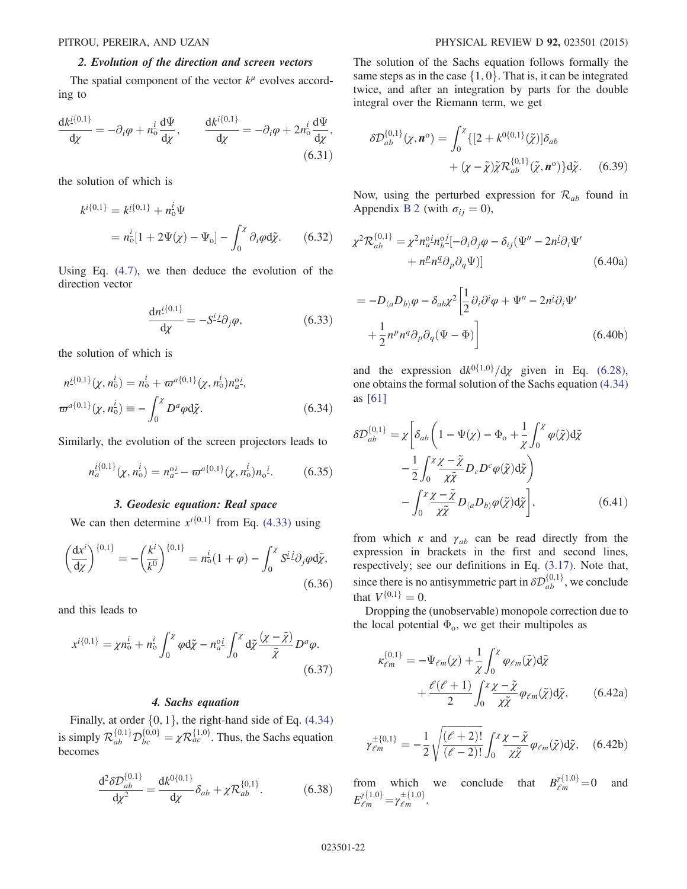# 2. Evolution of the direction and screen vectors

The spatial component of the vector  $k^{\mu}$  evolves according to

$$
\frac{d k^i{^{0,1}}}{d \chi} = -\partial_i \varphi + n^i_{\sigma} \frac{d \Psi}{d \chi}, \qquad \frac{d k^{i{0,1}}}{d \chi} = -\partial_i \varphi + 2n^i_{\sigma} \frac{d \Psi}{d \chi},
$$
\n(6.31)

the solution of which is

$$
k^{i\{0,1\}} = k^{i\{0,1\}} + n_0^i \Psi
$$
  
=  $n_0^i [1 + 2\Psi(\chi) - \Psi_0] - \int_0^\chi \partial_i \varphi \, d\tilde{\chi}.$  (6.32)

Using Eq. (4.7), we then deduce the evolution of the direction vector

$$
\frac{\mathrm{d}n^{\underline{i}\{0,1\}}}{\mathrm{d}\chi} = -S^{\underline{i}\underline{j}}\partial_j\varphi,\tag{6.33}
$$

the solution of which is

$$
n_1^{i[0,1]}(\chi, n_0^i) = n_0^i + \varpi^{a\{0,1\}}(\chi, n_0^i) n_a^{0i},
$$
  

$$
\varpi^{a\{0,1\}}(\chi, n_0^i) \equiv -\int_0^\chi D^a \varphi \, d\tilde{\chi}.
$$
 (6.34)

Similarly, the evolution of the screen projectors leads to

$$
n_a^{i\{0,1\}}(\chi, n_o^i) = n_a^{0i} - \varpi^{a\{0,1\}}(\chi, n_o^i) n_o^i.
$$
 (6.35)

# 3. Geodesic equation: Real space

We can then determine  $x^{i\{0,1\}}$  from Eq. (4.33) using

$$
\left(\frac{\mathrm{d}x^{i}}{\mathrm{d}x}\right)^{\{0,1\}} = -\left(\frac{k^{i}}{k^{0}}\right)^{\{0,1\}} = n_{\mathrm{o}}^{i}(1+\varphi) - \int_{0}^{\chi} S^{\underline{i}\,\underline{j}} \partial_{j}\varphi \mathrm{d}\tilde{\chi},\tag{6.36}
$$

and this leads to

$$
x^{i\{0,1\}} = \chi n_0^{\underline{i}} + n_0^{\underline{i}} \int_0^\chi \varphi \mathrm{d}\tilde{\chi} - n_a^{\mathrm{o} \underline{i}} \int_0^\chi \mathrm{d}\tilde{\chi} \frac{(\chi - \tilde{\chi})}{\tilde{\chi}} D^a \varphi. \tag{6.37}
$$

# 4. Sachs equation

Finally, at order  $\{0, 1\}$ , the right-hand side of Eq. (4.34) is simply  $\mathcal{R}_{ab}^{\{0,1\}}\mathcal{D}_{bc}^{\{0,0\}} = \chi \mathcal{R}_{ac}^{\{1,0\}}$ . Thus, the Sachs equation becomes becomes

$$
\frac{d^2 \delta D_{ab}^{\{0,1\}}}{d \chi^2} = \frac{dk^{0\{0,1\}}}{d \chi} \delta_{ab} + \chi \mathcal{R}_{ab}^{\{0,1\}}.
$$
 (6.38)

The solution of the Sachs equation follows formally the same steps as in the case  $\{1, 0\}$ . That is, it can be integrated twice, and after an integration by parts for the double integral over the Riemann term, we get

$$
\delta \mathcal{D}_{ab}^{\{0,1\}}(\chi, \mathbf{n}^{\circ}) = \int_0^{\chi} \{ [2 + k^{0\{0,1\}}(\tilde{\chi})] \delta_{ab} + (\chi - \tilde{\chi}) \tilde{\chi} \mathcal{R}_{ab}^{\{0,1\}}(\tilde{\chi}, \mathbf{n}^{\circ}) \} d\tilde{\chi}.
$$
 (6.39)

Now, using the perturbed expression for  $\mathcal{R}_{ab}$  found in Appendix B 2 (with  $\sigma_{ij} = 0$ ),

$$
\chi^2 \mathcal{R}_{ab}^{\{0,1\}} = \chi^2 n_a^{\alpha i} n_b^{\alpha j} [-\partial_i \partial_j \varphi - \delta_{ij} (\Psi'' - 2n^i \partial_i \Psi' + n^{\underline{p}} n^{\underline{q}} \partial_p \partial_q \Psi)] \tag{6.40a}
$$

$$
= -D_{\langle a}D_{b\rangle}\varphi - \delta_{ab}\chi^{2}\left[\frac{1}{2}\partial_{i}\partial^{i}\varphi + \Psi'' - 2n^{i}\partial_{i}\Psi' + \frac{1}{2}n^{p}n^{q}\partial_{p}\partial_{q}(\Psi - \Phi)\right]
$$
(6.40b)

and the expression  $dk^{0{1,0}}/d\chi$  given in Eq. (6.28), one obtains the formal solution of the Sachs equation (4.34) as [61]

$$
\delta \mathcal{D}_{ab}^{\{0,1\}} = \chi \left[ \delta_{ab} \left( 1 - \Psi(\chi) - \Phi_o + \frac{1}{\chi} \int_0^{\chi} \varphi(\tilde{\chi}) \mathrm{d}\tilde{\chi} - \frac{1}{2} \int_0^{\chi} \frac{\chi - \tilde{\chi}}{\chi \tilde{\chi}} D_c D^c \varphi(\tilde{\chi}) \mathrm{d}\tilde{\chi} \right) - \int_0^{\chi} \frac{\chi - \tilde{\chi}}{\chi \tilde{\chi}} D_{\langle a} D_{b \rangle} \varphi(\tilde{\chi}) \mathrm{d}\tilde{\chi} \right], \tag{6.41}
$$

from which  $\kappa$  and  $\gamma_{ab}$  can be read directly from the expression in brackets in the first and second lines, respectively; see our definitions in Eq. (3.17). Note that, since there is no antisymmetric part in  $\delta \mathcal{D}_{ab}^{\{0,1\}}$ , we conclude that  $V^{\{0,1\}}=0$ .

Dropping the (unobservable) monopole correction due to the local potential  $\Phi_0$ , we get their multipoles as

$$
\kappa_{\ell m}^{\{0,1\}} = -\Psi_{\ell m}(\chi) + \frac{1}{\chi} \int_0^\chi \varphi_{\ell m}(\tilde{\chi}) d\tilde{\chi} + \frac{\ell(\ell+1)}{2} \int_0^\chi \frac{\chi - \tilde{\chi}}{\chi \tilde{\chi}} \varphi_{\ell m}(\tilde{\chi}) d\tilde{\chi},
$$
 (6.42a)

$$
\gamma_{\ell m}^{\pm \{0,1\}} = -\frac{1}{2} \sqrt{\frac{(\ell+2)!}{(\ell-2)!}} \int_0^{\chi} \frac{\chi - \tilde{\chi}}{\chi \tilde{\chi}} \varphi_{\ell m}(\tilde{\chi}) d\tilde{\chi}, \quad (6.42b)
$$

from which we conclude that  $B_{\ell m}^{\gamma \{1,0\}} = 0$  and  $E_{\ell m}^{\gamma \{1,0\}} = 1$  $E_{\ell m}^{\gamma\{1,0\}} = \gamma_{\ell m}^{\pm\{1,0\}}.$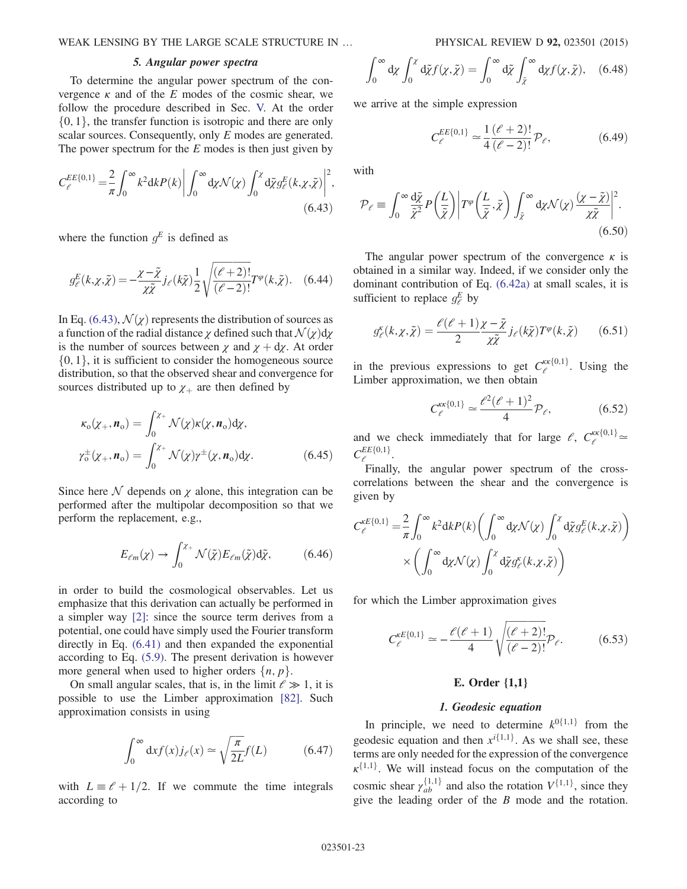# 5. Angular power spectra

To determine the angular power spectrum of the convergence  $\kappa$  and of the E modes of the cosmic shear, we follow the procedure described in Sec. V. At the order  $\{0, 1\}$ , the transfer function is isotropic and there are only scalar sources. Consequently, only E modes are generated. The power spectrum for the  $E$  modes is then just given by

$$
C_{\ell}^{EE\{0,1\}} = \frac{2}{\pi} \int_0^{\infty} k^2 \, \mathrm{d}k P(k) \bigg| \int_0^{\infty} \, \mathrm{d}\chi \mathcal{N}(\chi) \int_0^{\chi} \, \mathrm{d}\tilde{\chi} g_{\ell}^E(k, \chi, \tilde{\chi}) \bigg|^2,
$$
\n(6.43)

where the function  $q^E$  is defined as

$$
g_{\ell}^{E}(k,\chi,\tilde{\chi}) = -\frac{\chi - \tilde{\chi}}{\chi \tilde{\chi}} j_{\ell}(k\tilde{\chi}) \frac{1}{2} \sqrt{\frac{(\ell+2)!}{(\ell-2)!}} T^{\varphi}(k,\tilde{\chi}). \quad (6.44)
$$

In Eq. (6.43),  $\mathcal{N}(\chi)$  represents the distribution of sources as a function of the radial distance  $\chi$  defined such that  $\mathcal{N}(\chi) d\chi$ is the number of sources between  $\chi$  and  $\chi + d\chi$ . At order  $\{0, 1\}$ , it is sufficient to consider the homogeneous source distribution, so that the observed shear and convergence for sources distributed up to  $\chi$ <sup>+</sup> are then defined by

$$
\kappa_{\rm o}(\chi_{+}, \boldsymbol{n}_{\rm o}) = \int_{0}^{\chi_{+}} \mathcal{N}(\chi)\kappa(\chi, \boldsymbol{n}_{\rm o}) d\chi,
$$
  

$$
\gamma_{\rm o}^{\pm}(\chi_{+}, \boldsymbol{n}_{\rm o}) = \int_{0}^{\chi_{+}} \mathcal{N}(\chi)\gamma^{\pm}(\chi, \boldsymbol{n}_{\rm o}) d\chi.
$$
 (6.45)

Since here N depends on  $\gamma$  alone, this integration can be performed after the multipolar decomposition so that we perform the replacement, e.g.,

$$
E_{\ell m}(\chi) \to \int_0^{\chi_+} \mathcal{N}(\tilde{\chi}) E_{\ell m}(\tilde{\chi}) \mathrm{d}\tilde{\chi}, \tag{6.46}
$$

in order to build the cosmological observables. Let us emphasize that this derivation can actually be performed in a simpler way [2]: since the source term derives from a potential, one could have simply used the Fourier transform directly in Eq. (6.41) and then expanded the exponential according to Eq. (5.9). The present derivation is however more general when used to higher orders  $\{n, p\}$ .

On small angular scales, that is, in the limit  $\ell \gg 1$ , it is possible to use the Limber approximation [82]. Such approximation consists in using

$$
\int_0^\infty dx f(x) j_\ell(x) \simeq \sqrt{\frac{\pi}{2L}} f(L) \tag{6.47}
$$

with  $L = \ell + 1/2$ . If we commute the time integrals according to

$$
\int_0^\infty \mathrm{d}\chi \int_0^\chi \mathrm{d}\tilde{\chi} f(\chi, \tilde{\chi}) = \int_0^\infty \mathrm{d}\tilde{\chi} \int_{\tilde{\chi}}^\infty \mathrm{d}\chi f(\chi, \tilde{\chi}), \quad (6.48)
$$

we arrive at the simple expression

$$
C_{\ell}^{EE\{0,1\}} \simeq \frac{1}{4} \frac{(\ell+2)!}{(\ell-2)!} \mathcal{P}_{\ell},
$$
 (6.49)

with

$$
\mathcal{P}_{\ell} \equiv \int_0^{\infty} \frac{\mathrm{d}\tilde{\chi}}{\tilde{\chi}^2} P\left(\frac{L}{\tilde{\chi}}\right) \left| T^{\varphi}\left(\frac{L}{\tilde{\chi}}, \tilde{\chi}\right) \int_{\tilde{\chi}}^{\infty} \mathrm{d}\chi \mathcal{N}(\chi) \frac{(\chi - \tilde{\chi})}{\chi \tilde{\chi}} \right|^2. \tag{6.50}
$$

The angular power spectrum of the convergence  $\kappa$  is obtained in a similar way. Indeed, if we consider only the dominant contribution of Eq. (6.42a) at small scales, it is sufficient to replace  $g_{\ell}^{E}$  by

$$
g_{\ell}^{\kappa}(k,\chi,\tilde{\chi}) = \frac{\ell(\ell+1)}{2} \frac{\chi - \tilde{\chi}}{\chi \tilde{\chi}} j_{\ell}(k\tilde{\chi}) T^{\varphi}(k,\tilde{\chi}) \qquad (6.51)
$$

in the previous expressions to get  $C_{\ell}^{\kappa \kappa \{0,1\}}$ . Using the Limber approximation, we then obtain

$$
C_{\ell}^{\kappa \kappa \{0,1\}} \simeq \frac{\ell^2 (\ell+1)^2}{4} \mathcal{P}_{\ell}, \tag{6.52}
$$

and we check immediately that for large  $\ell$ ,  $C_{\ell}^{k\kappa\{0,1\}}$   $\simeq$  $\textit{C}^{\textit{EE}\{0,1\}}_{\ell}.$ 

Finally, the angular power spectrum of the crosscorrelations between the shear and the convergence is given by

$$
C_{\ell}^{\kappa E\{0,1\}} = \frac{2}{\pi} \int_0^{\infty} k^2 \, \mathrm{d}k P(k) \left( \int_0^{\infty} \mathrm{d}\chi \mathcal{N}(\chi) \int_0^{\chi} \mathrm{d}\tilde{\chi} g_{\ell}^E(k, \chi, \tilde{\chi}) \right) \times \left( \int_0^{\infty} \mathrm{d}\chi \mathcal{N}(\chi) \int_0^{\chi} \mathrm{d}\tilde{\chi} g_{\ell}^{\kappa}(k, \chi, \tilde{\chi}) \right)
$$

for which the Limber approximation gives

$$
C_{\ell}^{\kappa E\{0,1\}} \simeq -\frac{\ell(\ell+1)}{4} \sqrt{\frac{(\ell+2)!}{(\ell-2)!}} \mathcal{P}_{\ell}.
$$
 (6.53)

#### E. Order {1,1}

#### 1. Geodesic equation

In principle, we need to determine  $k^{0{1,1}}$  from the geodesic equation and then  $x^{i{1,1}}$ . As we shall see, these terms are only needed for the expression of the convergence  $\kappa^{\{1,1\}}$ . We will instead focus on the computation of the cosmic shear  $\gamma_{ab}^{\{1,1\}}$  and also the rotation  $V^{\{1,1\}}$ , since they give the leading order of the B mode and the rotation.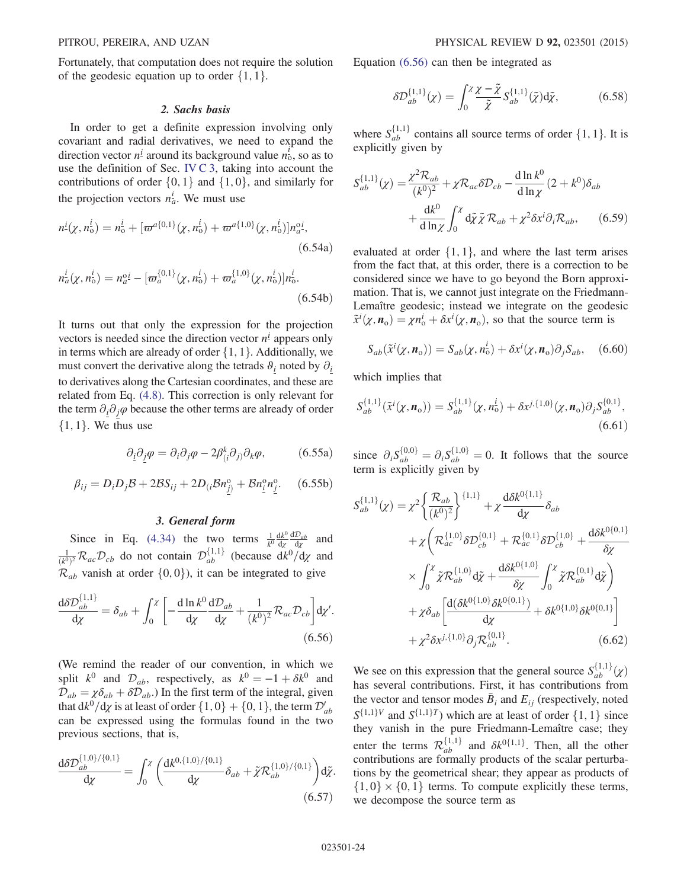Fortunately, that computation does not require the solution of the geodesic equation up to order  $\{1, 1\}$ .

# 2. Sachs basis

In order to get a definite expression involving only covariant and radial derivatives, we need to expand the direction vector  $n^{\underline{i}}$  around its background value  $n_0^{\underline{i}^*}$ , so as to use the definition of Sec. IV C 3, taking into account the contributions of order  $\{0, 1\}$  and  $\{1, 0\}$ , and similarly for the projection vectors  $n_a^i$ . We must use

$$
n^{\underline{i}}(\chi, n^{\underline{i}}_0) = n^{\underline{i}}_0 + [\varpi^{a\{0,1\}}(\chi, n^{\underline{i}}_0) + \varpi^{a\{1,0\}}(\chi, n^{\underline{i}}_0)]n^{\text{o}\underline{i}}_a,
$$
\n(6.54a)

$$
n_a^{\underline{i}}(\chi, n_0^{\underline{i}}) = n_a^{0i} - [\varpi_a^{\{0,1\}}(\chi, n_0^{\underline{i}}) + \varpi_a^{\{1,0\}}(\chi, n_0^{\underline{i}})]n_0^{\underline{i}}.
$$
\n(6.54b)

It turns out that only the expression for the projection vectors is needed since the direction vector  $n^2$  appears only in terms which are already of order  $\{1, 1\}$ . Additionally, we must convert the derivative along the tetrads  $\theta_i$  noted by  $\partial_i$ to derivatives along the Cartesian coordinates, and these are related from Eq. (4.8). This correction is only relevant for the term  $\partial_i \partial_j \varphi$  because the other terms are already of order  $\{1, 1\}$ . We thus use

$$
\partial_{\underline{i}}\partial_{\underline{j}}\varphi = \partial_i\partial_j\varphi - 2\beta^k_{(i}\partial_{j)}\partial_k\varphi, \qquad (6.55a)
$$

$$
\beta_{ij} = D_i D_j \mathcal{B} + 2\mathcal{B} S_{ij} + 2D_{(i} \mathcal{B} n_{\underline{j}}^{\mathrm{o}} + \mathcal{B} n_{\underline{i}}^{\mathrm{o}} n_{\underline{j}}^{\mathrm{o}}.
$$
 (6.55b)

# 3. General form

Since in Eq. (4.34) the two terms  $\frac{1}{k^0} \frac{dX^0}{dy} \frac{dD_{ab}}{dx}$  and  $\frac{1}{(k^0)^2} \mathcal{R}_{ac} \mathcal{D}_{cb}$  do not contain  $\mathcal{D}_{ab}^{\{1,1\}}$  (because  $dk^0/d\chi$  and  $\mathcal{R}_{ab}$  vanish at order  $\{0,0\}$ ), it can be integrated to give

$$
\frac{\mathrm{d}\delta \mathcal{D}_{ab}^{\{1,1\}}}{\mathrm{d}\chi} = \delta_{ab} + \int_0^\chi \left[ -\frac{\mathrm{d}\ln k^0}{\mathrm{d}\chi} \frac{\mathrm{d}\mathcal{D}_{ab}}{\mathrm{d}\chi} + \frac{1}{(k^0)^2} \mathcal{R}_{ac} \mathcal{D}_{cb} \right] \mathrm{d}\chi'.
$$
\n(6.56)

(We remind the reader of our convention, in which we split  $k^0$  and  $\mathcal{D}_{ab}$ , respectively, as  $k^0 = -1 + \delta k^0$  and  $\mathcal{D}_{ab} = \chi \delta_{ab} + \delta \mathcal{D}_{ab}$ .) In the first term of the integral, given that  $\frac{dK^0}{dy}$  is at least of order  $\{1, 0\} + \{0, 1\}$ , the term  $\mathcal{D}_{ab}$ <br>can be expressed using the formulas found in the two can be expressed using the formulas found in the two previous sections, that is,

$$
\frac{\mathrm{d}\delta \mathcal{D}_{ab}^{\{1,0\}/\{0,1\}}}{\mathrm{d}\chi} = \int_0^\chi \left( \frac{\mathrm{d}k^{0,\{1,0\}/\{0,1\}}}{\mathrm{d}\chi} \delta_{ab} + \tilde{\chi} \mathcal{R}_{ab}^{\{1,0\}/\{0,1\}} \right) \mathrm{d}\tilde{\chi}.\tag{6.57}
$$

Equation (6.56) can then be integrated as

$$
\delta \mathcal{D}_{ab}^{\{1,1\}}(\chi) = \int_0^\chi \frac{\chi - \tilde{\chi}}{\tilde{\chi}} S_{ab}^{\{1,1\}}(\tilde{\chi}) \mathrm{d}\tilde{\chi},\tag{6.58}
$$

where  $S_{ab}^{\{1,1\}}$  contains all source terms of order  $\{1,1\}$ . It is explicitly given by explicitly given by

$$
S_{ab}^{\{1,1\}}(\chi) = \frac{\chi^2 \mathcal{R}_{ab}}{(k^0)^2} + \chi \mathcal{R}_{ac} \delta \mathcal{D}_{cb} - \frac{\mathrm{d} \ln k^0}{\mathrm{d} \ln \chi} (2 + k^0) \delta_{ab}
$$

$$
+ \frac{\mathrm{d} k^0}{\mathrm{d} \ln \chi} \int_0^\chi \mathrm{d} \tilde{\chi} \tilde{\chi} \mathcal{R}_{ab} + \chi^2 \delta \chi^i \partial_i \mathcal{R}_{ab}, \qquad (6.59)
$$

evaluated at order  $\{1, 1\}$ , and where the last term arises from the fact that, at this order, there is a correction to be considered since we have to go beyond the Born approximation. That is, we cannot just integrate on the Friedmann-Lemaître geodesic; instead we integrate on the geodesic  $\tilde{x}^i(\chi, \mathbf{n}_0) = \chi n_0^i + \delta x^i(\chi, \mathbf{n}_0)$ , so that the source term is

$$
S_{ab}(\tilde{x}^i(\chi, \mathbf{n}_o)) = S_{ab}(\chi, n_o^i) + \delta x^i(\chi, \mathbf{n}_o) \partial_j S_{ab}, \quad (6.60)
$$

which implies that

$$
S_{ab}^{\{1,1\}}(\tilde{x}^i(\chi,\mathbf{n}_o)) = S_{ab}^{\{1,1\}}(\chi,\mathbf{n}_o^i) + \delta x^{j,\{1,0\}}(\chi,\mathbf{n}_o)\partial_j S_{ab}^{\{0,1\}},
$$
\n(6.61)

since  $\partial_i S_{ab}^{\{0,0\}} = \partial_i S_{ab}^{\{1,0\}} = 0$ . It follows that the source term is explicitly given by

$$
S_{ab}^{\{1,1\}}(\chi) = \chi^2 \left\{ \frac{\mathcal{R}_{ab}}{(k^0)^2} \right\}^{\{1,1\}} + \chi \frac{\mathrm{d}\delta k^{0\{1,1\}}}{\mathrm{d}\chi} \delta_{ab} + \chi \left( \mathcal{R}_{ac}^{\{1,0\}} \delta \mathcal{D}_{cb}^{\{0,1\}} + \mathcal{R}_{ac}^{\{0,1\}} \delta \mathcal{D}_{cb}^{\{1,0\}} + \frac{\mathrm{d}\delta k^{0\{0,1\}}}{\delta \chi} \times \int_0^{\chi} \tilde{\chi} \mathcal{R}_{ab}^{\{1,0\}} \mathrm{d}\tilde{\chi} + \frac{\mathrm{d}\delta k^{0\{1,0\}}}{\delta \chi} \int_0^{\chi} \tilde{\chi} \mathcal{R}_{ab}^{\{0,1\}} \mathrm{d}\tilde{\chi} \right) + \chi \delta_{ab} \left[ \frac{\mathrm{d}(\delta k^{0\{1,0\}} \delta k^{0\{0,1\}})}{\mathrm{d}\chi} + \delta k^{0\{1,0\}} \delta k^{0\{0,1\}} \right] + \chi^2 \delta x^{j,\{1,0\}} \partial_j \mathcal{R}_{ab}^{\{0,1\}}.
$$
 (6.62)

We see on this expression that the general source  $S_{ab}^{\{1,1\}}(\chi)$ <br>has several contributions. First, it has contributions from has several contributions. First, it has contributions from the vector and tensor modes  $\bar{B}_i$  and  $E_{ii}$  (respectively, noted  $S^{\{1,1\}V}$  and  $S^{\{1,1\}T}$ ) which are at least of order  $\{1,1\}$  since they vanish in the pure Friedmann-Lemaître case; they enter the terms  $\mathcal{R}_{ab}^{\{1,1\}}$  and  $\delta k^{0\{1,1\}}$ . Then, all the other contributions are formally products of the scalar perturbations by the geometrical shear; they appear as products of  $\{1,0\} \times \{0,1\}$  terms. To compute explicitly these terms, we decompose the source term as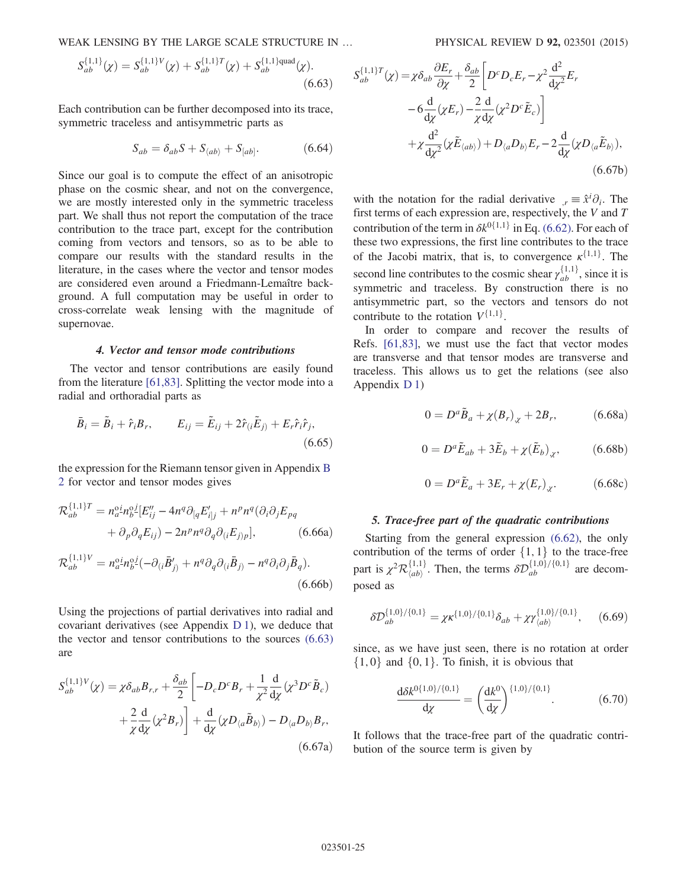$$
S_{ab}^{\{1,1\}}(\chi) = S_{ab}^{\{1,1\}V}(\chi) + S_{ab}^{\{1,1\}T}(\chi) + S_{ab}^{\{1,1\}quadtext{quad}}(\chi). \tag{6.63}
$$

Each contribution can be further decomposed into its trace, symmetric traceless and antisymmetric parts as

$$
S_{ab} = \delta_{ab} S + S_{\langle ab \rangle} + S_{[ab]}.
$$
 (6.64)

Since our goal is to compute the effect of an anisotropic phase on the cosmic shear, and not on the convergence, we are mostly interested only in the symmetric traceless part. We shall thus not report the computation of the trace contribution to the trace part, except for the contribution coming from vectors and tensors, so as to be able to compare our results with the standard results in the literature, in the cases where the vector and tensor modes are considered even around a Friedmann-Lemaître background. A full computation may be useful in order to cross-correlate weak lensing with the magnitude of supernovae.

# 4. Vector and tensor mode contributions

The vector and tensor contributions are easily found from the literature [61,83]. Splitting the vector mode into a radial and orthoradial parts as

$$
\bar{B}_i = \tilde{B}_i + \hat{r}_i B_r, \qquad E_{ij} = \tilde{E}_{ij} + 2\hat{r}_{(i}\tilde{E}_{j)} + E_r \hat{r}_i \hat{r}_j,
$$
\n(6.65)

the expression for the Riemann tensor given in Appendix B 2 for vector and tensor modes gives

$$
\mathcal{R}_{ab}^{\{1,1\}T} = n_a^{\alpha i} n_b^{\alpha j} [E''_{ij} - 4n^q \partial_{[q} E'_{i]j} + n^p n^q (\partial_i \partial_j E_{pq}
$$

$$
+ \partial_p \partial_q E_{ij}) - 2n^p n^q \partial_q \partial_{(i} E_{j)p}], \qquad (6.66a)
$$

$$
\mathcal{R}_{ab}^{\{1,1\}V} = n_a^{\alpha} n_b^{\alpha} \left( -\partial_{(i} \bar{B}'_{j)} + n^q \partial_q \partial_{(i} \bar{B}_{j)} - n^q \partial_i \partial_j \bar{B}_q \right).
$$
\n(6.66b)

Using the projections of partial derivatives into radial and covariant derivatives (see Appendix D 1), we deduce that the vector and tensor contributions to the sources (6.63) are

$$
S_{ab}^{\{1,1\}V}(\chi) = \chi \delta_{ab} B_{r,r} + \frac{\delta_{ab}}{2} \left[ -D_c D^c B_r + \frac{1}{\chi^2} \frac{d}{d\chi} (\chi^3 D^c \tilde{B}_c) + \frac{2}{\chi} \frac{d}{d\chi} (\chi^2 B_r) \right] + \frac{d}{d\chi} (\chi D_{\langle a} \tilde{B}_{b \rangle}) - D_{\langle a} D_{b \rangle} B_r,
$$
\n(6.67a)

$$
S_{ab}^{\{1,1\}T}(\chi) = \chi \delta_{ab} \frac{\partial E_r}{\partial \chi} + \frac{\delta_{ab}}{2} \left[ D^c D_c E_r - \chi^2 \frac{d^2}{d \chi^2} E_r - 6 \frac{d}{d \chi} (\chi E_r) - \frac{2}{\chi} \frac{d}{d \chi} (\chi^2 D^c \tilde{E}_c) \right] + \chi \frac{d^2}{d \chi^2} (\chi \tilde{E}_{\langle ab \rangle}) + D_{\langle a} D_{b \rangle} E_r - 2 \frac{d}{d \chi} (\chi D_{\langle a} \tilde{E}_{b \rangle}),
$$
\n(6.67b)

with the notation for the radial derivative  $r = \hat{x}^i \partial_i$ . The first terms of each expression are, respectively, the  $V$  and  $T$ contribution of the term in  $\delta k^{0\{1,1\}}$  in Eq. (6.62). For each of these two expressions, the first line contributes to the trace of the Jacobi matrix, that is, to convergence  $\kappa^{\{1,1\}}$ . The second line contributes to the cosmic shear  $\gamma_{ab}^{\{1,1\}}$ , since it is symmetric and traceless. By construction there is no antisymmetric part, so the vectors and tensors do not contribute to the rotation  $V^{\{1,1\}}$ .

In order to compare and recover the results of Refs. [61,83], we must use the fact that vector modes are transverse and that tensor modes are transverse and traceless. This allows us to get the relations (see also Appendix D 1)

$$
0 = D^a \tilde{B}_a + \chi (B_r)_{\chi} + 2B_r, \tag{6.68a}
$$

$$
0 = D^a \tilde{E}_{ab} + 3\tilde{E}_b + \chi(\tilde{E}_b)_{\chi}, \qquad (6.68b)
$$

$$
0 = D^{a}\tilde{E}_{a} + 3E_{r} + \chi(E_{r})_{\chi}.
$$
 (6.68c)

#### 5. Trace-free part of the quadratic contributions

Starting from the general expression (6.62), the only contribution of the terms of order  $\{1, 1\}$  to the trace-free part is  $\chi^2 \mathcal{R}_{\langle ab \rangle}^{\{1,1\}}$ . Then, the terms  $\delta \mathcal{D}_{ab}^{\{1,0\}/\{0,1\}}$  are decomposed as

$$
\delta \mathcal{D}_{ab}^{\{1,0\}/\{0,1\}} = \chi \kappa^{\{1,0\}/\{0,1\}} \delta_{ab} + \chi \gamma_{\langle ab \rangle}^{\{1,0\}/\{0,1\}}, \quad (6.69)
$$

since, as we have just seen, there is no rotation at order  $\{1, 0\}$  and  $\{0, 1\}$ . To finish, it is obvious that

$$
\frac{\mathrm{d}\delta k^{0\{1,0\}/\{0,1\}}}{\mathrm{d}\chi} = \left(\frac{\mathrm{d}k^{0}}{\mathrm{d}\chi}\right)^{\{1,0\}/\{0,1\}}.\tag{6.70}
$$

It follows that the trace-free part of the quadratic contribution of the source term is given by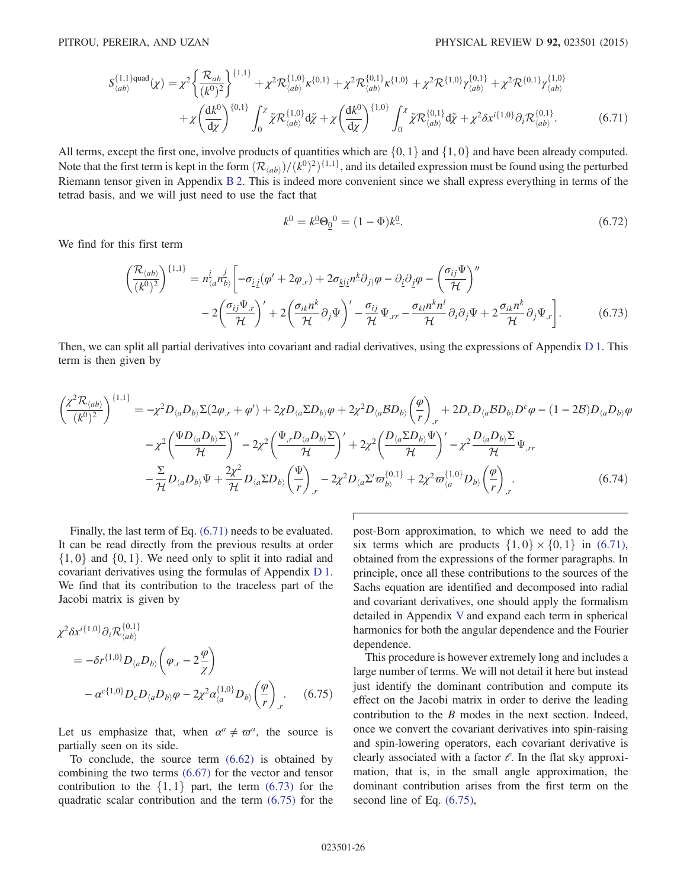$$
S_{\langle ab\rangle}^{\{1,1\}quad\text{quad}}(\chi) = \chi^2 \left\{ \frac{\mathcal{R}_{ab}}{(k^0)^2} \right\}^{\{1,1\}} + \chi^2 \mathcal{R}_{\langle ab\rangle}^{\{1,0\}} \kappa^{\{0,1\}} + \chi^2 \mathcal{R}_{\langle ab\rangle}^{\{0,1\}} \kappa^{\{1,0\}} + \chi^2 \mathcal{R}_{\langle ab\rangle}^{\{0,1\}} \kappa^{\{1,0\}} + \chi^2 \mathcal{R}_{\langle ab\rangle}^{\{0,1\}} + \chi^2 \mathcal{R}_{\langle ab\rangle}^{\{0,1\}} \gamma_{\langle ab\rangle}^{\{0,1\}} + \chi^2 \mathcal{R}_{\langle ab\rangle}^{\{0,1\}} \kappa^{\{1,0\}} + \chi^2 \mathcal{R}_{\langle ab\rangle}^{\{1,0\}} \kappa^{\{1,0\}} + \chi^2 \mathcal{R}_{\langle ab\rangle}^{\{0,1\}} \kappa^{\{1,0\}} \gamma_{\langle ab\rangle}^{\{1,0\}} + \chi^2 \mathcal{R}_{\langle ab\rangle}^{\{0,1\}} \kappa^{\{1,0\}} \delta^{\{1,0\}} \kappa^{\{1,0\}} \delta^{\{1,0\}} \kappa^{\{1,0\}} \delta^{\{1,0\}} \kappa^{\{1,0\}} \delta^{\{1,0\}} \delta^{\{1,0\}} \kappa^{\{0,1\}} \kappa^{\{1,0\}} \delta^{\{1,0\}} \kappa^{\{0,1\}} \kappa^{\{1,0\}} \delta^{\{1,0\}} \kappa^{\{0,1\}} \kappa^{\{1,0\}} \delta^{\{1,0\}} \kappa^{\{0,1\}} \kappa^{\{1,0\}} \delta^{\{1,0\}} \kappa^{\{1,0\}} \delta^{\{1,0\}} \kappa^{\{1,0\}} \delta^{\{1,0\}} \kappa^{\{1,0\}} \delta^{\{1,0\}} \kappa^{\{1,0\}} \delta^{\{1,0\}} \kappa^{\{1,0\}} \delta^{\{1,0\}} \kappa^{\{1,0\}} \delta^{\{1,0\}} \kappa^{\{1,0\}} \delta^{\{1,0\}} \k
$$

All terms, except the first one, involve products of quantities which are  $\{0, 1\}$  and  $\{1, 0\}$  and have been already computed. Note that the first term is kept in the form  $(\mathcal{R}_{\langle ab \rangle})/(k^0)^2)^{\{1,1\}}$ , and its detailed expression must be found using the perturbed Riemann tensor given in Appendix B 2. This is indeed more convenient since we shall express everything in terms of the tetrad basis, and we will just need to use the fact that

$$
k^0 = k^0 \Theta_0^0 = (1 - \Phi)k^0.
$$
\n(6.72)

We find for this first term

$$
\left(\frac{\mathcal{R}_{\langle ab\rangle}}{(k^0)^2}\right)^{\{1,1\}} = n^i_{\langle a}n^j_{b\rangle} \left[ -\sigma_{\underline{i}\underline{j}}(\varphi' + 2\varphi_{,r}) + 2\sigma_{\underline{k}(\underline{i}}n^k\partial_{j)}\varphi - \partial_{\underline{i}}\partial_{\underline{j}}\varphi - \left(\frac{\sigma_{ij}\Psi}{\mathcal{H}}\right)'' \right. \\
\left. - 2\left(\frac{\sigma_{ij}\Psi_{,r}}{\mathcal{H}}\right)' + 2\left(\frac{\sigma_{ik}n^k}{\mathcal{H}}\partial_{j}\Psi\right)' - \frac{\sigma_{ij}}{\mathcal{H}}\Psi_{,rr} - \frac{\sigma_{kl}n^k n^l}{\mathcal{H}}\partial_{i}\partial_{j}\Psi + 2\frac{\sigma_{ik}n^k}{\mathcal{H}}\partial_{j}\Psi_{,r} \right].\n\tag{6.73}
$$

Then, we can split all partial derivatives into covariant and radial derivatives, using the expressions of Appendix D 1. This term is then given by

$$
\left(\frac{\chi^2 \mathcal{R}_{\langle ab\rangle}}{(k^0)^2}\right)^{\{1,1\}} = -\chi^2 D_{\langle a}D_{b\rangle}\Sigma(2\varphi_r + \varphi') + 2\chi D_{\langle a}\Sigma D_{b\rangle}\varphi + 2\chi^2 D_{\langle a}BD_{b\rangle}\left(\frac{\varphi}{r}\right)_{,r} + 2D_c D_{\langle a}BD_{b\rangle}D^c\varphi - (1 - 2B)D_{\langle a}D_{b\rangle}\varphi -\chi^2 \left(\frac{\Psi D_{\langle a}D_{b\rangle}\Sigma}{\mathcal{H}}\right)'' - 2\chi^2 \left(\frac{\Psi_r D_{\langle a}D_{b\rangle}\Sigma}{\mathcal{H}}\right)' + 2\chi^2 \left(\frac{D_{\langle a}\Sigma D_{b\rangle}\Psi}{\mathcal{H}}\right)' - \chi^2 \frac{D_{\langle a}D_{b\rangle}\Sigma}{\mathcal{H}}\Psi_{,rr} -\frac{\Sigma}{\mathcal{H}}D_{\langle a}D_{b\rangle}\Psi + \frac{2\chi^2}{\mathcal{H}}D_{\langle a}\Sigma D_{b\rangle}\left(\frac{\Psi}{r}\right)_{,r} - 2\chi^2 D_{\langle a}\Sigma'\varpi_{b\rangle}^{\{0,1\}} + 2\chi^2 \varpi_{\langle a}^{\{1,0\}}D_{b\rangle}\left(\frac{\varphi}{r}\right)_{,r}.
$$
\n(6.74)

Finally, the last term of Eq. (6.71) needs to be evaluated. It can be read directly from the previous results at order  $\{1,0\}$  and  $\{0,1\}$ . We need only to split it into radial and covariant derivatives using the formulas of Appendix D 1. We find that its contribution to the traceless part of the Jacobi matrix is given by

$$
\chi^{2} \delta x^{i\{1,0\}} \partial_{i} \mathcal{R}_{\langle ab \rangle}^{\{0,1\}}
$$
  
=  $-\delta r^{\{1,0\}} D_{\langle a} D_{b \rangle} \left( \varphi_{,r} - 2 \frac{\varphi}{\chi} \right)$   
 $- \alpha^{c\{1,0\}} D_{c} D_{\langle a} D_{b \rangle} \varphi - 2 \chi^{2} \alpha_{\langle a}^{\{1,0\}} D_{b \rangle} \left( \frac{\varphi}{r} \right)_{,r}.$  (6.75)

Let us emphasize that, when  $\alpha^a \neq \varpi^a$ , the source is partially seen on its side.

To conclude, the source term (6.62) is obtained by combining the two terms (6.67) for the vector and tensor contribution to the  $\{1, 1\}$  part, the term (6.73) for the quadratic scalar contribution and the term (6.75) for the post-Born approximation, to which we need to add the six terms which are products  $\{1,0\} \times \{0,1\}$  in (6.71), obtained from the expressions of the former paragraphs. In principle, once all these contributions to the sources of the Sachs equation are identified and decomposed into radial and covariant derivatives, one should apply the formalism detailed in Appendix V and expand each term in spherical harmonics for both the angular dependence and the Fourier dependence.

This procedure is however extremely long and includes a large number of terms. We will not detail it here but instead just identify the dominant contribution and compute its effect on the Jacobi matrix in order to derive the leading contribution to the B modes in the next section. Indeed, once we convert the covariant derivatives into spin-raising and spin-lowering operators, each covariant derivative is clearly associated with a factor  $\ell$ . In the flat sky approximation, that is, in the small angle approximation, the dominant contribution arises from the first term on the second line of Eq. (6.75),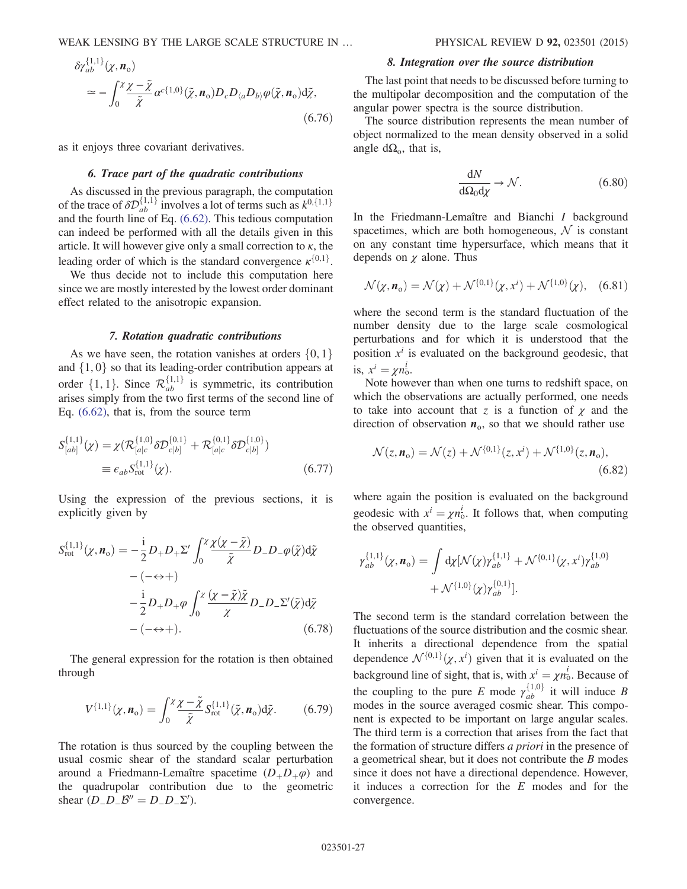$$
\delta \gamma_{ab}^{\{1,1\}}(\chi, \mathbf{n}_o)
$$
  
\n
$$
\approx -\int_0^{\chi} \frac{\chi - \tilde{\chi}}{\tilde{\chi}} \alpha^{c\{1,0\}}(\tilde{\chi}, \mathbf{n}_o) D_c D_{\langle a} D_{b \rangle} \varphi(\tilde{\chi}, \mathbf{n}_o) d\tilde{\chi},
$$
\n(6.76)

as it enjoys three covariant derivatives.

#### 6. Trace part of the quadratic contributions

As discussed in the previous paragraph, the computation of the trace of  $\delta D_{ab}^{\{1,1\}}$  involves a lot of terms such as  $k^{0,\{1,1\}}$ and the fourth line of Eq. (6.62). This tedious computation can indeed be performed with all the details given in this article. It will however give only a small correction to  $\kappa$ , the leading order of which is the standard convergence  $\kappa^{\{0,1\}}$ .

We thus decide not to include this computation here since we are mostly interested by the lowest order dominant effect related to the anisotropic expansion.

#### 7. Rotation quadratic contributions

As we have seen, the rotation vanishes at orders  $\{0, 1\}$ and  $\{1, 0\}$  so that its leading-order contribution appears at order  $\{1, 1\}$ . Since  $\mathcal{R}_{ab}^{\{1, 1\}}$  is symmetric, its contribution arises simply from the two first terms of the second line of arises simply from the two first terms of the second line of Eq. (6.62), that is, from the source term

$$
S_{[ab]}^{\{1,1\}}(\chi) = \chi(\mathcal{R}_{[a|c}^{\{1,0\}} \delta \mathcal{D}_{c|b]}^{\{0,1\}} + \mathcal{R}_{[a|c}^{\{0,1\}} \delta \mathcal{D}_{c|b]}^{\{1,0\}})
$$
  

$$
\equiv \epsilon_{ab} S_{\text{rot}}^{\{1,1\}}(\chi). \tag{6.77}
$$

Using the expression of the previous sections, it is explicitly given by

$$
S_{\text{rot}}^{\{1,1\}}(\chi, \mathbf{n}_{\text{o}}) = -\frac{\text{i}}{2}D_{+}D_{+}\Sigma'\int_{0}^{\chi}\frac{\chi(\chi-\tilde{\chi})}{\tilde{\chi}}D_{-}D_{-}\varphi(\tilde{\chi})\mathrm{d}\tilde{\chi} -\left(-\leftrightarrow+\right) -\frac{\text{i}}{2}D_{+}D_{+}\varphi\int_{0}^{\chi}\frac{(\chi-\tilde{\chi})\tilde{\chi}}{\chi}D_{-}D_{-}\Sigma'(\tilde{\chi})\mathrm{d}\tilde{\chi} -\left(-\leftrightarrow+\right). \tag{6.78}
$$

The general expression for the rotation is then obtained through

$$
V^{\{1,1\}}(\chi,\boldsymbol{n}_o) = \int_0^\chi \frac{\chi - \tilde{\chi}}{\tilde{\chi}} S_{\text{rot}}^{\{1,1\}}(\tilde{\chi},\boldsymbol{n}_o) \mathrm{d}\tilde{\chi}.
$$
 (6.79)

The rotation is thus sourced by the coupling between the usual cosmic shear of the standard scalar perturbation around a Friedmann-Lemaître spacetime  $(D_{\perp}D_{\perp}\varphi)$  and the quadrupolar contribution due to the geometric shear  $(D\_D\_B'' = D\_D\_2')$ .

# 8. Integration over the source distribution

The last point that needs to be discussed before turning to the multipolar decomposition and the computation of the angular power spectra is the source distribution.

The source distribution represents the mean number of object normalized to the mean density observed in a solid angle  $dΩ<sub>o</sub>$ , that is,

$$
\frac{\mathrm{d}N}{\mathrm{d}\Omega_0 \mathrm{d}\chi} \to \mathcal{N}.\tag{6.80}
$$

In the Friedmann-Lemaître and Bianchi I background spacetimes, which are both homogeneous,  $\mathcal N$  is constant on any constant time hypersurface, which means that it depends on  $\chi$  alone. Thus

$$
\mathcal{N}(\chi, \mathbf{n}_0) = \mathcal{N}(\chi) + \mathcal{N}^{\{0,1\}}(\chi, x^i) + \mathcal{N}^{\{1,0\}}(\chi), \quad (6.81)
$$

where the second term is the standard fluctuation of the number density due to the large scale cosmological perturbations and for which it is understood that the position  $x^i$  is evaluated on the background geodesic, that is,  $x^i = \chi n_0^i$ .<br>Note howe

Note however than when one turns to redshift space, on which the observations are actually performed, one needs to take into account that z is a function of  $\chi$  and the direction of observation  $n_0$ , so that we should rather use

$$
\mathcal{N}(z, \mathbf{n}_0) = \mathcal{N}(z) + \mathcal{N}^{\{0,1\}}(z, x^i) + \mathcal{N}^{\{1,0\}}(z, \mathbf{n}_0),
$$
\n(6.82)

where again the position is evaluated on the background geodesic with  $x^i = \chi n_0^i$ . It follows that, when computing the observed quantities the observed quantities,

$$
\gamma_{ab}^{\{1,1\}}(\chi, \mathbf{n}_o) = \int d\chi \left[ \mathcal{N}(\chi) \gamma_{ab}^{\{1,1\}} + \mathcal{N}^{\{0,1\}}(\chi, x^i) \gamma_{ab}^{\{1,0\}} + \mathcal{N}^{\{1,0\}}(\chi) \gamma_{ab}^{\{0,1\}} \right].
$$

The second term is the standard correlation between the fluctuations of the source distribution and the cosmic shear. It inherits a directional dependence from the spatial dependence  $\mathcal{N}^{\{0,1\}}(x, x^i)$  given that it is evaluated on the healthcarp of line of sight that is with  $y^i$  and December of background line of sight, that is, with  $x^i = \chi n_0^i$ . Because of the coupling to the pure E mode  $\gamma_{ab}^{\{1,0\}}$  it will induce B modes in the source averaged cosmic shear. This component is expected to be important on large angular scales. The third term is a correction that arises from the fact that the formation of structure differs a priori in the presence of a geometrical shear, but it does not contribute the  $B$  modes since it does not have a directional dependence. However, it induces a correction for the  $E$  modes and for the convergence.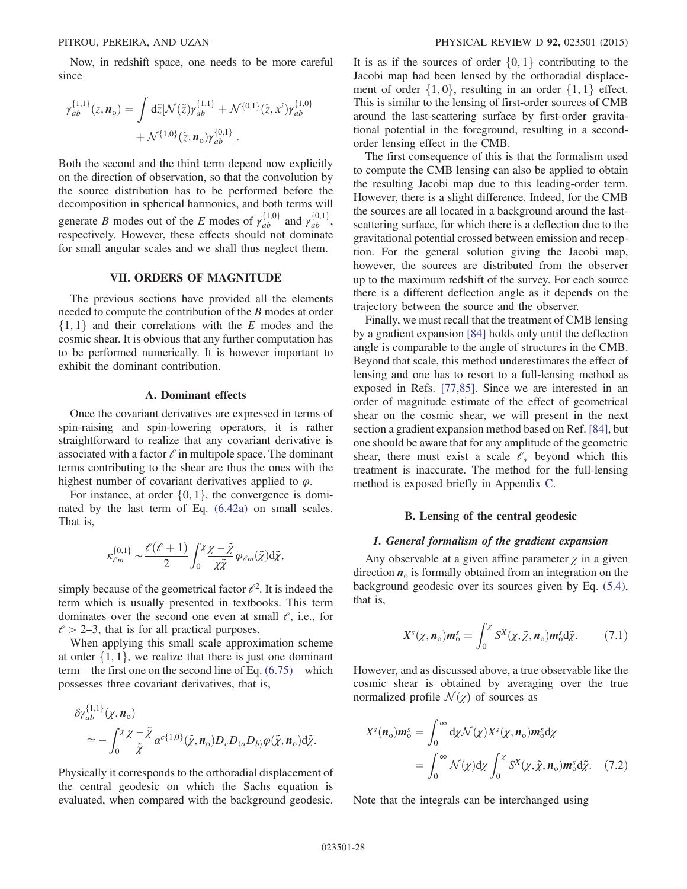Now, in redshift space, one needs to be more careful since

$$
\gamma_{ab}^{\{1,1\}}(z,\mathbf{n}_o) = \int d\tilde{z} [\mathcal{N}(\tilde{z}) \gamma_{ab}^{\{1,1\}} + \mathcal{N}^{\{0,1\}}(\tilde{z},x^i) \gamma_{ab}^{\{1,0\}} + \mathcal{N}^{\{1,0\}}(\tilde{z},\mathbf{n}_o) \gamma_{ab}^{\{0,1\}}].
$$

Both the second and the third term depend now explicitly on the direction of observation, so that the convolution by the source distribution has to be performed before the decomposition in spherical harmonics, and both terms will generate B modes out of the E modes of  $\gamma_{ab}^{\{1,0\}}$  and  $\gamma_{ab}^{\{0,1\}}$ , respectively. However, these effects should not dominate for small angular scales and we shall thus neglect them.

# VII. ORDERS OF MAGNITUDE

The previous sections have provided all the elements needed to compute the contribution of the B modes at order  $\{1, 1\}$  and their correlations with the E modes and the cosmic shear. It is obvious that any further computation has to be performed numerically. It is however important to exhibit the dominant contribution.

# A. Dominant effects

Once the covariant derivatives are expressed in terms of spin-raising and spin-lowering operators, it is rather straightforward to realize that any covariant derivative is associated with a factor  $\ell$  in multipole space. The dominant terms contributing to the shear are thus the ones with the highest number of covariant derivatives applied to  $\varphi$ .

For instance, at order  $\{0, 1\}$ , the convergence is dominated by the last term of Eq. (6.42a) on small scales. That is,

$$
\kappa_{\ell m}^{\{0,1\}} \sim \frac{\ell(\ell+1)}{2} \int_0^\chi \frac{\chi - \tilde{\chi}}{\chi \tilde{\chi}} \varphi_{\ell m}(\tilde{\chi}) \mathrm{d}\tilde{\chi},
$$

simply because of the geometrical factor  $l^2$ . It is indeed the term which is usually presented in textbooks. This term dominates over the second one even at small  $\ell$ , i.e., for  $\ell$  > 2–3, that is for all practical purposes.

When applying this small scale approximation scheme at order  $\{1, 1\}$ , we realize that there is just one dominant term—the first one on the second line of Eq. (6.75)—which possesses three covariant derivatives, that is,

$$
\delta \gamma_{ab}^{\{1,1\}}(\chi, n_o)
$$
  
\n
$$
\simeq -\int_0^\chi \frac{\chi - \tilde{\chi}}{\tilde{\chi}} \alpha^{c\{1,0\}}(\tilde{\chi}, n_o) D_c D_{\langle a} D_{b \rangle} \varphi(\tilde{\chi}, n_o) d\tilde{\chi}.
$$

Physically it corresponds to the orthoradial displacement of the central geodesic on which the Sachs equation is evaluated, when compared with the background geodesic. It is as if the sources of order  $\{0, 1\}$  contributing to the Jacobi map had been lensed by the orthoradial displacement of order  $\{1, 0\}$ , resulting in an order  $\{1, 1\}$  effect. This is similar to the lensing of first-order sources of CMB around the last-scattering surface by first-order gravitational potential in the foreground, resulting in a secondorder lensing effect in the CMB.

The first consequence of this is that the formalism used to compute the CMB lensing can also be applied to obtain the resulting Jacobi map due to this leading-order term. However, there is a slight difference. Indeed, for the CMB the sources are all located in a background around the lastscattering surface, for which there is a deflection due to the gravitational potential crossed between emission and reception. For the general solution giving the Jacobi map, however, the sources are distributed from the observer up to the maximum redshift of the survey. For each source there is a different deflection angle as it depends on the trajectory between the source and the observer.

Finally, we must recall that the treatment of CMB lensing by a gradient expansion [84] holds only until the deflection angle is comparable to the angle of structures in the CMB. Beyond that scale, this method underestimates the effect of lensing and one has to resort to a full-lensing method as exposed in Refs. [77,85]. Since we are interested in an order of magnitude estimate of the effect of geometrical shear on the cosmic shear, we will present in the next section a gradient expansion method based on Ref. [84], but one should be aware that for any amplitude of the geometric shear, there must exist a scale  $\ell_*$  beyond which this treatment is inaccurate. The method for the full lensing treatment is inaccurate. The method for the full-lensing method is exposed briefly in Appendix C.

#### B. Lensing of the central geodesic

# 1. General formalism of the gradient expansion

Any observable at a given affine parameter  $\chi$  in a given direction  $n_0$  is formally obtained from an integration on the background geodesic over its sources given by Eq. (5.4), that is,

$$
X^{s}(\chi,\mathbf{n}_{\mathrm{o}})\mathbf{m}_{\mathrm{o}}^{s}=\int_{0}^{\chi}S^{X}(\chi,\tilde{\chi},\mathbf{n}_{\mathrm{o}})\mathbf{m}_{\mathrm{o}}^{s}\mathrm{d}\tilde{\chi}.\qquad(7.1)
$$

However, and as discussed above, a true observable like the cosmic shear is obtained by averaging over the true normalized profile  $\mathcal{N}(\chi)$  of sources as

$$
X^{s}(\boldsymbol{n}_{o})\boldsymbol{m}_{o}^{s} = \int_{0}^{\infty} d\chi \mathcal{N}(\chi) X^{s}(\chi, \boldsymbol{n}_{o}) \boldsymbol{m}_{o}^{s} d\chi
$$

$$
= \int_{0}^{\infty} \mathcal{N}(\chi) d\chi \int_{0}^{\chi} S^{X}(\chi, \tilde{\chi}, \boldsymbol{n}_{o}) \boldsymbol{m}_{o}^{s} d\tilde{\chi}. \quad (7.2)
$$

Note that the integrals can be interchanged using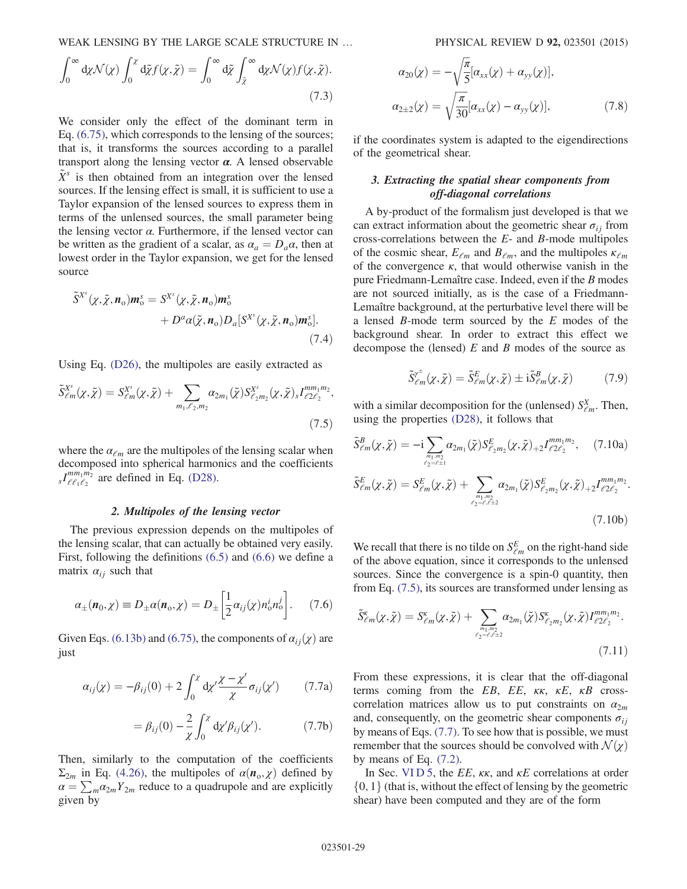$$
\int_0^\infty d\chi \mathcal{N}(\chi) \int_0^\chi d\tilde{\chi} f(\chi, \tilde{\chi}) = \int_0^\infty d\tilde{\chi} \int_{\tilde{\chi}}^\infty d\chi \mathcal{N}(\chi) f(\chi, \tilde{\chi}).
$$
\n(7.3)

We consider only the effect of the dominant term in Eq. (6.75), which corresponds to the lensing of the sources; that is, it transforms the sources according to a parallel transport along the lensing vector  $\alpha$ . A lensed observable  $X^s$  is then obtained from an integration over the lensed sources. If the lensing effect is small, it is sufficient to use a Taylor expansion of the lensed sources to express them in terms of the unlensed sources, the small parameter being the lensing vector  $\alpha$ . Furthermore, if the lensed vector can be written as the gradient of a scalar, as  $\alpha_a = D_a \alpha$ , then at lowest order in the Taylor expansion, we get for the lensed source

$$
\tilde{S}^{X^s}(\chi, \tilde{\chi}, \mathbf{n}_o) \mathbf{m}_o^s = S^{X^s}(\chi, \tilde{\chi}, \mathbf{n}_o) \mathbf{m}_o^s + D^a \alpha(\tilde{\chi}, \mathbf{n}_o) D_a[S^{X^s}(\chi, \tilde{\chi}, \mathbf{n}_o) \mathbf{m}_o^s].
$$
\n(7.4)

Using Eq. (D26), the multipoles are easily extracted as

$$
\tilde{S}_{\ell m}^{X^s}(\chi, \tilde{\chi}) = S_{\ell m}^{X^s}(\chi, \tilde{\chi}) + \sum_{m_1, \ell_2, m_2} \alpha_{2m_1}(\tilde{\chi}) S_{\ell_2 m_2}^{X^s}(\chi, \tilde{\chi})_s I_{\ell 2 \ell_2}^{m m_1 m_2},
$$
\n(7.5)

where the  $\alpha_{\ell m}$  are the multipoles of the lensing scalar when decomposed into spherical harmonics and the coefficients  $sI_{\ell \ell_1 \ell_2}^{mm_1 m_2}$  are defined in Eq. (D28).

#### 2. Multipoles of the lensing vector

The previous expression depends on the multipoles of the lensing scalar, that can actually be obtained very easily. First, following the definitions (6.5) and (6.6) we define a matrix  $\alpha_{ij}$  such that

$$
\alpha_{\pm}(\boldsymbol{n}_{0},\chi) \equiv D_{\pm}\alpha(\boldsymbol{n}_{0},\chi) = D_{\pm}\left[\frac{1}{2}\alpha_{ij}(\chi)n_{0}^{i}n_{0}^{j}\right].
$$
 (7.6)

Given Eqs. (6.13b) and (6.75), the components of  $\alpha_{ii}(\chi)$  are just

$$
\alpha_{ij}(\chi) = -\beta_{ij}(0) + 2\int_0^{\chi} d\chi' \frac{\chi - \chi'}{\chi} \sigma_{ij}(\chi') \qquad (7.7a)
$$

$$
= \beta_{ij}(0) - \frac{2}{\chi} \int_0^{\chi} d\chi' \beta_{ij}(\chi'). \tag{7.7b}
$$

Then, similarly to the computation of the coefficients  $\Sigma_{2m}$  in Eq. (4.26), the multipoles of  $\alpha(\mathbf{n}_{0}, \chi)$  defined by  $\alpha = \sum_{m} \alpha_{2m} Y_{2m}$  reduce to a quadrupole and are explicitly given by

$$
\alpha_{20}(\chi) = -\sqrt{\frac{\pi}{5}} [\alpha_{xx}(\chi) + \alpha_{yy}(\chi)],
$$
  
\n
$$
\alpha_{2\pm 2}(\chi) = \sqrt{\frac{\pi}{30}} [\alpha_{xx}(\chi) - \alpha_{yy}(\chi)],
$$
\n(7.8)

if the coordinates system is adapted to the eigendirections of the geometrical shear.

# 3. Extracting the spatial shear components from off-diagonal correlations

A by-product of the formalism just developed is that we can extract information about the geometric shear  $\sigma_{ii}$  from cross-correlations between the  $E$ - and  $B$ -mode multipoles of the cosmic shear,  $E_{\ell m}$  and  $B_{\ell m}$ , and the multipoles  $\kappa_{\ell m}$ of the convergence  $\kappa$ , that would otherwise vanish in the pure Friedmann-Lemaître case. Indeed, even if the B modes are not sourced initially, as is the case of a Friedmann-Lemaître background, at the perturbative level there will be a lensed  $B$ -mode term sourced by the  $E$  modes of the background shear. In order to extract this effect we decompose the (lensed)  $E$  and  $B$  modes of the source as

$$
\tilde{S}_{\ell m}^{\gamma^{\pm}}(\chi,\tilde{\chi}) = \tilde{S}_{\ell m}^{E}(\chi,\tilde{\chi}) \pm i\tilde{S}_{\ell m}^{B}(\chi,\tilde{\chi}) \tag{7.9}
$$

with a similar decomposition for the (unlensed)  $S_{\ell m}^X$ . Then, using the properties (D28), it follows that

$$
\tilde{S}_{\ell m}^{B}(\chi,\tilde{\chi}) = -i \sum_{m_1,m_2 \atop \ell_2=\ell+1} \alpha_{2m_1}(\tilde{\chi}) S_{\ell_2m_2}^{E}(\chi,\tilde{\chi})_{+2} I_{\ell 2\ell_2}^{m m_1 m_2}, \quad (7.10a)
$$

$$
\tilde{S}_{\ell m}^{E}(\chi,\tilde{\chi}) = S_{\ell m}^{E}(\chi,\tilde{\chi}) + \sum_{m_1,m_2 \atop \ell_2=\ell,\ell+2} \alpha_{2m_1}(\tilde{\chi}) S_{\ell_2m_2}^{E}(\chi,\tilde{\chi})_{+2} I_{\ell 2\ell_2}^{m m_1 m_2}.
$$

 $(7.10<sub>b</sub>)$ 

We recall that there is no tilde on  $S_{\ell m}^E$  on the right-hand side of the above equation, since it corresponds to the unlensed sources. Since the convergence is a spin-0 quantity, then from Eq. (7.5), its sources are transformed under lensing as

$$
\tilde{S}_{\ell m}^{\kappa}(\chi,\tilde{\chi}) = S_{\ell m}^{\kappa}(\chi,\tilde{\chi}) + \sum_{m_1,m_2 \atop \ell_2=\ell,\ell\pm 2} \alpha_{2m_1}(\tilde{\chi}) S_{\ell_2 m_2}^{\kappa}(\chi,\tilde{\chi}) I_{\ell 2\ell_2}^{m m_1 m_2}.
$$
\n(7.11)

From these expressions, it is clear that the off-diagonal terms coming from the EB, EE,  $\kappa \kappa$ ,  $\kappa E$ ,  $\kappa B$  crosscorrelation matrices allow us to put constraints on  $\alpha_{2m}$ and, consequently, on the geometric shear components  $\sigma_{ii}$ by means of Eqs. (7.7). To see how that is possible, we must remember that the sources should be convolved with  $\mathcal{N}(\chi)$ by means of Eq. (7.2).

In Sec. VID 5, the  $EE$ ,  $\kappa \kappa$ , and  $\kappa E$  correlations at order  $\{0, 1\}$  (that is, without the effect of lensing by the geometric shear) have been computed and they are of the form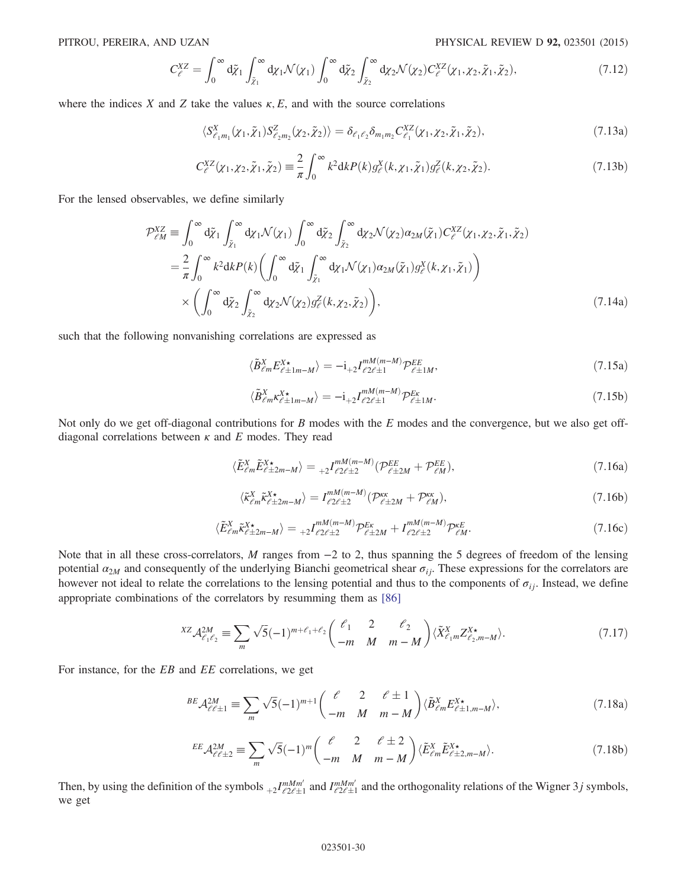$$
C_{\ell}^{XZ} = \int_0^{\infty} d\tilde{\chi}_1 \int_{\tilde{\chi}_1}^{\infty} d\chi_1 \mathcal{N}(\chi_1) \int_0^{\infty} d\tilde{\chi}_2 \int_{\tilde{\chi}_2}^{\infty} d\chi_2 \mathcal{N}(\chi_2) C_{\ell}^{XZ}(\chi_1, \chi_2, \tilde{\chi}_1, \tilde{\chi}_2), \tag{7.12}
$$

where the indices X and Z take the values  $\kappa$ , E, and with the source correlations

$$
\langle S_{\ell_1 m_1}^X(\chi_1, \tilde{\chi}_1) S_{\ell_2 m_2}^Z(\chi_2, \tilde{\chi}_2) \rangle = \delta_{\ell_1 \ell_2} \delta_{m_1 m_2} C_{\ell_1}^{XZ}(\chi_1, \chi_2, \tilde{\chi}_1, \tilde{\chi}_2), \tag{7.13a}
$$

$$
C_{\ell}^{XZ}(\chi_1, \chi_2, \tilde{\chi}_1, \tilde{\chi}_2) \equiv \frac{2}{\pi} \int_0^{\infty} k^2 \mathrm{d}k P(k) g_{\ell}^X(k, \chi_1, \tilde{\chi}_1) g_{\ell}^Z(k, \chi_2, \tilde{\chi}_2). \tag{7.13b}
$$

For the lensed observables, we define similarly

$$
\mathcal{P}_{\ell M}^{XZ} \equiv \int_0^\infty d\tilde{\chi}_1 \int_{\tilde{\chi}_1}^\infty d\chi_1 \mathcal{N}(\chi_1) \int_0^\infty d\tilde{\chi}_2 \int_{\tilde{\chi}_2}^\infty d\chi_2 \mathcal{N}(\chi_2) \alpha_{2M}(\tilde{\chi}_1) C_{\ell}^{XZ}(\chi_1, \chi_2, \tilde{\chi}_1, \tilde{\chi}_2)
$$
  
\n
$$
= \frac{2}{\pi} \int_0^\infty k^2 d\kappa P(k) \left( \int_0^\infty d\tilde{\chi}_1 \int_{\tilde{\chi}_1}^\infty d\chi_1 \mathcal{N}(\chi_1) \alpha_{2M}(\tilde{\chi}_1) g_{\ell}^X(k, \chi_1, \tilde{\chi}_1) \right)
$$
  
\n
$$
\times \left( \int_0^\infty d\tilde{\chi}_2 \int_{\tilde{\chi}_2}^\infty d\chi_2 \mathcal{N}(\chi_2) g_{\ell}^Z(k, \chi_2, \tilde{\chi}_2) \right), \tag{7.14a}
$$

such that the following nonvanishing correlations are expressed as

$$
\langle \tilde{B}_{\ell m}^X E_{\ell \pm 1 m - M}^{X \star} \rangle = -i_{+2} I_{\ell 2 \ell \pm 1}^{mM(m-M)} \mathcal{P}_{\ell \pm 1 M}^{EE}, \qquad (7.15a)
$$

$$
\langle \tilde{B}_{\ell m}^X \kappa_{\ell \pm 1 m - M}^X \rangle = -i_{+2} I_{\ell 2 \ell \pm 1}^{mM(m-M)} \mathcal{P}_{\ell \pm 1 M}^{Ex}.
$$
\n(7.15b)

Not only do we get off-diagonal contributions for B modes with the  $E$  modes and the convergence, but we also get offdiagonal correlations between  $\kappa$  and  $E$  modes. They read

$$
\langle \tilde{E}_{\ell m}^X \tilde{E}_{\ell \pm 2m-M}^{X\star} \rangle = {}_{+2}I_{\ell 2\ell \pm 2}^{mM(m-M)} (\mathcal{P}_{\ell \pm 2M}^{EE} + \mathcal{P}_{\ell M}^{EE}), \tag{7.16a}
$$

$$
\langle \tilde{\kappa}_{\ell m}^X \tilde{\kappa}_{\ell \pm 2m-M}^{X \star} \rangle = I_{\ell 2\ell \pm 2}^{mM(m-M)} (\mathcal{P}_{\ell \pm 2M}^{KK} + \mathcal{P}_{\ell M}^{KK}), \tag{7.16b}
$$

$$
\langle \tilde{E}_{\ell m}^X \tilde{\kappa}_{\ell \pm 2m-M}^{X\star} \rangle = {}_{+2}I_{\ell 2\ell \pm 2}^{mM(m-M)} \mathcal{P}_{\ell \pm 2M}^{E\star} + I_{\ell 2\ell \pm 2}^{mM(m-M)} \mathcal{P}_{\ell M}^{\kappa E}.
$$
\n(7.16c)

Note that in all these cross-correlators, M ranges from  $-2$  to 2, thus spanning the 5 degrees of freedom of the lensing potential  $\alpha_{2M}$  and consequently of the underlying Bianchi geometrical shear  $\sigma_{ij}$ . These expressions for the correlators are however not ideal to relate the correlations to the lensing potential and thus to the components of  $\sigma_{ij}$ . Instead, we define appropriate combinations of the correlators by resumming them as [86]

$$
^{XZ}\mathcal{A}_{\ell_1\ell_2}^{2M} \equiv \sum_m \sqrt{5}(-1)^{m+\ell_1+\ell_2} \begin{pmatrix} \ell_1 & 2 & \ell_2 \\ -m & M & m-M \end{pmatrix} \langle \tilde{X}_{\ell_1m}^{X} Z_{\ell_2,m-M}^{X\star} \rangle. \tag{7.17}
$$

For instance, for the EB and EE correlations, we get

$$
{}^{BE}\mathcal{A}_{\ell\ell\pm1}^{2M} \equiv \sum_{m} \sqrt{5}(-1)^{m+1} \begin{pmatrix} \ell & 2 & \ell \pm 1 \\ -m & M & m-M \end{pmatrix} \langle \tilde{B}_{\ell m}^{X} E_{\ell\pm1,m-M}^{X\star} \rangle, \tag{7.18a}
$$

$$
^{EE}\mathcal{A}_{\ell\ell\pm2}^{2M} \equiv \sum_{m} \sqrt{5}(-1)^{m} \begin{pmatrix} \ell & 2 & \ell \pm 2 \\ -m & M & m-M \end{pmatrix} \langle \tilde{E}_{\ell m}^{X} \tilde{E}_{\ell\pm2,m-M}^{X\star} \rangle.
$$
 (7.18b)

Then, by using the definition of the symbols  $_{+2}I_{\ell 2\ell+1}^{mMm'}$  and  $I_{\ell 2\ell+1}^{mMm'}$  and the orthogonality relations of the Wigner 3j symbols, we get we get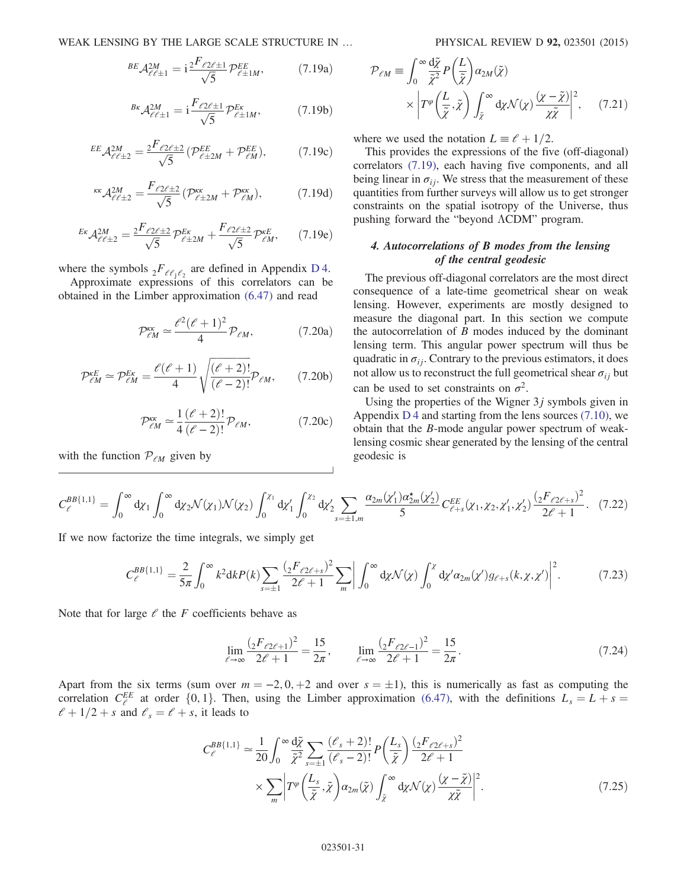$$
{}^{BE}\mathcal{A}_{\ell\ell\pm1}^{2M} = i\frac{{}_2F_{\ell2\ell\pm1}}{\sqrt{5}}\mathcal{P}_{\ell\pm1M}^{EE},\tag{7.19a}
$$

$$
{}^{B\kappa}\mathcal{A}_{\ell\ell\pm1}^{2M} = \mathrm{i}\frac{F_{\ell2\ell\pm1}}{\sqrt{5}} \mathcal{P}_{\ell\pm1M}^{E\kappa},\tag{7.19b}
$$

$$
^{EE}\mathcal{A}_{\ell\ell\pm2}^{2M} = \frac{{}_2F_{\ell2\ell\pm2}}{\sqrt{5}} \left(\mathcal{P}_{\ell\pm2M}^{EE} + \mathcal{P}_{\ell M}^{EE}\right),\tag{7.19c}
$$

$$
{}^{\kappa\kappa}\mathcal{A}^{2M}_{\ell\ell\pm2} = \frac{F_{\ell2\ell\pm2}}{\sqrt{5}} \left(\mathcal{P}^{\kappa\kappa}_{\ell\pm2M} + \mathcal{P}^{\kappa\kappa}_{\ellM}\right),\tag{7.19d}
$$

$$
^{Ex}\mathcal{A}_{\ell\ell\pm2}^{2M} = \frac{{}_2F_{\ell2\ell\pm2}}{\sqrt{5}} \mathcal{P}_{\ell\pm2M}^{Ex} + \frac{F_{\ell2\ell\pm2}}{\sqrt{5}} \mathcal{P}_{\ell M}^{xE}, \qquad (7.19e)
$$

where the symbols  ${}_2F_{\ell\ell_1\ell_2}$  are defined in Appendix D 4.

Approximate expressions of this correlators can be obtained in the Limber approximation (6.47) and read

$$
\mathcal{P}_{\ell M}^{\kappa\kappa} \simeq \frac{\ell^2 (\ell+1)^2}{4} \mathcal{P}_{\ell M},\tag{7.20a}
$$

$$
\mathcal{P}^{\kappa E}_{\ell M} \simeq \mathcal{P}^{E\kappa}_{\ell M} = \frac{\ell(\ell+1)}{4} \sqrt{\frac{(\ell+2)!}{(\ell-2)!}} \mathcal{P}_{\ell M},\qquad(7.20b)
$$

$$
\mathcal{P}_{\ell M}^{\kappa\kappa} \simeq \frac{1}{4} \frac{(\ell+2)!}{(\ell-2)!} \mathcal{P}_{\ell M},\tag{7.20c}
$$

with the function  $P_{\ell M}$  given by

$$
\mathcal{P}_{\ell M} \equiv \int_0^\infty \frac{\mathrm{d}\tilde{\chi}}{\tilde{\chi}^2} P\left(\frac{L}{\tilde{\chi}}\right) \alpha_{2M}(\tilde{\chi}) \times \left| T^\varphi\left(\frac{L}{\tilde{\chi}}, \tilde{\chi}\right) \int_{\tilde{\chi}}^\infty \mathrm{d}\chi \mathcal{N}(\chi) \frac{(\chi - \tilde{\chi})}{\chi \tilde{\chi}} \right|^2, \quad (7.21)
$$

where we used the notation  $L \equiv \ell + 1/2$ .

 $\sim$ 

This provides the expressions of the five (off-diagonal) correlators (7.19), each having five components, and all being linear in  $\sigma_{ij}$ . We stress that the measurement of these quantities from further surveys will allow us to get stronger constraints on the spatial isotropy of the Universe, thus pushing forward the "beyond ΛCDM" program.

# 4. Autocorrelations of B modes from the lensing of the central geodesic

The previous off-diagonal correlators are the most direct consequence of a late-time geometrical shear on weak lensing. However, experiments are mostly designed to measure the diagonal part. In this section we compute the autocorrelation of  $B$  modes induced by the dominant lensing term. This angular power spectrum will thus be quadratic in  $\sigma_{ij}$ . Contrary to the previous estimators, it does not allow us to reconstruct the full geometrical shear  $\sigma_{ij}$  but can be used to set constraints on  $\sigma^2$ .

Using the properties of the Wigner  $3j$  symbols given in Appendix  $D_4$  and starting from the lens sources (7.10), we obtain that the B-mode angular power spectrum of weaklensing cosmic shear generated by the lensing of the central geodesic is

$$
C_{\ell}^{BB\{1,1\}} = \int_0^{\infty} d\chi_1 \int_0^{\infty} d\chi_2 \mathcal{N}(\chi_1) \mathcal{N}(\chi_2) \int_0^{\chi_1} d\chi_1' \int_0^{\chi_2} d\chi_2' \sum_{s=\pm 1,m} \frac{\alpha_{2m}(\chi_1') \alpha_{2m}^{\star}(\chi_2')}{5} C_{\ell+s}^{EE}(\chi_1, \chi_2, \chi_1', \chi_2') \frac{({}_2F_{\ell 2\ell+s})^2}{2\ell+1}.
$$
 (7.22)

If we now factorize the time integrals, we simply get

$$
C_{\ell}^{BB\{1,1\}} = \frac{2}{5\pi} \int_0^{\infty} k^2 d\kappa P(k) \sum_{s=\pm 1} \frac{({}_2F_{\ell 2\ell+s})^2}{2\ell+1} \sum_m \left| \int_0^{\infty} d\chi \mathcal{N}(\chi) \int_0^{\chi} d\chi' \alpha_{2m}(\chi') g_{\ell+s}(k,\chi,\chi') \right|^2. \tag{7.23}
$$

Note that for large  $\ell$  the F coefficients behave as

$$
\lim_{\ell \to \infty} \frac{({}_2F_{\ell 2\ell+1})^2}{2\ell+1} = \frac{15}{2\pi}, \qquad \lim_{\ell \to \infty} \frac{({}_2F_{\ell 2\ell-1})^2}{2\ell+1} = \frac{15}{2\pi}.
$$
\n(7.24)

Apart from the six terms (sum over  $m = -2, 0, +2$  and over  $s = \pm 1$ ), this is numerically as fast as computing the correlation  $C_{\epsilon}^{EE}$  at order  $\{0,1\}$ . Then, using the Limber approximation (6.47), with the definitions  $L_s = L + s =$ <br> $\epsilon + 1/2 + s$  and  $\epsilon = \epsilon + s$  it leads to  $\ell + 1/2 + s$  and  $\ell_s = \ell + s$ , it leads to

$$
C_{\ell}^{BB\{1,1\}} \simeq \frac{1}{20} \int_0^{\infty} \frac{d\tilde{\chi}}{\tilde{\chi}^2} \sum_{s=\pm 1} \frac{(\ell_s + 2)!}{(\ell_s - 2)!} P\left(\frac{L_s}{\tilde{\chi}}\right) \frac{\left({}_2F_{\ell 2\ell+s}\right)^2}{2\ell + 1} \times \sum_m \left| T^{\varphi}\left(\frac{L_s}{\tilde{\chi}}, \tilde{\chi}\right) \alpha_{2m}(\tilde{\chi}) \int_{\tilde{\chi}}^{\infty} d\chi \mathcal{N}(\chi) \frac{(\chi - \tilde{\chi})}{\chi \tilde{\chi}} \right|^2. \tag{7.25}
$$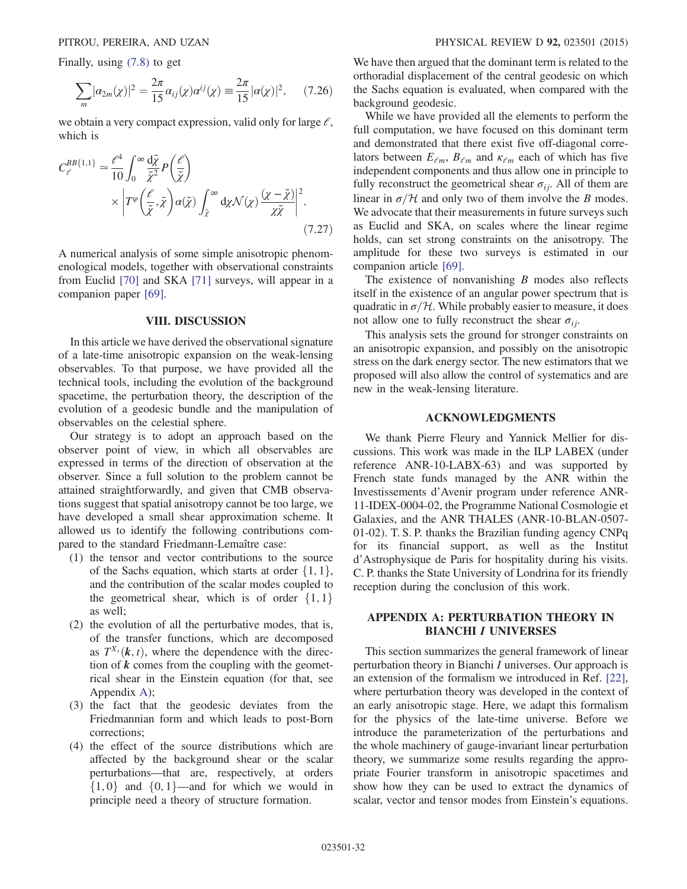Finally, using (7.8) to get

$$
\sum_{m} |\alpha_{2m}(\chi)|^2 = \frac{2\pi}{15} \alpha_{ij}(\chi) \alpha^{ij}(\chi) \equiv \frac{2\pi}{15} |\alpha(\chi)|^2, \quad (7.26)
$$

we obtain a very compact expression, valid only for large  $\ell$ , which is

$$
C_{\ell}^{BB\{1,1\}} \simeq \frac{\ell^4}{10} \int_0^{\infty} \frac{d\tilde{\chi}}{\tilde{\chi}^2} P\left(\frac{\ell}{\tilde{\chi}}\right)
$$

$$
\times \left| T^{\varphi}\left(\frac{\ell}{\tilde{\chi}}, \tilde{\chi}\right) \alpha(\tilde{\chi}) \int_{\tilde{\chi}}^{\infty} d\chi \mathcal{N}(\chi) \frac{(\chi - \tilde{\chi})}{\chi \tilde{\chi}} \right|^2.
$$
(7.27)

A numerical analysis of some simple anisotropic phenomenological models, together with observational constraints from Euclid [70] and SKA [71] surveys, will appear in a companion paper [69].

# VIII. DISCUSSION

In this article we have derived the observational signature of a late-time anisotropic expansion on the weak-lensing observables. To that purpose, we have provided all the technical tools, including the evolution of the background spacetime, the perturbation theory, the description of the evolution of a geodesic bundle and the manipulation of observables on the celestial sphere.

Our strategy is to adopt an approach based on the observer point of view, in which all observables are expressed in terms of the direction of observation at the observer. Since a full solution to the problem cannot be attained straightforwardly, and given that CMB observations suggest that spatial anisotropy cannot be too large, we have developed a small shear approximation scheme. It allowed us to identify the following contributions compared to the standard Friedmann-Lemaître case:

- (1) the tensor and vector contributions to the source of the Sachs equation, which starts at order  $\{1, 1\}$ , and the contribution of the scalar modes coupled to the geometrical shear, which is of order  $\{1, 1\}$ as well;
- (2) the evolution of all the perturbative modes, that is, of the transfer functions, which are decomposed as  $T^{X_s}(\mathbf{k}, t)$ , where the dependence with the direction of  $k$  comes from the coupling with the geometrical shear in the Einstein equation (for that, see Appendix A);
- (3) the fact that the geodesic deviates from the Friedmannian form and which leads to post-Born corrections;
- (4) the effect of the source distributions which are affected by the background shear or the scalar perturbations—that are, respectively, at orders  $\{1,0\}$  and  $\{0,1\}$ —and for which we would in principle need a theory of structure formation.

We have then argued that the dominant term is related to the orthoradial displacement of the central geodesic on which the Sachs equation is evaluated, when compared with the background geodesic.

While we have provided all the elements to perform the full computation, we have focused on this dominant term and demonstrated that there exist five off-diagonal correlators between  $E_{\ell m}$ ,  $B_{\ell m}$  and  $\kappa_{\ell m}$  each of which has five independent components and thus allow one in principle to fully reconstruct the geometrical shear  $\sigma_{ij}$ . All of them are linear in  $\sigma/\mathcal{H}$  and only two of them involve the B modes. We advocate that their measurements in future surveys such as Euclid and SKA, on scales where the linear regime holds, can set strong constraints on the anisotropy. The amplitude for these two surveys is estimated in our companion article [69].

The existence of nonvanishing  $B$  modes also reflects itself in the existence of an angular power spectrum that is quadratic in  $\sigma/H$ . While probably easier to measure, it does not allow one to fully reconstruct the shear  $\sigma_{ij}$ .

This analysis sets the ground for stronger constraints on an anisotropic expansion, and possibly on the anisotropic stress on the dark energy sector. The new estimators that we proposed will also allow the control of systematics and are new in the weak-lensing literature.

#### ACKNOWLEDGMENTS

We thank Pierre Fleury and Yannick Mellier for discussions. This work was made in the ILP LABEX (under reference ANR-10-LABX-63) and was supported by French state funds managed by the ANR within the Investissements d'Avenir program under reference ANR-11-IDEX-0004-02, the Programme National Cosmologie et Galaxies, and the ANR THALES (ANR-10-BLAN-0507- 01-02). T. S. P. thanks the Brazilian funding agency CNPq for its financial support, as well as the Institut d'Astrophysique de Paris for hospitality during his visits. C. P. thanks the State University of Londrina for its friendly reception during the conclusion of this work.

# APPENDIX A: PERTURBATION THEORY IN BIANCHI I UNIVERSES

This section summarizes the general framework of linear perturbation theory in Bianchi I universes. Our approach is an extension of the formalism we introduced in Ref. [22], where perturbation theory was developed in the context of an early anisotropic stage. Here, we adapt this formalism for the physics of the late-time universe. Before we introduce the parameterization of the perturbations and the whole machinery of gauge-invariant linear perturbation theory, we summarize some results regarding the appropriate Fourier transform in anisotropic spacetimes and show how they can be used to extract the dynamics of scalar, vector and tensor modes from Einstein's equations.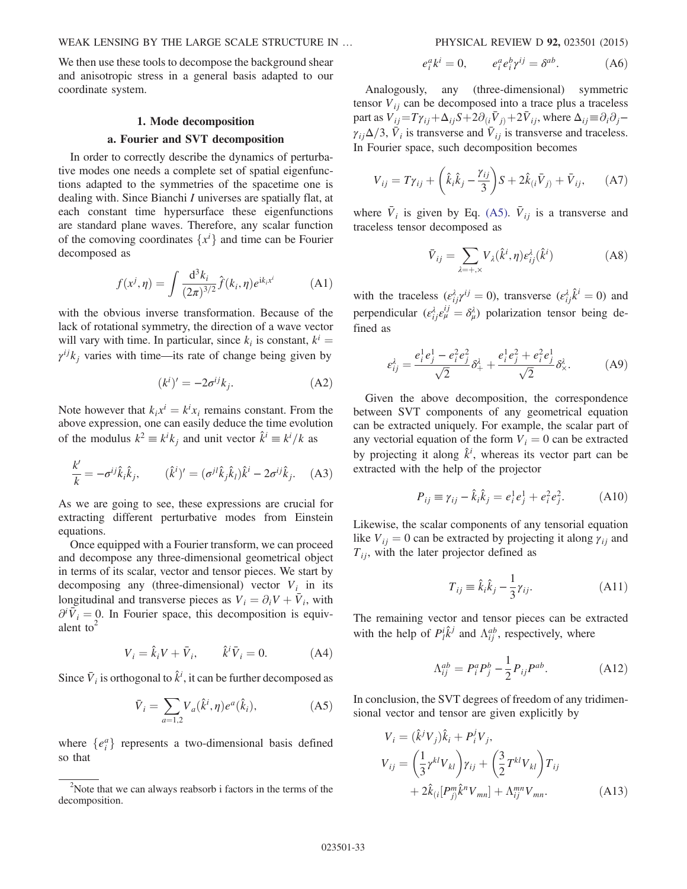We then use these tools to decompose the background shear and anisotropic stress in a general basis adapted to our coordinate system.

#### 1. Mode decomposition

# a. Fourier and SVT decomposition

In order to correctly describe the dynamics of perturbative modes one needs a complete set of spatial eigenfunctions adapted to the symmetries of the spacetime one is dealing with. Since Bianchi I universes are spatially flat, at each constant time hypersurface these eigenfunctions are standard plane waves. Therefore, any scalar function of the comoving coordinates  $\{x^i\}$  and time can be Fourier decomposed as decomposed as

$$
f(x^j, \eta) = \int \frac{d^3 k_i}{(2\pi)^{3/2}} \hat{f}(k_i, \eta) e^{ik_i x^i}
$$
 (A1)

with the obvious inverse transformation. Because of the lack of rotational symmetry, the direction of a wave vector will vary with time. In particular, since  $k_i$  is constant,  $k^i$  =  $\gamma^{ij}k_j$  varies with time—its rate of change being given by

$$
(k^i)' = -2\sigma^{ij}k_j.
$$
 (A2)

Note however that  $k_i x^i = k^i x_i$  remains constant. From the above expression one can easily deduce the time evolution above expression, one can easily deduce the time evolution of the modulus  $k^2 \equiv k^i k_j$  and unit vector  $\hat{k}^i \equiv k^i / k$  as

$$
\frac{k'}{k} = -\sigma^{ij}\hat{k}_i\hat{k}_j, \qquad (\hat{k}^i)' = (\sigma^{jl}\hat{k}_j\hat{k}_l)\hat{k}^i - 2\sigma^{ij}\hat{k}_j. \quad (A3)
$$

As we are going to see, these expressions are crucial for extracting different perturbative modes from Einstein equations.

Once equipped with a Fourier transform, we can proceed and decompose any three-dimensional geometrical object in terms of its scalar, vector and tensor pieces. We start by decomposing any (three-dimensional) vector  $V_i$  in its longitudinal and transverse pieces as  $V_i = \partial_i V + \overline{V}_i$ , with  $\frac{\partial^i \bar{V}_i}{\partial \bar{V}_i} = 0$ . In Fourier space, this decomposition is equivalent to<sup>2</sup>

$$
V_i = \hat{k}_i V + \bar{V}_i, \qquad \hat{k}^i \bar{V}_i = 0.
$$
 (A4)

Since  $\bar{V}_i$  is orthogonal to  $\hat{k}^i$ , it can be further decomposed as

$$
\bar{V}_i = \sum_{a=1,2} V_a(\hat{k}^i, \eta) e^a(\hat{k}_i), \tag{A5}
$$

where  $\{e_i^a\}$  represents a two-dimensional basis defined<br>so that so that

$$
e_i^a k^i = 0, \qquad e_i^a e_i^b \gamma^{ij} = \delta^{ab}.
$$
 (A6)

Analogously, any (three-dimensional) symmetric tensor  $V_{ij}$  can be decomposed into a trace plus a traceless part as  $V_{ij} = T\gamma_{ij} + \Delta_{ij}S + 2\partial_{(i}\bar{V}_{j)} + 2\bar{V}_{ij}$ , where  $\Delta_{ij} \equiv \partial_i \partial_j \gamma_{ij}\Delta/3$ ,  $V_i$  is transverse and  $V_{ij}$  is transverse and traceless. In Fourier space, such decomposition becomes

$$
V_{ij} = T\gamma_{ij} + \left(\hat{k}_i\hat{k}_j - \frac{\gamma_{ij}}{3}\right)S + 2\hat{k}_{(i}\bar{V}_{j)} + \bar{V}_{ij}, \quad (A7)
$$

where  $\bar{V}_i$  is given by Eq. (A5).  $\bar{V}_{ij}$  is a transverse and traceless tensor decomposed as

$$
\bar{V}_{ij} = \sum_{\lambda = +,\times} V_{\lambda}(\hat{k}^i, \eta) \varepsilon_{ij}^{\lambda}(\hat{k}^i)
$$
 (A8)

with the traceless  $(\epsilon_{ij}^{\lambda} \gamma^{ij} = 0)$ , transverse  $(\epsilon_{ij}^{\lambda} \hat{k}^i = 0)$  and perpendicular  $(e_i^{\lambda}{}_{j}e_{\mu}^{ij} = \delta_{\mu}^{\lambda})$  polarization tensor being defined as fined as

$$
\varepsilon_{ij}^{\lambda} = \frac{e_i^1 e_j^1 - e_i^2 e_j^2}{\sqrt{2}} \delta_+^{\lambda} + \frac{e_i^1 e_j^2 + e_i^2 e_j^1}{\sqrt{2}} \delta_+^{\lambda}.
$$
 (A9)

Given the above decomposition, the correspondence between SVT components of any geometrical equation can be extracted uniquely. For example, the scalar part of any vectorial equation of the form  $V_i = 0$  can be extracted by projecting it along  $\hat{k}^i$ , whereas its vector part can be extracted with the help of the projector

$$
P_{ij} \equiv \gamma_{ij} - \hat{k}_i \hat{k}_j = e_i^1 e_j^1 + e_i^2 e_j^2.
$$
 (A10)

Likewise, the scalar components of any tensorial equation like  $V_{ij} = 0$  can be extracted by projecting it along  $\gamma_{ij}$  and  $T_{ij}$ , with the later projector defined as

$$
T_{ij} \equiv \hat{k}_i \hat{k}_j - \frac{1}{3} \gamma_{ij}.
$$
 (A11)

The remaining vector and tensor pieces can be extracted with the help of  $P_l^i \hat{k}^j$  and  $\Lambda_{ij}^{ab}$ , respectively, where

$$
\Lambda_{ij}^{ab} = P_i^a P_j^b - \frac{1}{2} P_{ij} P^{ab}.
$$
\n(A12)

In conclusion, the SVT degrees of freedom of any tridimensional vector and tensor are given explicitly by

$$
V_{i} = (\hat{k}^{j}V_{j})\hat{k}_{i} + P_{i}^{j}V_{j},
$$
  
\n
$$
V_{ij} = \left(\frac{1}{3}\gamma^{kl}V_{kl}\right)\gamma_{ij} + \left(\frac{3}{2}T^{kl}V_{kl}\right)T_{ij} + 2\hat{k}_{(i}[P_{j)}^{m}\hat{k}^{n}V_{mn}] + \Lambda_{ij}^{mn}V_{mn}.
$$
\n(A13)

<sup>&</sup>lt;sup>2</sup>Note that we can always reabsorb i factors in the terms of the  $+2\hat{k}_{(i}[P_{j]}^{m}\hat{k}^{n}V_{mn}] + \Lambda_{ij}^{mn}V_{mn}.$  (A13) composition. decomposition.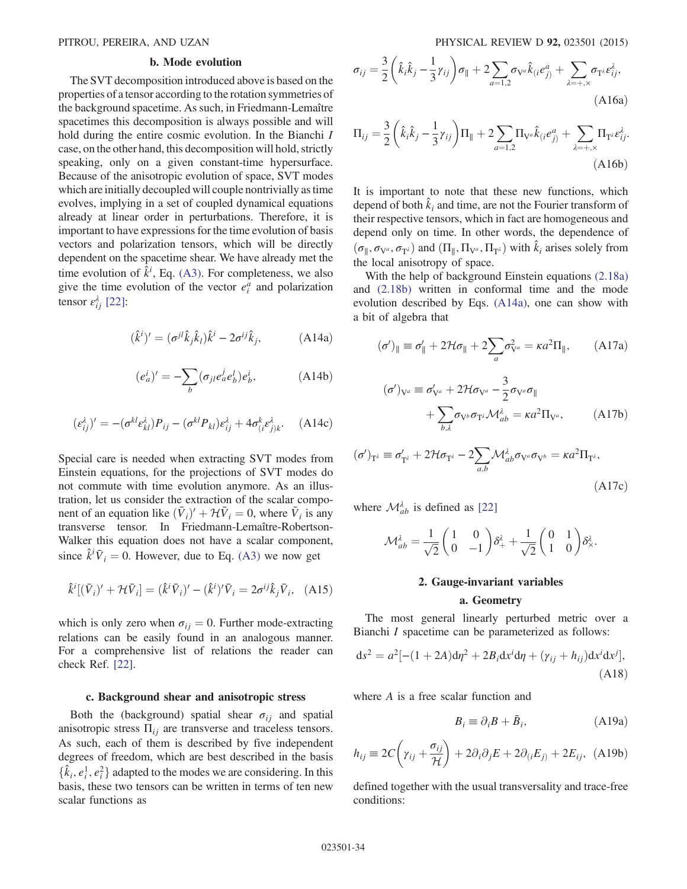#### b. Mode evolution

The SVT decomposition introduced above is based on the properties of a tensor according to the rotation symmetries of the background spacetime. As such, in Friedmann-Lemaître spacetimes this decomposition is always possible and will hold during the entire cosmic evolution. In the Bianchi I case, on the other hand, this decomposition will hold, strictly speaking, only on a given constant-time hypersurface. Because of the anisotropic evolution of space, SVT modes which are initially decoupled will couple nontrivially as time evolves, implying in a set of coupled dynamical equations already at linear order in perturbations. Therefore, it is important to have expressions for the time evolution of basis vectors and polarization tensors, which will be directly dependent on the spacetime shear. We have already met the time evolution of  $\hat{k}^i$ , Eq. (A3). For completeness, we also give the time evolution of the vector  $e_i^a$  and polarization tensor  $\varepsilon_{ij}^{\lambda}$  [22]:

$$
(\hat{k}^i)' = (\sigma^{jl}\hat{k}_j\hat{k}_l)\hat{k}^i - 2\sigma^{ij}\hat{k}_j,
$$
 (A14a)

$$
(e_a^i)' = -\sum_b (\sigma_{jl} e_a^j e_b^l) e_b^i, \tag{A14b}
$$

$$
(\varepsilon_{ij}^{\lambda})' = -(\sigma^{kl}\varepsilon_{kl}^{\lambda})P_{ij} - (\sigma^{kl}P_{kl})\varepsilon_{ij}^{\lambda} + 4\sigma_{(i}^{\lambda}\varepsilon_{j)k}^{\lambda}.
$$
 (A14c)

Special care is needed when extracting SVT modes from Einstein equations, for the projections of SVT modes do not commute with time evolution anymore. As an illustration, let us consider the extraction of the scalar component of an equation like  $(\bar{V}_i)' + \mathcal{H}\bar{V}_i = 0$ , where  $\bar{V}_i$  is any transverse tensor. In Friedmann-Lemaître-Robertson-Walker this equation does not have a scalar component, since  $\hat{k}^i \overline{V}_i = 0$ . However, due to Eq. (A3) we now get

$$
\hat{k}^i[(\bar{V}_i)' + \mathcal{H}\bar{V}_i] = (\hat{k}^i \bar{V}_i)' - (\hat{k}^i)'\bar{V}_i = 2\sigma^{ij}\hat{k}_j \bar{V}_i, \quad (A15)
$$

which is only zero when  $\sigma_{ij} = 0$ . Further mode-extracting relations can be easily found in an analogous manner. For a comprehensive list of relations the reader can check Ref. [22].

#### c. Background shear and anisotropic stress

Both the (background) spatial shear  $\sigma_{ij}$  and spatial anisotropic stress  $\Pi_{ij}$  are transverse and traceless tensors. As such, each of them is described by five independent degrees of freedom, which are best described in the basis  $\{\hat{k}_i, e_i^1, e_i^2\}$  adapted to the modes we are considering. In this hasis these two tensors can be written in terms of ten new basis, these two tensors can be written in terms of ten new scalar functions as

$$
\sigma_{ij} = \frac{3}{2} \left( \hat{k}_i \hat{k}_j - \frac{1}{3} \gamma_{ij} \right) \sigma_{\parallel} + 2 \sum_{a=1,2} \sigma_{\mathsf{V}^a} \hat{k}_{(i} e^a_{j)} + \sum_{\lambda = +, \times} \sigma_{\mathsf{T}^{\lambda}} \varepsilon^{\lambda}_{ij},
$$
\n(A16a)

$$
\Pi_{ij} = \frac{3}{2} \left( \hat{k}_i \hat{k}_j - \frac{1}{3} \gamma_{ij} \right) \Pi_{\parallel} + 2 \sum_{a=1,2} \Pi_{V^a} \hat{k}_{(i} e^a_{j)} + \sum_{\lambda = +, \times} \Pi_{T^{\lambda}} e^{\lambda}_{ij}.
$$
\n(A16b)

It is important to note that these new functions, which depend of both  $\hat{k}_i$  and time, are not the Fourier transform of their respective tensors, which in fact are homogeneous and depend only on time. In other words, the dependence of  $(\sigma_{\parallel}, \sigma_{V^a}, \sigma_{T^{\lambda}})$  and  $(\Pi_{\parallel}, \Pi_{V^a}, \Pi_{T^{\lambda}})$  with  $\hat{k}_i$  arises solely from the local anisotropy of space.

With the help of background Einstein equations (2.18a) and (2.18b) written in conformal time and the mode evolution described by Eqs. (A14a), one can show with a bit of algebra that

$$
(\sigma')_{\parallel} \equiv \sigma'_{\parallel} + 2\mathcal{H}\sigma_{\parallel} + 2\sum_{a} \sigma_{\mathrm{V}^a}^2 = \kappa a^2 \Pi_{\parallel}, \qquad \text{(A17a)}
$$

$$
(\sigma')_{V^a} \equiv \sigma'_{V^a} + 2\mathcal{H}\sigma_{V^a} - \frac{3}{2}\sigma_{V^a}\sigma_{\parallel}
$$

$$
+ \sum_{b,\lambda} \sigma_{V^b}\sigma_{T^{\lambda}}\mathcal{M}^{\lambda}_{ab} = \kappa a^2 \Pi_{V^a}, \qquad (A17b)
$$

$$
(\sigma')_{T^{\lambda}} \equiv \sigma'_{T^{\lambda}} + 2\mathcal{H}\sigma_{T^{\lambda}} - 2\sum_{a,b} \mathcal{M}^{\lambda}_{ab}\sigma_{V^a}\sigma_{V^b} = \kappa a^2 \Pi_{T^{\lambda}},
$$
\n(A17c)

where  $\mathcal{M}_{ab}^{\lambda}$  is defined as [22]

$$
\mathcal{M}_{ab}^{\lambda} = \frac{1}{\sqrt{2}} \begin{pmatrix} 1 & 0 \\ 0 & -1 \end{pmatrix} \delta_{+}^{\lambda} + \frac{1}{\sqrt{2}} \begin{pmatrix} 0 & 1 \\ 1 & 0 \end{pmatrix} \delta_{\times}^{\lambda}.
$$

#### 2. Gauge-invariant variables

# a. Geometry

The most general linearly perturbed metric over a Bianchi I spacetime can be parameterized as follows:

$$
ds^{2} = a^{2}[-(1+2A)d\eta^{2} + 2B_{i}dx^{i}d\eta + (\gamma_{ij} + h_{ij})dx^{i}dx^{j}],
$$
\n(A18)

where A is a free scalar function and

$$
B_i \equiv \partial_i B + \bar{B}_i, \tag{A19a}
$$

$$
h_{ij} \equiv 2C\left(\gamma_{ij} + \frac{\sigma_{ij}}{\mathcal{H}}\right) + 2\partial_i\partial_j E + 2\partial_{(i}E_{j)} + 2E_{ij}, \text{ (A19b)}
$$

defined together with the usual transversality and trace-free conditions: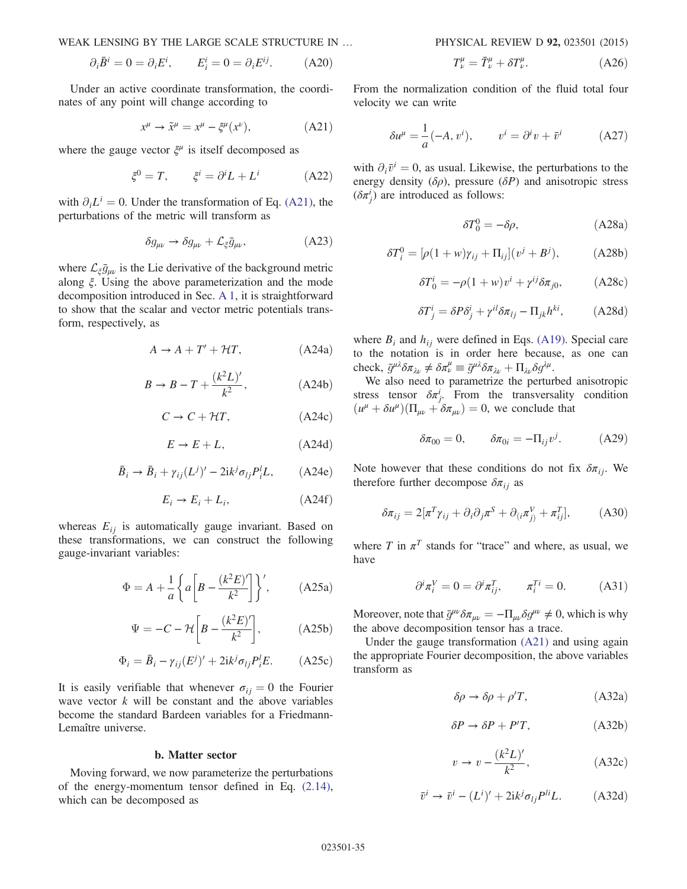$$
\partial_i \bar{B}^i = 0 = \partial_i E^i, \qquad E^i_i = 0 = \partial_i E^{ij}.
$$
 (A20)

Under an active coordinate transformation, the coordinates of any point will change according to

$$
x^{\mu} \to \tilde{x}^{\mu} = x^{\mu} - \xi^{\mu}(x^{\nu}), \tag{A21}
$$

where the gauge vector  $\xi^{\mu}$  is itself decomposed as

$$
\xi^0 = T, \qquad \xi^i = \partial^i L + L^i \tag{A22}
$$

with  $\partial_i L^i = 0$ . Under the transformation of Eq. (A21), the perturbations of the metric will transform as

$$
\delta g_{\mu\nu} \to \delta g_{\mu\nu} + \mathcal{L}_{\xi} \bar{g}_{\mu\nu}, \tag{A23}
$$

where  $\mathcal{L}_{\xi}\bar{g}_{\mu\nu}$  is the Lie derivative of the background metric along  $\xi$ . Using the above parameterization and the mode decomposition introduced in Sec. A 1, it is straightforward to show that the scalar and vector metric potentials transform, respectively, as

$$
A \to A + T' + \mathcal{H}T, \tag{A24a}
$$

$$
B \to B - T + \frac{(k^2 L)'}{k^2}, \qquad (A24b)
$$

$$
C \to C + \mathcal{H}T, \tag{A24c}
$$

$$
E \to E + L, \tag{A24d}
$$

$$
\bar{B}_i \to \bar{B}_i + \gamma_{ij}(L^j)' - 2ik^j \sigma_{lj} P_i^l L, \qquad (A24e)
$$

$$
E_i \to E_i + L_i, \tag{A24f}
$$

whereas  $E_{ij}$  is automatically gauge invariant. Based on these transformations, we can construct the following gauge-invariant variables:

$$
\Phi = A + \frac{1}{a} \left\{ a \left[ B - \frac{(k^2 E)'}{k^2} \right] \right\}',\tag{A25a}
$$

$$
\Psi = -C - \mathcal{H} \left[ B - \frac{(k^2 E)'}{k^2} \right],\tag{A25b}
$$

$$
\Phi_i = \bar{B}_i - \gamma_{ij}(E^j)' + 2ik^j \sigma_{lj} P_i^l E. \tag{A25c}
$$

It is easily verifiable that whenever  $\sigma_{ii} = 0$  the Fourier wave vector  $k$  will be constant and the above variables become the standard Bardeen variables for a Friedmann-Lemaître universe.

#### b. Matter sector

Moving forward, we now parameterize the perturbations of the energy-momentum tensor defined in Eq. (2.14), which can be decomposed as

$$
T^{\mu}_{\nu} = \bar{T}^{\mu}_{\nu} + \delta T^{\mu}_{\nu}.
$$
 (A26)

From the normalization condition of the fluid total four velocity we can write

$$
\delta u^{\mu} = \frac{1}{a}(-A, v^{i}), \qquad v^{i} = \partial^{i} v + \bar{v}^{i}
$$
 (A27)

with  $\partial_i \bar{v}^i = 0$ , as usual. Likewise, the perturbations to the energy density  $(\delta \rho)$ , pressure  $(\delta P)$  and anisotropic stress  $(\delta \pi_j^i)$  are introduced as follows:

$$
\delta T_0^0 = -\delta \rho, \tag{A28a}
$$

$$
\delta T_i^0 = [\rho(1+w)\gamma_{ij} + \Pi_{ij}](v^j + B^j), \tag{A28b}
$$

$$
\delta T_0^i = -\rho (1 + w)v^i + \gamma^{ij} \delta \pi_{j0}, \qquad (A28c)
$$

$$
\delta T_j^i = \delta P \delta_j^i + \gamma^{il} \delta \pi_{lj} - \Pi_{jk} h^{ki}, \qquad \text{(A28d)}
$$

where  $B_i$  and  $h_{ij}$  were defined in Eqs. (A19). Special care to the notation is in order here because, as one can check,  $\bar{g}^{\mu\lambda}\delta\pi_{\lambda\nu} \neq \delta\pi_{\nu}^{\mu} \equiv \bar{g}^{\mu\lambda}\delta\pi_{\lambda\nu} + \Pi_{\lambda\nu}\delta g^{\lambda\mu}$ .<br>We also need to parametrize the pertur

We also need to parametrize the perturbed anisotropic stress tensor  $\delta \pi_j^i$ . From the transversality condition  $(u^{\mu} + \delta u^{\mu})(\Pi_{\mu\nu} + \delta \pi_{\mu\nu}) = 0$ , we conclude that

$$
\delta \pi_{00} = 0, \qquad \delta \pi_{0i} = -\Pi_{ij} v^j. \tag{A29}
$$

Note however that these conditions do not fix  $\delta \pi_{ii}$ . We therefore further decompose  $\delta \pi_{ij}$  as

$$
\delta \pi_{ij} = 2[\pi^T \gamma_{ij} + \partial_i \partial_j \pi^S + \partial_{(i} \pi^V_{j)} + \pi^T_{ij}], \tag{A30}
$$

where T in  $\pi^T$  stands for "trace" and where, as usual, we have

$$
\partial^i \pi_i^V = 0 = \partial^i \pi_{ij}^T, \qquad \pi_i^{T_i} = 0. \tag{A31}
$$

Moreover, note that  $\bar{g}^{\mu\nu}\delta\pi_{\mu\nu} = -\Pi_{\mu\nu}\delta g^{\mu\nu} \neq 0$ , which is why the above decomposition tensor has a trace.

Under the gauge transformation (A21) and using again the appropriate Fourier decomposition, the above variables transform as

$$
\delta \rho \to \delta \rho + \rho' T, \tag{A32a}
$$

$$
\delta P \to \delta P + P'T, \tag{A32b}
$$

$$
v \to v - \frac{(k^2 L)'}{k^2}, \tag{A32c}
$$

$$
\bar{v}^i \to \bar{v}^i - (L^i)' + 2ik^j \sigma_{lj} P^{li} L. \tag{A32d}
$$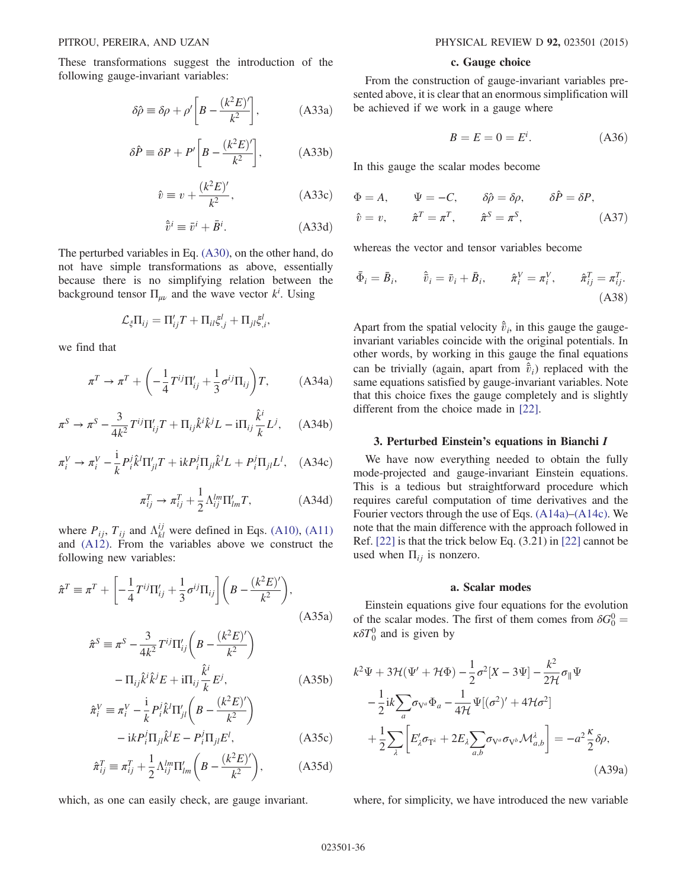These transformations suggest the introduction of the following gauge-invariant variables:

$$
\delta \hat{\rho} \equiv \delta \rho + \rho' \left[ B - \frac{(k^2 E)'}{k^2} \right],\tag{A33a}
$$

$$
\delta \hat{P} \equiv \delta P + P' \left[ B - \frac{(k^2 E)'}{k^2} \right],\tag{A33b}
$$

$$
\hat{v} \equiv v + \frac{(k^2 E)'}{k^2},\tag{A33c}
$$

$$
\hat{\bar{v}}^i \equiv \bar{v}^i + \bar{B}^i. \tag{A33d}
$$

The perturbed variables in Eq. (A30), on the other hand, do not have simple transformations as above, essentially because there is no simplifying relation between the background tensor  $\Pi_{\mu\nu}$  and the wave vector  $k^i$ . Using

$$
\mathcal{L}_{\xi}\Pi_{ij} = \Pi'_{ij}T + \Pi_{il}\xi^l_{,j} + \Pi_{jl}\xi^l_{,i},
$$

we find that

$$
\pi^T \to \pi^T + \left(-\frac{1}{4}T^{ij}\Pi'_{ij} + \frac{1}{3}\sigma^{ij}\Pi_{ij}\right)T, \tag{A34a}
$$

$$
\pi^{S} \to \pi^{S} - \frac{3}{4k^{2}} T^{ij} \Pi'_{ij} T + \Pi_{ij} \hat{k}^{i} \hat{k}^{j} L - i \Pi_{ij} \frac{\hat{k}^{i}}{k} L^{j}, \quad (A34b)
$$

$$
\pi_i^V \to \pi_i^V - \frac{i}{k} P_i^j \hat{k}^l \Pi_{jl}^{\prime} T + ikP_i^j \Pi_{jl} \hat{k}^l L + P_i^j \Pi_{jl} L^l, \quad (A34c)
$$

$$
\pi_{ij}^T \to \pi_{ij}^T + \frac{1}{2} \Lambda_{ij}^{lm} \Pi_{lm}^{\prime} T, \qquad (A34d)
$$

where  $P_{ij}$ ,  $T_{ij}$  and  $\Lambda_{kl}^{ij}$  were defined in Eqs. (A10), (A11) and (A12). From the variables above we construct the following new variables:

$$
\hat{\pi}^T \equiv \pi^T + \left[ -\frac{1}{4} T^{ij} \Pi'_{ij} + \frac{1}{3} \sigma^{ij} \Pi_{ij} \right] \left( B - \frac{(k^2 E)'}{k^2} \right),\tag{A35a}
$$

$$
\hat{\pi}^S \equiv \pi^S - \frac{3}{4k^2} T^{ij} \Pi'_{ij} \left( B - \frac{(k^2 E)'}{k^2} \right)
$$

$$
- \Pi_{ij} \hat{k}^i \hat{k}^j E + i \Pi_{ij} \frac{\hat{k}^i}{k} E^j,
$$
(A35b)

$$
\hat{\pi}_i^V \equiv \pi_i^V - \frac{1}{k} P_i^j \hat{k}^l \Pi_{jl}' \left( B - \frac{(k^2 E)'}{k^2} \right)
$$

$$
- ik P_i^j \Pi_{jl} \hat{k}^l E - P_i^j \Pi_{jl} E^l, \qquad (A35c)
$$

$$
\hat{\pi}_{ij}^T \equiv \pi_{ij}^T + \frac{1}{2} \Lambda_{ij}^{lm} \Pi_{lm}^{\prime} \left( B - \frac{(k^2 E)^{\prime}}{k^2} \right), \tag{A35d}
$$

which, as one can easily check, are gauge invariant.

#### c. Gauge choice

From the construction of gauge-invariant variables presented above, it is clear that an enormous simplification will be achieved if we work in a gauge where

$$
B = E = 0 = E^i. \tag{A36}
$$

In this gauge the scalar modes become

$$
\Phi = A, \qquad \Psi = -C, \qquad \delta \hat{\rho} = \delta \rho, \qquad \delta \hat{P} = \delta P,
$$
  

$$
\hat{v} = v, \qquad \hat{\pi}^T = \pi^T, \qquad \hat{\pi}^S = \pi^S,
$$
 (A37)

whereas the vector and tensor variables become

$$
\bar{\Phi}_i = \bar{B}_i, \qquad \hat{\bar{v}}_i = \bar{v}_i + \bar{B}_i, \qquad \hat{\pi}_i^V = \pi_i^V, \qquad \hat{\pi}_{ij}^T = \pi_{ij}^T.
$$
\n(A38)

Apart from the spatial velocity  $\hat{v}_i$ , in this gauge the gaugeinvariant variables coincide with the original potentials. In other words, by working in this gauge the final equations can be trivially (again, apart from  $\hat{\bar{v}}_i$ ) replaced with the same equations satisfied by gauge-invariant variables. Note that this choice fixes the gauge completely and is slightly different from the choice made in [22].

#### 3. Perturbed Einstein's equations in Bianchi I

We have now everything needed to obtain the fully mode-projected and gauge-invariant Einstein equations. This is a tedious but straightforward procedure which requires careful computation of time derivatives and the Fourier vectors through the use of Eqs. (A14a)–(A14c). We note that the main difference with the approach followed in Ref. [22] is that the trick below Eq. (3.21) in [22] cannot be used when  $\Pi_{ij}$  is nonzero.

#### a. Scalar modes

Einstein equations give four equations for the evolution of the scalar modes. The first of them comes from  $\delta G_0^0 =$ <br> $\kappa \delta T^0$  and is given by  $\kappa \delta T_0^0$  and is given by

$$
k^2 \Psi + 3\mathcal{H}(\Psi' + \mathcal{H}\Phi) - \frac{1}{2}\sigma^2[X - 3\Psi] - \frac{k^2}{2\mathcal{H}}\sigma_{\parallel}\Psi
$$
  

$$
-\frac{1}{2}i\mathcal{K}\sum_a \sigma_{V^a}\Phi_a - \frac{1}{4\mathcal{H}}\Psi[(\sigma^2)' + 4\mathcal{H}\sigma^2]
$$
  

$$
+\frac{1}{2}\sum_{\lambda} \left[E'_\lambda \sigma_{T^\lambda} + 2E_\lambda \sum_{a,b} \sigma_{V^a}\sigma_{V^b}\mathcal{M}_{a,b}^{\lambda}\right] = -a^2\frac{\kappa}{2}\delta\rho,
$$
  
(A39a)

where, for simplicity, we have introduced the new variable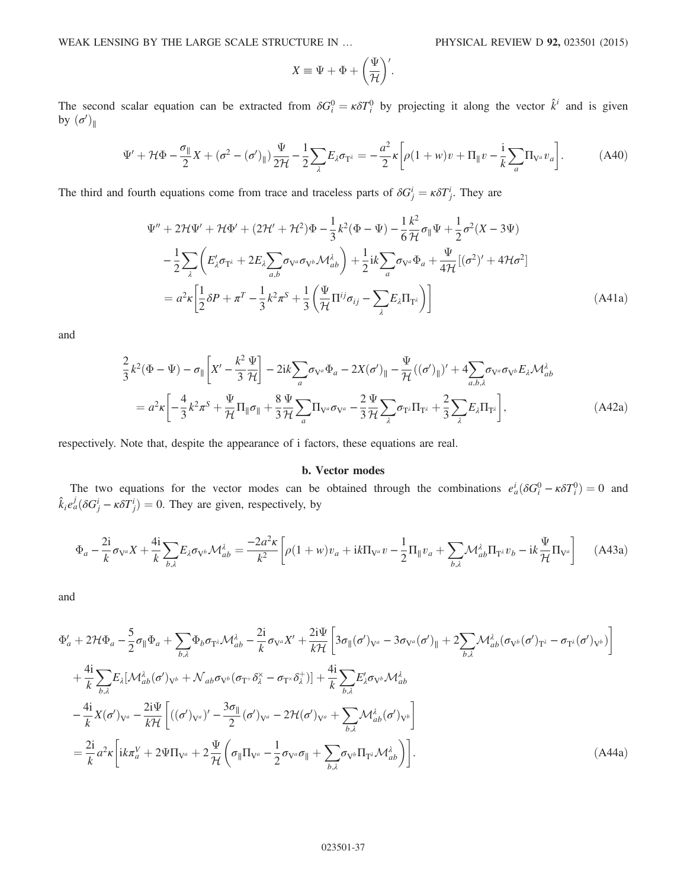$$
X \equiv \Psi + \Phi + \left(\frac{\Psi}{\mathcal{H}}\right)'.
$$

The second scalar equation can be extracted from  $\delta G_i^0 = \kappa \delta T_i^0$  by projecting it along the vector  $\hat{k}^i$  and is given by  $(\sigma')$ . by  $(\sigma')_{\parallel}$ 

$$
\Psi' + \mathcal{H}\Phi - \frac{\sigma_{\parallel}}{2}X + (\sigma^2 - (\sigma')_{\parallel})\frac{\Psi}{2\mathcal{H}} - \frac{1}{2}\sum_{\lambda} E_{\lambda}\sigma_{\mathrm{T}^{\lambda}} = -\frac{a^2}{2}\kappa \left[\rho(1+w)v + \Pi_{\parallel}v - \frac{i}{k}\sum_{a}\Pi_{\mathrm{V}^a}v_a\right].
$$
 (A40)

The third and fourth equations come from trace and traceless parts of  $\delta G_j^i = \kappa \delta T_j^i$ . They are

$$
\Psi'' + 2\mathcal{H}\Psi' + \mathcal{H}\Phi' + (2\mathcal{H}' + \mathcal{H}^2)\Phi - \frac{1}{3}k^2(\Phi - \Psi) - \frac{1}{6}\frac{k^2}{\mathcal{H}}\sigma_{\parallel}\Psi + \frac{1}{2}\sigma^2(X - 3\Psi)
$$
  

$$
-\frac{1}{2}\sum_{\lambda}\left(E'_{\lambda}\sigma_{\mathrm{T}^{\lambda}} + 2E_{\lambda}\sum_{a,b}\sigma_{\mathrm{V}^a}\sigma_{\mathrm{V}^b}\mathcal{M}^{\lambda}_{ab}\right) + \frac{1}{2}\mathrm{i}k\sum_{a}\sigma_{\mathrm{V}^a}\Phi_{a} + \frac{\Psi}{4\mathcal{H}}[(\sigma^2)' + 4\mathcal{H}\sigma^2]
$$
  

$$
= a^2\kappa\left[\frac{1}{2}\delta P + \pi^T - \frac{1}{3}k^2\pi^S + \frac{1}{3}\left(\frac{\Psi}{\mathcal{H}}\Pi^{ij}\sigma_{ij} - \sum_{\lambda}E_{\lambda}\Pi_{\mathrm{T}^{\lambda}}\right)\right]
$$
(A41a)

and

$$
\frac{2}{3}k^{2}(\Phi - \Psi) - \sigma_{\parallel} \left[ X' - \frac{k^{2} \Psi}{3 \mathcal{H}} \right] - 2ik \sum_{a} \sigma_{V^{a}} \Phi_{a} - 2X(\sigma')_{\parallel} - \frac{\Psi}{\mathcal{H}} ((\sigma')_{\parallel})' + 4 \sum_{a,b,\lambda} \sigma_{V^{a}} \sigma_{V^{b}} E_{\lambda} \mathcal{M}_{ab}^{\lambda}
$$

$$
= a^{2} \kappa \left[ -\frac{4}{3}k^{2} \pi^{5} + \frac{\Psi}{\mathcal{H}} \Pi_{\parallel} \sigma_{\parallel} + \frac{8}{3} \frac{\Psi}{\mathcal{H}} \sum_{a} \Pi_{V^{a}} \sigma_{V^{a}} - \frac{2}{3} \frac{\Psi}{\mathcal{H}} \sum_{\lambda} \sigma_{\mathrm{T}^{\lambda}} \Pi_{\mathrm{T}^{\lambda}} + \frac{2}{3} \sum_{\lambda} E_{\lambda} \Pi_{\mathrm{T}^{\lambda}} \right], \tag{A42a}
$$

respectively. Note that, despite the appearance of i factors, these equations are real.

# b. Vector modes

The two equations for the vector modes can be obtained through the combinations  $e_a^i(\delta G_i^0 - \kappa \delta T_i^0) = 0$  and  $e_a^j(\delta G_i^i - \kappa \delta T_i^0) = 0$ . They are given recreatively by  $\hat{k}_i e_a^j (\delta G_j^i - \kappa \delta T_j^i) = 0$ . They are given, respectively, by

$$
\Phi_a - \frac{2i}{k}\sigma_{V^a}X + \frac{4i}{k}\sum_{b,\lambda}E_{\lambda}\sigma_{V^b}\mathcal{M}_{ab}^{\lambda} = \frac{-2a^2\kappa}{k^2} \left[\rho(1+w)v_a + ik\Pi_{V^a}v - \frac{1}{2}\Pi_{\parallel}v_a + \sum_{b,\lambda}\mathcal{M}_{ab}^{\lambda}\Pi_{T^{\lambda}}v_b - ik\frac{\Psi}{\mathcal{H}}\Pi_{V^a}\right]
$$
(A43a)

and

$$
\Phi'_{a} + 2\mathcal{H}\Phi_{a} - \frac{5}{2}\sigma_{\parallel}\Phi_{a} + \sum_{b,\lambda}\Phi_{b}\sigma_{T^{\lambda}}\mathcal{M}^{2}_{ab} - \frac{2i}{k}\sigma_{V^a}X' + \frac{2i\Psi}{k\mathcal{H}} \left[3\sigma_{\parallel}(\sigma')_{V^a} - 3\sigma_{V^a}(\sigma')_{\parallel} + 2\sum_{b,\lambda}\mathcal{M}^{2}_{ab}(\sigma_{V^b}(\sigma')_{T^{\lambda}} - \sigma_{T^{\lambda}}(\sigma')_{V^b})\right] \n+ \frac{4i}{k}\sum_{b,\lambda}E_{\lambda}[\mathcal{M}^{2}_{ab}(\sigma')_{V^b} + \mathcal{N}_{ab}\sigma_{V^b}(\sigma_{T^+}\delta^{\times}_{\lambda} - \sigma_{T^{\times}}\delta^+_{\lambda})] + \frac{4i}{k}\sum_{b,\lambda}E'_{\lambda}\sigma_{V^b}\mathcal{M}^{2}_{ab} \n- \frac{4i}{k}X(\sigma')_{V^a} - \frac{2i\Psi}{k\mathcal{H}} \left[ ((\sigma')_{V^a})' - \frac{3\sigma_{\parallel}}{2}(\sigma')_{V^a} - 2\mathcal{H}(\sigma')_{V^a} + \sum_{b,\lambda}\mathcal{M}^{2}_{ab}(\sigma')_{V^b} \right] \n= \frac{2i}{k}a^2\kappa \left[ik\pi^V_{a} + 2\Psi\Pi_{V^a} + 2\frac{\Psi}{\mathcal{H}}\left(\sigma_{\parallel}\Pi_{V^a} - \frac{1}{2}\sigma_{V^a}\sigma_{\parallel} + \sum_{b,\lambda}\sigma_{V^b}\Pi_{T^{\lambda}}\mathcal{M}^{2}_{ab}\right)\right].
$$
\n(A44a)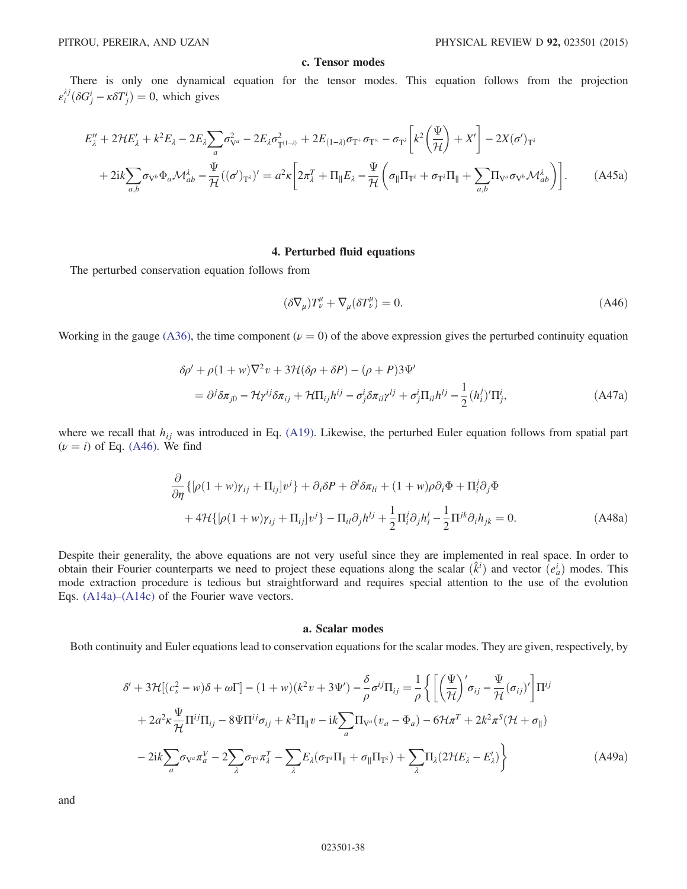# c. Tensor modes

There is only one dynamical equation for the tensor modes. This equation follows from the projection  $\varepsilon_i^{\lambda j} (\delta G_j^i - \kappa \delta T_j^i) = 0$ , which gives

$$
E_{\lambda}'' + 2\mathcal{H}E_{\lambda}' + k^2 E_{\lambda} - 2E_{\lambda} \sum_{a} \sigma_{V^a}^2 - 2E_{\lambda} \sigma_{\mathrm{T}^{(1-\lambda)}}^2 + 2E_{(1-\lambda)} \sigma_{\mathrm{T}^+} \sigma_{\mathrm{T}^{\times}} - \sigma_{\mathrm{T}^{\lambda}} \left[ k^2 \left( \frac{\Psi}{\mathcal{H}} \right) + X' \right] - 2X(\sigma')_{\mathrm{T}^{\lambda}} + 2ik \sum_{a,b} \sigma_{V^b} \Phi_a \mathcal{M}_{ab}^{\lambda} - \frac{\Psi}{\mathcal{H}} \left( (\sigma')_{\mathrm{T}^{\lambda}} \right)' = a^2 \kappa \left[ 2\pi_{\lambda}^T + \Pi_{\parallel} E_{\lambda} - \frac{\Psi}{\mathcal{H}} \left( \sigma_{\parallel} \Pi_{\mathrm{T}^{\lambda}} + \sigma_{\mathrm{T}^{\lambda}} \Pi_{\parallel} + \sum_{a,b} \Pi_{\mathrm{V}^a} \sigma_{\mathrm{V}^b} \mathcal{M}_{ab}^{\lambda} \right) \right]. \tag{A45a}
$$

# 4. Perturbed fluid equations

The perturbed conservation equation follows from

$$
(\delta \nabla_{\mu}) T^{\mu}_{\nu} + \nabla_{\mu} (\delta T^{\mu}_{\nu}) = 0. \tag{A46}
$$

Working in the gauge (A36), the time component ( $\nu = 0$ ) of the above expression gives the perturbed continuity equation

$$
\delta \rho' + \rho (1+w) \nabla^2 v + 3\mathcal{H} (\delta \rho + \delta P) - (\rho + P) 3\Psi'
$$
  
=  $\partial^j \delta \pi_{j0} - \mathcal{H} \gamma^{ij} \delta \pi_{ij} + \mathcal{H} \Pi_{ij} h^{ij} - \sigma^i_j \delta \pi_{il} \gamma^{lj} + \sigma^i_j \Pi_{il} h^{lj} - \frac{1}{2} (h^j_i)^j \Pi^i_j,$  (A47a)

where we recall that  $h_{ij}$  was introduced in Eq. (A19). Likewise, the perturbed Euler equation follows from spatial part  $(\nu = i)$  of Eq. (A46). We find

$$
\frac{\partial}{\partial \eta} \{ [\rho (1+w) \gamma_{ij} + \Pi_{ij}] v^j \} + \partial_i \delta P + \partial^l \delta \pi_{li} + (1+w) \rho \partial_i \Phi + \Pi_i^j \partial_j \Phi \n+ 4\mathcal{H} \{ [\rho (1+w) \gamma_{ij} + \Pi_{ij}] v^j \} - \Pi_{il} \partial_j h^{lj} + \frac{1}{2} \Pi_i^j \partial_j h^l_l - \frac{1}{2} \Pi^{jk} \partial_i h_{jk} = 0.
$$
\n(A48a)

Despite their generality, the above equations are not very useful since they are implemented in real space. In order to obtain their Fourier counterparts we need to project these equations along the scalar  $(\hat{k}^i)$  and vector  $(e_a^i)$  modes. This mode extraction procedure is tedious but straightforward and requires special attention to the mode extraction procedure is tedious but straightforward and requires special attention to the use of the evolution Eqs. (A14a)–(A14c) of the Fourier wave vectors.

# a. Scalar modes

Both continuity and Euler equations lead to conservation equations for the scalar modes. They are given, respectively, by

$$
\delta' + 3\mathcal{H}[(c_s^2 - w)\delta + \omega\Gamma] - (1 + w)(k^2 v + 3\Psi') - \frac{\delta}{\rho}\sigma^{ij}\Pi_{ij} = \frac{1}{\rho} \left\{ \left[ \left( \frac{\Psi}{\mathcal{H}} \right)' \sigma_{ij} - \frac{\Psi}{\mathcal{H}} (\sigma_{ij})' \right] \Pi^{ij} \right. \\ \left. + 2a^2 \kappa \frac{\Psi}{\mathcal{H}} \Pi^{ij} \Pi_{ij} - 8\Psi \Pi^{ij} \sigma_{ij} + k^2 \Pi_{\parallel} v - i\kappa \sum_a \Pi_{\mathbf{V}^a} (v_a - \Phi_a) - 6\mathcal{H}\pi^T + 2k^2 \pi^S (\mathcal{H} + \sigma_{\parallel}) \right. \\ \left. - 2i\kappa \sum_a \sigma_{\mathbf{V}^a} \pi_a^V - 2\sum_\lambda \sigma_{\mathbf{T}^a} \pi_\lambda^T - \sum_\lambda E_\lambda (\sigma_{\mathbf{T}^a} \Pi_{\parallel} + \sigma_{\parallel} \Pi_{\mathbf{T}^a}) + \sum_\lambda \Pi_\lambda (2\mathcal{H}E_\lambda - E_\lambda') \right\} \tag{A49a}
$$

and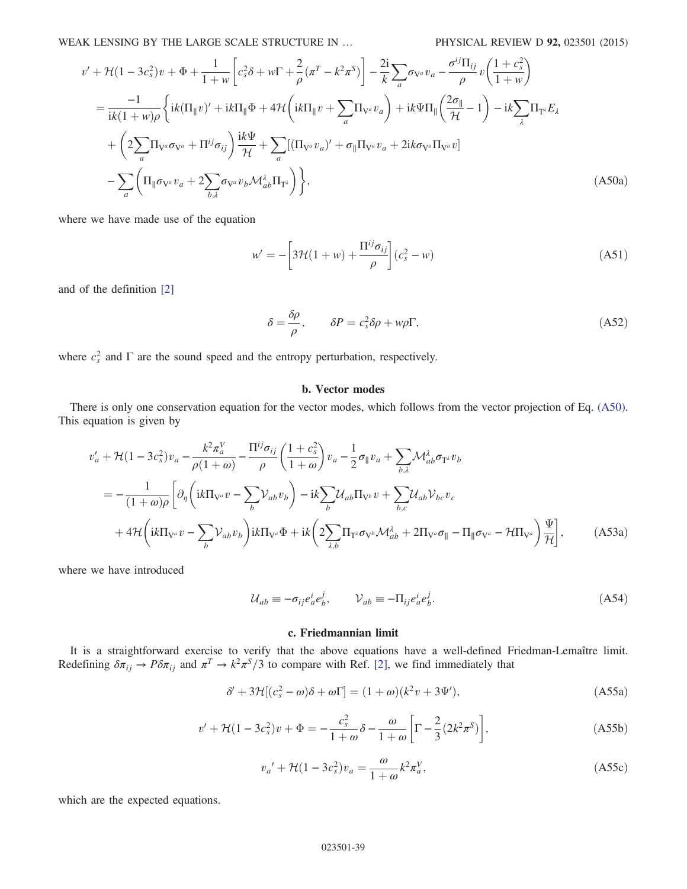$$
v' + \mathcal{H}(1 - 3c_s^2)v + \Phi + \frac{1}{1+w} \left[c_s^2 \delta + w\Gamma + \frac{2}{\rho} (\pi^T - k^2 \pi^S) \right] - \frac{2i}{k} \sum_a \sigma_{V^a} v_a - \frac{\sigma^{ij} \Pi_{ij}}{\rho} v \left(\frac{1+c_s^2}{1+w}\right)
$$
  
\n
$$
= \frac{-1}{ik(1+w)\rho} \left\{ ik(\Pi_{\parallel} v)' + ik\Pi_{\parallel} \Phi + 4\mathcal{H} \left( ik\Pi_{\parallel} v + \sum_a \Pi_{V^a} v_a \right) + ik\Psi \Pi_{\parallel} \left(\frac{2\sigma_{\parallel}}{\mathcal{H}} - 1\right) - ik \sum_a \Pi_{\Gamma^{\lambda}} E_{\lambda}
$$
  
\n
$$
+ \left(2 \sum_a \Pi_{V^a} \sigma_{V^a} + \Pi^{ij} \sigma_{ij}\right) \frac{ik\Psi}{\mathcal{H}} + \sum_a \left[ (\Pi_{V^a} v_a)' + \sigma_{\parallel} \Pi_{V^a} v_a + 2ik\sigma_{V^a} \Pi_{V^a} v \right]
$$
  
\n
$$
- \sum_a \left( \Pi_{\parallel} \sigma_{V^a} v_a + 2 \sum_{b,\lambda} \sigma_{V^a} v_b \mathcal{M}_{ab}^{\lambda} \Pi_{\Gamma^{\lambda}} \right) \right\},
$$
\n(A50a)

where we have made use of the equation

$$
w' = -\left[3\mathcal{H}(1+w) + \frac{\Pi^{ij}\sigma_{ij}}{\rho}\right](c_s^2 - w) \tag{A51}
$$

and of the definition [2]

$$
\delta = \frac{\delta \rho}{\rho}, \qquad \delta P = c_s^2 \delta \rho + w \rho \Gamma, \tag{A52}
$$

where  $c_s^2$  and  $\Gamma$  are the sound speed and the entropy perturbation, respectively.

# b. Vector modes

There is only one conservation equation for the vector modes, which follows from the vector projection of Eq. (A50). This equation is given by

$$
v'_{a} + \mathcal{H}(1 - 3c_{s}^{2})v_{a} - \frac{k^{2}\pi_{a}^{V}}{\rho(1+\omega)} - \frac{\Pi^{ij}\sigma_{ij}}{\rho} \left(\frac{1+c_{s}^{2}}{1+\omega}\right)v_{a} - \frac{1}{2}\sigma_{\parallel}v_{a} + \sum_{b,\lambda} \mathcal{M}_{ab}^{\lambda}\sigma_{\mathrm{T}^{\lambda}}v_{b}
$$
  

$$
= -\frac{1}{(1+\omega)\rho} \left[ \partial_{\eta} \left( i\kappa \Pi_{\mathrm{V}^{a}} v - \sum_{b} \mathcal{V}_{ab} v_{b} \right) - ik \sum_{b} \mathcal{U}_{ab} \Pi_{\mathrm{V}^{b}} v + \sum_{b,c} \mathcal{U}_{ab} \mathcal{V}_{bc} v_{c} \right]
$$

$$
+ 4\mathcal{H} \left( ik \Pi_{\mathrm{V}^{a}} v - \sum_{b} \mathcal{V}_{ab} v_{b} \right) ik \Pi_{\mathrm{V}^{a}} \Phi + ik \left( 2 \sum_{\lambda,b} \Pi_{\mathrm{T}^{\lambda}} \sigma_{\mathrm{V}^{b}} \mathcal{M}_{ab}^{\lambda} + 2 \Pi_{\mathrm{V}^{a}} \sigma_{\parallel} - \Pi_{\parallel} \sigma_{\mathrm{V}^{a}} - \mathcal{H} \Pi_{\mathrm{V}^{a}} \right) \frac{\Psi}{\mathcal{H}} \right], \tag{A53a}
$$

where we have introduced

$$
\mathcal{U}_{ab} \equiv -\sigma_{ij} e_a^i e_b^j, \qquad \mathcal{V}_{ab} \equiv -\Pi_{ij} e_a^i e_b^j. \tag{A54}
$$

# c. Friedmannian limit

It is a straightforward exercise to verify that the above equations have a well-defined Friedman-Lemaître limit. Redefining  $\delta \pi_{ij} \to P \delta \pi_{ij}$  and  $\pi^T \to k^2 \pi^5/3$  to compare with Ref. [2], we find immediately that

$$
\delta' + 3\mathcal{H}[(c_s^2 - \omega)\delta + \omega\Gamma] = (1 + \omega)(k^2v + 3\Psi'),\tag{A55a}
$$

$$
v' + \mathcal{H}(1 - 3c_s^2)v + \Phi = -\frac{c_s^2}{1 + \omega}\delta - \frac{\omega}{1 + \omega}\left[\Gamma - \frac{2}{3}(2k^2\pi^5)\right],\tag{A55b}
$$

$$
v_a' + \mathcal{H}(1 - 3c_s^2)v_a = \frac{\omega}{1 + \omega} k^2 \pi_a^V,
$$
 (A55c)

which are the expected equations.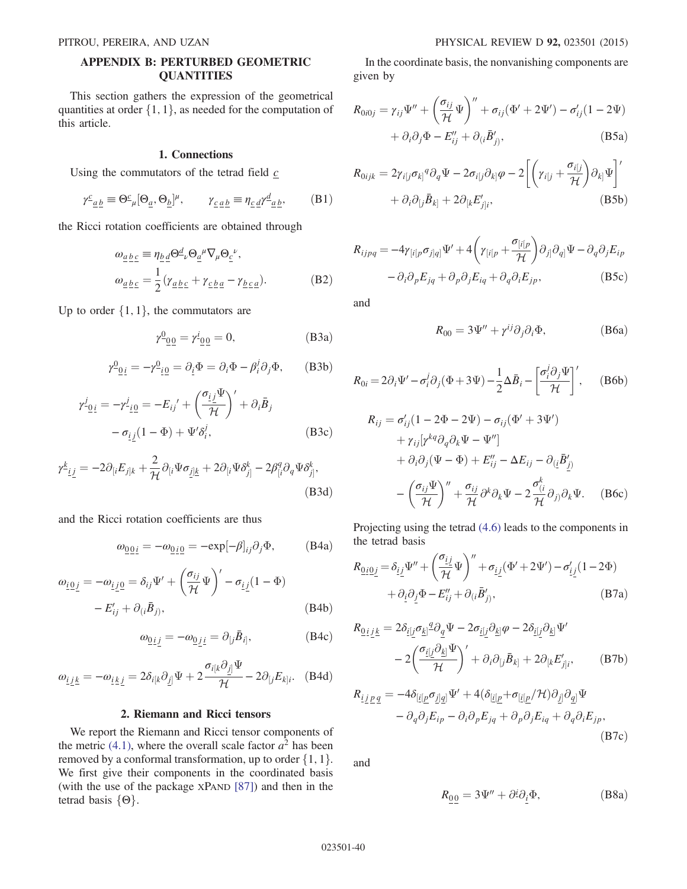# APPENDIX B: PERTURBED GEOMETRIC **QUANTITIES**

This section gathers the expression of the geometrical quantities at order  $\{1, 1\}$ , as needed for the computation of this article.

# 1. Connections

Using the commutators of the tetrad field  $c$ 

$$
\gamma_{\underline{a}\underline{b}} \equiv \Theta_{\mu}^c [\Theta_{\underline{a}}, \Theta_{\underline{b}}]^{\mu}, \qquad \gamma_{\underline{c}\underline{a}\underline{b}} \equiv \eta_{\underline{c}\underline{d}} \gamma_{\underline{a}\underline{b}}^{\underline{d}}, \qquad (B1)
$$

the Ricci rotation coefficients are obtained through

$$
\omega_{\underline{a}\underline{b}\underline{c}} \equiv \eta_{\underline{b}\underline{d}} \Theta^{\underline{d}}_{\ \nu} \Theta_{\underline{a}}^{\ \mu} \nabla_{\mu} \Theta_{\underline{c}}^{\ \nu},
$$
  

$$
\omega_{\underline{a}\underline{b}\underline{c}} = \frac{1}{2} (\gamma_{\underline{a}\underline{b}\underline{c}} + \gamma_{\underline{c}\underline{b}\underline{a}} - \gamma_{\underline{b}\underline{c}\underline{a}}).
$$
 (B2)

Up to order  $\{1, 1\}$ , the commutators are

$$
\gamma^{\underline{0}}{}_{\underline{0}\,\underline{0}} = \gamma^{\underline{i}}{}_{\underline{0}\,\underline{0}} = 0,\tag{B3a}
$$

$$
\gamma^{\underline{0}}{}_{\underline{i}\underline{i}} = -\gamma^{\underline{0}}{}_{\underline{i}\underline{0}} = \partial_{\underline{i}}\Phi = \partial_{i}\Phi - \beta^{j}_{i}\partial_{j}\Phi, \quad (B3b)
$$

$$
\gamma \underline{\phi}_{\underline{i}} = -\gamma \underline{\psi}_{\underline{i}\underline{0}} = -E_{ij}' + \left(\frac{\sigma_{\underline{i}\underline{j}}\Psi}{\mathcal{H}}\right)' + \partial_i \bar{B}_j
$$

$$
-\sigma_{\underline{i}\underline{j}}(1-\Phi) + \Psi' \delta_i^j, \tag{B3c}
$$

$$
\gamma_{\underline{i}\underline{j}}^{\underline{k}} = -2\partial_{[i}E_{j]k} + \frac{2}{\mathcal{H}}\partial_{[i}\Psi\sigma_{\underline{j}]\underline{k}} + 2\partial_{[i}\Psi\delta_{j]}^{k} - 2\beta_{[i}^{q}\partial_{q}\Psi\delta_{j]}^{k},
$$
\n(B3d)

and the Ricci rotation coefficients are thus

$$
\omega_{\underline{0}\underline{0}\underline{i}} = -\omega_{\underline{0}\underline{i}\underline{0}} = -\exp[-\beta]_{ij}\partial_j\Phi,\tag{B4a}
$$

$$
\omega_{\underline{i}\underline{0}\underline{j}} = -\omega_{\underline{i}\underline{j}\underline{0}} = \delta_{ij}\Psi' + \left(\frac{\sigma_{ij}}{\mathcal{H}}\Psi\right)' - \sigma_{\underline{i}\underline{j}}(1 - \Phi) \n- E'_{ij} + \partial_{(i}\bar{B}_{j)},
$$
\n(B4b)

$$
\omega_{\underline{0}\underline{i}\underline{j}} = -\omega_{\underline{0}\underline{j}\underline{i}} = \partial_{[j}\overline{B}_{i]}, \qquad (B4c)
$$

$$
\omega_{\underline{i}\underline{j}\underline{k}} = -\omega_{\underline{i}\underline{k}\underline{j}} = 2\delta_{i[k}\partial_{\underline{j}]} \Psi + 2\frac{\sigma_{i[k}\partial_{\underline{j}]} \Psi}{\mathcal{H}} - 2\partial_{[j}E_{k]i}.
$$
 (B4d)

#### 2. Riemann and Ricci tensors

We report the Riemann and Ricci tensor components of the metric (4.1), where the overall scale factor  $a^2$  has been removed by a conformal transformation, up to order  $\{1, 1\}$ . We first give their components in the coordinated basis (with the use of the package XPAND [87]) and then in the tetrad basis  $\{\Theta\}.$ 

In the coordinate basis, the nonvanishing components are given by

$$
R_{0i0j} = \gamma_{ij}\Psi'' + \left(\frac{\sigma_{ij}}{\mathcal{H}}\Psi\right)'' + \sigma_{ij}(\Phi' + 2\Psi') - \sigma'_{ij}(1 - 2\Psi) + \partial_i\partial_j\Phi - E''_{ij} + \partial_{(i}\bar{B}'_{j)},
$$
(B5a)

$$
R_{0ijk} = 2\gamma_{i[j}\sigma_{k]}{}^{q}\partial_{q}\Psi - 2\sigma_{i[j}\partial_{k]}\varphi - 2\left[\left(\gamma_{i[j]} + \frac{\sigma_{i[j}}{\mathcal{H}}\right)\partial_{k]}\Psi\right]'
$$

$$
+ \partial_{i}\partial_{[j}\bar{B}_{k]} + 2\partial_{[k}E'_{j]i},
$$
(B5b)

$$
R_{ijpq} = -4\gamma_{[i[p}\sigma_{j]q]} \Psi' + 4\left(\gamma_{[i[p]} + \frac{\sigma_{[i[p]}}{\mathcal{H}})\partial_{j]}\partial_{q]} \Psi - \partial_{q}\partial_{j}E_{ip}\right.- \partial_{i}\partial_{p}E_{jq} + \partial_{p}\partial_{j}E_{iq} + \partial_{q}\partial_{i}E_{jp},
$$
(B5c)

and

$$
R_{00} = 3\Psi'' + \gamma^{ij}\partial_j\partial_i\Phi,
$$
 (B6a)

$$
R_{0i} = 2\partial_i \Psi' - \sigma_i^j \partial_j (\Phi + 3\Psi) - \frac{1}{2}\Delta \bar{B}_i - \left[\frac{\sigma_i^j \partial_j \Psi}{\mathcal{H}}\right]', \quad (B6b)
$$

$$
R_{ij} = \sigma'_{ij}(1 - 2\Phi - 2\Psi) - \sigma_{ij}(\Phi' + 3\Psi')
$$
  
+  $\gamma_{ij}[\gamma^{kq}\partial_q\partial_k\Psi - \Psi'']$   
+  $\partial_i\partial_j(\Psi - \Phi) + E''_{ij} - \Delta E_{ij} - \partial_{(\underline{i}}\overline{B}'_{\underline{j})}$   
-  $\left(\frac{\sigma_{ij}\Psi}{\mathcal{H}}\right)'' + \frac{\sigma_{ij}}{\mathcal{H}}\partial^k\partial_k\Psi - 2\frac{\sigma_{\underline{i}}^k}{\mathcal{H}}\partial_{j}\partial_k\Psi.$  (B6c)

Projecting using the tetrad (4.6) leads to the components in the tetrad basis

$$
R_{\underline{0i0j}} = \delta_{\underline{i}\underline{j}}\Psi'' + \left(\frac{\sigma_{\underline{i}\underline{j}}}{\mathcal{H}}\Psi\right)'' + \sigma_{\underline{i}\underline{j}}(\Phi' + 2\Psi') - \sigma'_{\underline{i}\underline{j}}(1 - 2\Phi) + \partial_{\underline{i}}\partial_{\underline{j}}\Phi - E''_{ij} + \partial_{(i}\bar{B}'_{j)},
$$
(B7a)

$$
R_{\underline{0}\underline{i}\underline{j}\underline{k}} = 2\delta_{\underline{i}[\underline{j}}\sigma_{\underline{k}}{}^{\underline{q}}\partial_{\underline{q}}\Psi - 2\sigma_{\underline{i}[\underline{j}}\partial_{\underline{k}]} \varphi - 2\delta_{\underline{i}[\underline{j}}\partial_{\underline{k}]} \Psi'
$$

$$
-2\left(\frac{\sigma_{\underline{i}[\underline{j}}\partial_{\underline{k}]} \Psi}{\mathcal{H}}\right)' + \partial_{i}\partial_{\underline{j}}\bar{B}_{k]} + 2\partial_{\underline{k}}E'_{j|i}, \tag{B7b}
$$

$$
R_{\underline{i}\underline{j}\underline{p}\underline{q}} = -4\delta_{[\underline{i}[\underline{p}\sigma_{\underline{j}]\underline{q}}]} \Psi' + 4(\delta_{[\underline{i}[\underline{p}} + \sigma_{[\underline{i}[\underline{p}}] / \mathcal{H}) \partial_{\underline{j}]} \partial_{\underline{q}}] \Psi - \partial_q \partial_j E_{ip} - \partial_i \partial_p E_{jq} + \partial_p \partial_j E_{iq} + \partial_q \partial_i E_{jp},
$$
(B7c)

and

$$
R_{\underline{0}\underline{0}} = 3\Psi'' + \partial^{\underline{i}}\partial_{\underline{i}}\Phi, \tag{B8a}
$$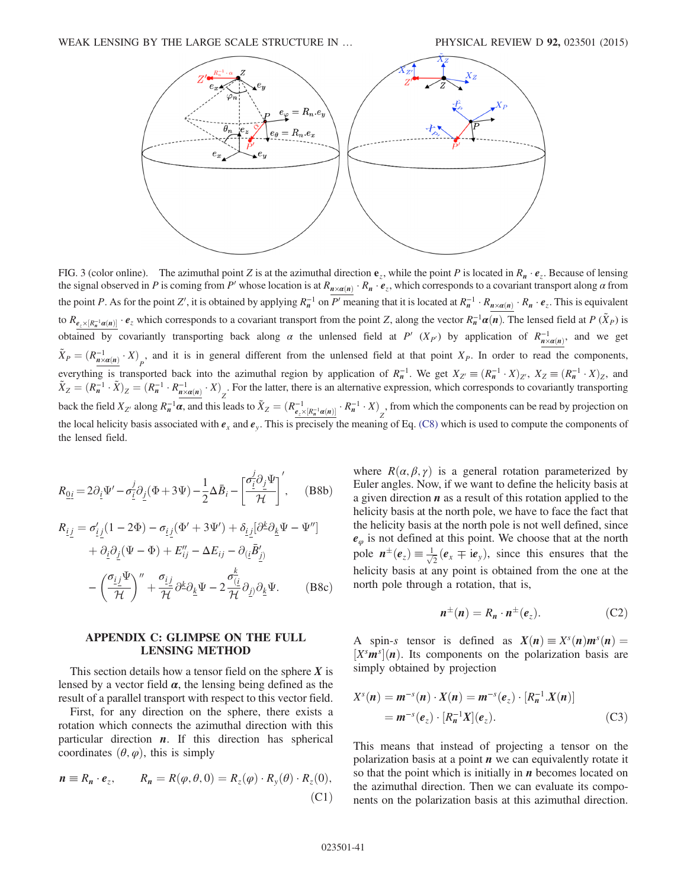

FIG. 3 (color online). The azimuthal point Z is at the azimuthal direction  $e_z$ , while the point P is located in  $R_n \cdot e_z$ . Because of lensing the signal observed in P is coming from P' whose location is at  $R_{n\times\alpha(n)}\cdot R_n\cdot e_z$ , which corresponds to a covariant transport along  $\alpha$  from the point P. As for the point Z', it is obtained by applying  $R_n^{-1}$  on P' meaning that it is located at  $R_n^{-1} \cdot R_{n \times \alpha(n)} \cdot R_n \cdot e_z$ . This is equivalent to  $R_{\mathbf{e}_{z}\times[R_{n}^{-1}\alpha(n)]}$   $\cdot \mathbf{e}_{z}$  which corresponds to a covariant transport from the point Z, along the vector  $R_{n}^{-1}\alpha(n)$ . The lensed field at P ( $\tilde{X}_{P}$ ) is obtained by covariantly transporting back along  $\alpha$  the unlensed field at P' (X<sub>P'</sub>) by application of  $R_{\frac{n\times\alpha(n)}{2}}^{-1}$ , and we get  $\tilde{X}_P = (R_{\frac{n \times \alpha(n)}{n}}^{-1} \cdot X)_P$ , and it is in general different from the unlensed field at that point  $X_P$ . In order to read the components, everything is transported back into the azimuthal region by application of  $R_n^{-1}$ . We get  $X_{Z'} \equiv (R_n^{-1} \cdot X)_{Z'}$ ,  $X_Z \equiv (R_n^{-1} \cdot X)_{Z'}$ , and  $\tilde{Y}_{Z'} = (P_{Z'}^{-1} \cdot X)_{Z'}$ ,  $Y_{Z'} = (P_{Z'}^{-1} \cdot X)_{Z'}$ ,  $Y_{Z'} = (P_{Z'}^{-1} \cdot X)_{Z'}$ ,  $Y_{Z'} =$  $\tilde{X}_Z = (R_n^{-1} \cdot \tilde{X})_Z = (R_n^{-1} \cdot R_{n \times \alpha(n)}^{-1} \cdot X)_Z$ . For the latter, there is an alternative expression, which corresponds to covariantly transporting back the field  $X_{Z'}$  along  $R_n^{-1}\alpha$ , and this leads to  $\tilde{X}_Z = (R_{e_\lambda \times [R_n^{-1}\alpha(n)]}^{-1} \cdot R_n^{-1} \cdot X)$ , from which the components can be read by projection on the local helicity basis associated with  $e_x$  and  $e_y$ . This is precisely the meaning of Eq. (C8) which is used to compute the components of the lensed field.

$$
R_{\underline{0}\underline{i}} = 2\partial_{\underline{i}}\Psi' - \sigma_{\underline{i}}^j \partial_{\underline{j}}(\Phi + 3\Psi) - \frac{1}{2}\Delta\bar{B}_i - \left[\frac{\sigma_{\underline{i}}^j \partial_{\underline{j}}\Psi}{\mathcal{H}}\right]', \quad (B8b)
$$
  
\n
$$
R_{\underline{i}\underline{j}} = \sigma_{\underline{i}\underline{j}}'(1 - 2\Phi) - \sigma_{\underline{i}\underline{j}}(\Phi' + 3\Psi') + \delta_{\underline{i}\underline{j}}[\partial^{\underline{k}}\partial_{\underline{k}}\Psi - \Psi'']
$$
  
\n
$$
+ \partial_{\underline{i}}\partial_{\underline{j}}(\Psi - \Phi) + E''_{ij} - \Delta E_{ij} - \partial_{(\underline{i}}\bar{B}'_{\underline{j})}
$$
  
\n
$$
- \left(\frac{\sigma_{\underline{i}\underline{j}}\Psi}{\mathcal{H}}\right)'' + \frac{\sigma_{\underline{i}\underline{j}}}{\mathcal{H}}\partial^{\underline{k}}\partial_{\underline{k}}\Psi - 2\frac{\sigma_{\underline{i}}^{\underline{k}}}{\mathcal{H}}\partial_{\underline{j}}\partial_{\underline{k}}\Psi. \quad (B8c)
$$

# APPENDIX C: GLIMPSE ON THE FULL LENSING METHOD

This section details how a tensor field on the sphere  $X$  is lensed by a vector field  $\alpha$ , the lensing being defined as the result of a parallel transport with respect to this vector field.

First, for any direction on the sphere, there exists a rotation which connects the azimuthal direction with this particular direction  $n$ . If this direction has spherical coordinates  $(\theta, \varphi)$ , this is simply

$$
\mathbf{n} \equiv R_{\mathbf{n}} \cdot \mathbf{e}_z, \qquad R_{\mathbf{n}} = R(\varphi, \theta, 0) = R_z(\varphi) \cdot R_y(\theta) \cdot R_z(0),
$$
\n(C1)

where  $R(\alpha, \beta, \gamma)$  is a general rotation parameterized by Euler angles. Now, if we want to define the helicity basis at a given direction  $\boldsymbol{n}$  as a result of this rotation applied to the helicity basis at the north pole, we have to face the fact that the helicity basis at the north pole is not well defined, since  $e_{\varphi}$  is not defined at this point. We choose that at the north pole  $\mathbf{n}^{\pm}(e_z) \equiv \frac{1}{\sqrt{2}}(e_x \mp i e_y)$ , since this ensures that the helicity basis at any point is obtained from the one at the north pole through a rotation, that is,

$$
\mathbf{n}^{\pm}(\mathbf{n}) = R_{\mathbf{n}} \cdot \mathbf{n}^{\pm}(\mathbf{e}_z). \tag{C2}
$$

A spin-s tensor is defined as  $X(n) \equiv X^{s}(n) m^{s}(n) = [X^{s}m^{s}](n)$  Its components on the polarization basis are  $[X<sup>s</sup>m<sup>s</sup>](n)$ . Its components on the polarization basis are simply obtained by projection

$$
Xs(n) = m-s(n) \cdot X(n) = m-s(ez) \cdot [Rn-1 X(n)]
$$
  
= m<sup>-s</sup>(e<sub>z</sub>) \cdot [R<sub>n</sub><sup>-1</sup> X](e<sub>z</sub>). (C3)

This means that instead of projecting a tensor on the polarization basis at a point  $n$  we can equivalently rotate it so that the point which is initially in  $n$  becomes located on the azimuthal direction. Then we can evaluate its components on the polarization basis at this azimuthal direction.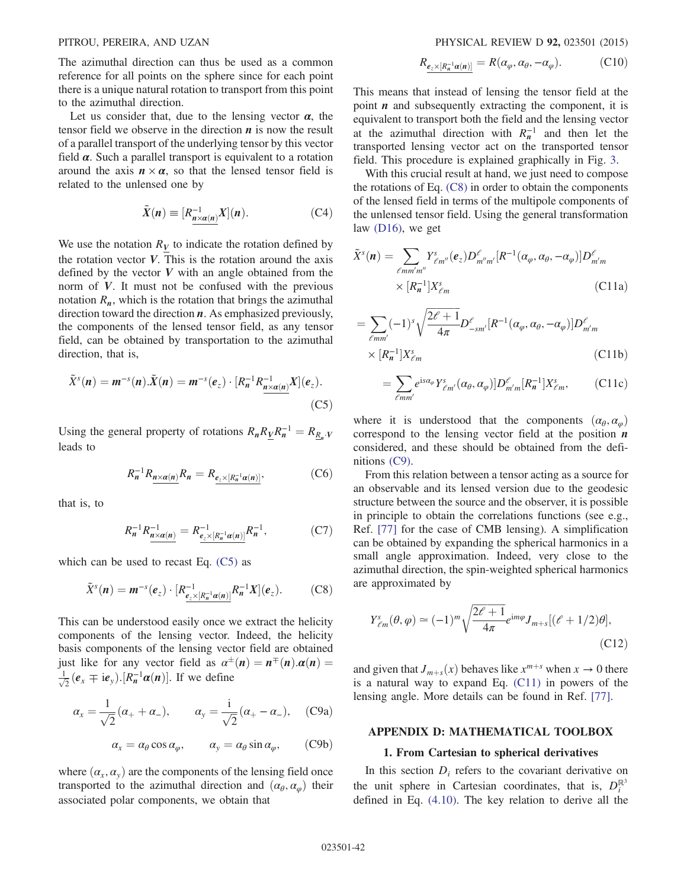The azimuthal direction can thus be used as a common reference for all points on the sphere since for each point there is a unique natural rotation to transport from this point to the azimuthal direction.

Let us consider that, due to the lensing vector  $\alpha$ , the tensor field we observe in the direction  $n$  is now the result of a parallel transport of the underlying tensor by this vector field  $\alpha$ . Such a parallel transport is equivalent to a rotation around the axis  $n \times \alpha$ , so that the lensed tensor field is related to the unlensed one by

$$
\tilde{X}(n) \equiv [R_{\underline{n} \times \underline{\alpha}(n)}^{-1} X](n). \tag{C4}
$$

We use the notation  $R_{\underline{V}}$  to indicate the rotation defined by the rotation vector  $V$ . This is the rotation around the axis defined by the vector  $V$  with an angle obtained from the norm of V. It must not be confused with the previous notation  $R_n$ , which is the rotation that brings the azimuthal direction toward the direction  $n$ . As emphasized previously, the components of the lensed tensor field, as any tensor field, can be obtained by transportation to the azimuthal direction, that is,

$$
\tilde{X}^s(n) = m^{-s}(n)\cdot \tilde{X}(n) = m^{-s}(e_z) \cdot [R_n^{-1}R_{\frac{n \times \alpha(n)}{2}}X](e_z).
$$
\n(C5)

Using the general property of rotations  $R_n R_{\underline{V}} R_n^{-1} = R_{\underline{R}_n \cdot V}$ leads to

$$
R_n^{-1}R_{\underline{n\times\alpha(n)}}R_n = R_{\underline{e_x\times[R_n^{-1}\alpha(n)]}},\tag{C6}
$$

that is, to

$$
R_n^{-1}R_{n \times \alpha(n)}^{-1} = R_{\underline{e_z} \times [R_n^{-1}\alpha(n)]}^{-1}R_n^{-1},
$$
 (C7)

which can be used to recast Eq. (C5) as

$$
\tilde{X}^s(n) = m^{-s}(e_z) \cdot [R_{\underline{e_z} \times [R_n^{-1} \alpha(n)]}^{-1} R_n^{-1} X](e_z).
$$
 (C8)

This can be understood easily once we extract the helicity components of the lensing vector. Indeed, the helicity basis components of the lensing vector field are obtained just like for any vector field as  $\alpha^{\pm}(n) = n^{\mp}(n) \alpha(n) =$  $\frac{1}{\sqrt{2}}(e_x \mp i e_y)$ . [ $R_n^{-1}\alpha(n)$ ]. If we define

$$
\alpha_x = \frac{1}{\sqrt{2}} (\alpha_+ + \alpha_-), \qquad \alpha_y = \frac{i}{\sqrt{2}} (\alpha_+ - \alpha_-),
$$
 (C9a)

$$
\alpha_x = \alpha_\theta \cos \alpha_\varphi, \qquad \alpha_y = \alpha_\theta \sin \alpha_\varphi, \qquad (C9b)
$$

where  $(\alpha_x, \alpha_y)$  are the components of the lensing field once transported to the azimuthal direction and  $(\alpha_{\theta}, \alpha_{\omega})$  their associated polar components, we obtain that

$$
R_{\underline{e_z} \times [R_n^{-1} \alpha(n)]} = R(\alpha_\varphi, \alpha_\theta, -\alpha_\varphi). \tag{C10}
$$

This means that instead of lensing the tensor field at the point  $\boldsymbol{n}$  and subsequently extracting the component, it is equivalent to transport both the field and the lensing vector at the azimuthal direction with  $R_n^{-1}$  and then let the transported lensing vector act on the transported tensor field. This procedure is explained graphically in Fig. 3.

With this crucial result at hand, we just need to compose the rotations of Eq.  $(C8)$  in order to obtain the components of the lensed field in terms of the multipole components of the unlensed tensor field. Using the general transformation law  $(D16)$ , we get

$$
\tilde{X}^{s}(n) = \sum_{\ell \text{mm'm''}} Y^{s}_{\ell m''}(e_{z}) D^{\ell}_{m''m'}[R^{-1}(\alpha_{\varphi}, \alpha_{\theta}, -\alpha_{\varphi})] D^{\ell}_{m'm}
$$
\n
$$
\times [R_{n}^{-1}] X^{s}_{\ell m}
$$
\n(C11a)

$$
= \sum_{\ell m m'} (-1)^s \sqrt{\frac{2\ell+1}{4\pi}} D_{-s m'}^{\ell} [R^{-1}(\alpha_{\varphi}, \alpha_{\theta}, -\alpha_{\varphi})] D_{m'm}^{\ell}
$$
  
×  $[R_n^{-1}] X_{\ell m}^s$  (C11b)

$$
= \sum_{\ell m m'} e^{is\alpha_{\varphi}} Y_{\ell m'}^s(\alpha_{\theta}, \alpha_{\varphi})] D_{m'm}^{\ell}[R_{n}^{-1}] X_{\ell m}^s, \qquad \text{(C11c)}
$$

where it is understood that the components  $(\alpha_{\theta}, \alpha_{\omega})$ correspond to the lensing vector field at the position  $n$ considered, and these should be obtained from the definitions (C9).

From this relation between a tensor acting as a source for an observable and its lensed version due to the geodesic structure between the source and the observer, it is possible in principle to obtain the correlations functions (see e.g., Ref. [77] for the case of CMB lensing). A simplification can be obtained by expanding the spherical harmonics in a small angle approximation. Indeed, very close to the azimuthal direction, the spin-weighted spherical harmonics are approximated by

$$
Y_{\ell m}^s(\theta,\varphi) \simeq (-1)^m \sqrt{\frac{2\ell+1}{4\pi}} e^{im\varphi} J_{m+s}[(\ell+1/2)\theta],\tag{C12}
$$

and given that  $J_{m+s}(x)$  behaves like  $x^{m+s}$  when  $x \to 0$  there is a natural way to expand Eq. (C11) in powers of the lensing angle. More details can be found in Ref. [77].

#### APPENDIX D: MATHEMATICAL TOOLBOX

#### 1. From Cartesian to spherical derivatives

In this section  $D_i$  refers to the covariant derivative on the unit sphere in Cartesian coordinates, that is,  $D_i^{\mathbb{R}^3}$ defined in Eq. (4.10). The key relation to derive all the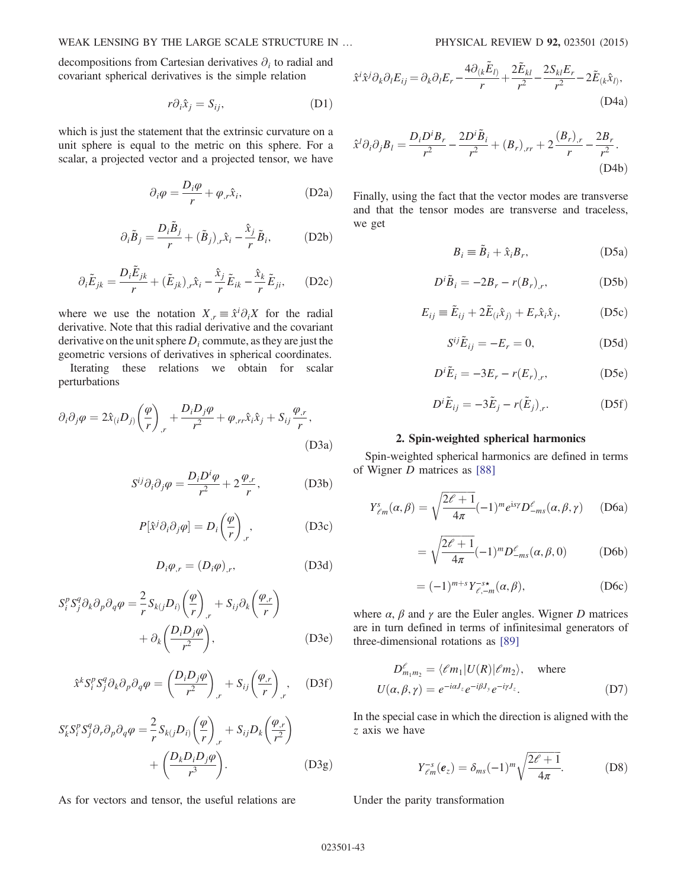decompositions from Cartesian derivatives  $\partial_i$  to radial and covariant spherical derivatives is the simple relation

$$
r\partial_i \hat{x}_j = S_{ij}, \tag{D1}
$$

which is just the statement that the extrinsic curvature on a unit sphere is equal to the metric on this sphere. For a scalar, a projected vector and a projected tensor, we have

$$
\partial_i \varphi = \frac{D_i \varphi}{r} + \varphi_{,r} \hat{x}_i, \tag{D2a}
$$

$$
\partial_i \tilde{B}_j = \frac{D_i \tilde{B}_j}{r} + (\tilde{B}_j)_{,r} \hat{x}_i - \frac{\hat{x}_j}{r} \tilde{B}_i, \tag{D2b}
$$

$$
\partial_i \tilde{E}_{jk} = \frac{D_i \tilde{E}_{jk}}{r} + (\tilde{E}_{jk})_{,r} \hat{x}_i - \frac{\hat{x}_j}{r} \tilde{E}_{ik} - \frac{\hat{x}_k}{r} \tilde{E}_{ji}, \quad \text{(D2c)}
$$

where we use the notation  $X_{,r} \equiv \hat{x}^i \partial_i X$  for the radial derivative. Note that this radial derivative and the covariant derivative on the unit sphere  $D_i$  commute, as they are just the geometric versions of derivatives in spherical coordinates.

Iterating these relations we obtain for scalar perturbations

$$
\partial_i \partial_j \varphi = 2\hat{x}_{(i} D_{j)} \left(\frac{\varphi}{r}\right)_{,r} + \frac{D_i D_j \varphi}{r^2} + \varphi_{,rr} \hat{x}_i \hat{x}_j + S_{ij} \frac{\varphi_{,r}}{r},\tag{D3a}
$$

$$
S^{ij}\partial_i\partial_j\varphi = \frac{D_i D^i \varphi}{r^2} + 2\frac{\varphi_{,r}}{r},
$$
 (D3b)

$$
P[\hat{x}^j \partial_i \partial_j \varphi] = D_i \left(\frac{\varphi}{r}\right)_{,r}, \tag{D3c}
$$

$$
D_i \varphi_{,r} = (D_i \varphi)_{,r}, \tag{D3d}
$$

$$
S_i^p S_j^q \partial_k \partial_p \partial_q \varphi = \frac{2}{r} S_{k(j} D_{i)} \left( \frac{\varphi}{r} \right)_{,r} + S_{ij} \partial_k \left( \frac{\varphi_{,r}}{r} \right) + \partial_k \left( \frac{D_i D_j \varphi}{r^2} \right),
$$
 (D3e)

$$
\hat{x}^{k} S_{i}^{p} S_{j}^{q} \partial_{k} \partial_{p} \partial_{q} \varphi = \left(\frac{D_{i} D_{j} \varphi}{r^{2}}\right)_{,r} + S_{ij} \left(\frac{\varphi_{,r}}{r}\right)_{,r}, \quad (D3f)
$$

$$
S_k^r S_i^p S_j^q \partial_r \partial_p \partial_q \varphi = \frac{2}{r} S_{k(j} D_{i)} \left( \frac{\varphi}{r} \right)_{,r} + S_{ij} D_k \left( \frac{\varphi_{,r}}{r^2} \right) + \left( \frac{D_k D_i D_j \varphi}{r^3} \right).
$$
 (D3g)

As for vectors and tensor, the useful relations are

$$
\hat{x}^i \hat{x}^j \partial_k \partial_l E_{ij} = \partial_k \partial_l E_r - \frac{4 \partial_{(k} \tilde{E}_{l)}}{r} + \frac{2 \tilde{E}_{kl}}{r^2} - \frac{2 S_{kl} E_r}{r^2} - 2 \tilde{E}_{(k} \hat{x}_{l)},
$$
\n(D4a)

$$
\hat{x}^l \partial_i \partial_j B_l = \frac{D_i D^i B_r}{r^2} - \frac{2D^i \tilde{B}_i}{r^2} + (B_r)_{,rr} + 2\frac{(B_r)_{,r}}{r} - \frac{2B_r}{r^2}.
$$
\n(D4b)

Finally, using the fact that the vector modes are transverse and that the tensor modes are transverse and traceless, we get

$$
B_i \equiv \tilde{B}_i + \hat{x}_i B_r, \qquad (D5a)
$$

$$
D^i \tilde{B}_i = -2B_r - r(B_r)_{,r}, \qquad (D5b)
$$

$$
E_{ij} \equiv \tilde{E}_{ij} + 2\tilde{E}_{(i}\hat{x}_{j)} + E_{r}\hat{x}_{i}\hat{x}_{j}, \qquad (D5c)
$$

$$
S^{ij}\tilde{E}_{ij} = -E_r = 0,\tag{D5d}
$$

$$
D^i \tilde{E}_i = -3E_r - r(E_r)_{,r}, \qquad (D5e)
$$

$$
D^i \tilde{E}_{ij} = -3\tilde{E}_j - r(\tilde{E}_j)_{,r}.
$$
 (D5f)

# 2. Spin-weighted spherical harmonics

Spin-weighted spherical harmonics are defined in terms of Wigner D matrices as [88]

$$
Y_{\ell m}^s(\alpha, \beta) = \sqrt{\frac{2\ell+1}{4\pi}} (-1)^m e^{i s \gamma} D_{-m s}^{\ell}(\alpha, \beta, \gamma)
$$
 (D6a)

$$
= \sqrt{\frac{2\ell+1}{4\pi}} (-1)^m D_{-ms}^{\ell}(\alpha, \beta, 0) \tag{D6b}
$$

$$
= (-1)^{m+s} Y_{\ell,-m}^{-s\star}(\alpha,\beta), \qquad (D6c)
$$

where  $\alpha$ ,  $\beta$  and  $\gamma$  are the Euler angles. Wigner D matrices are in turn defined in terms of infinitesimal generators of three-dimensional rotations as [89]

$$
D_{m_1m_2}^{\ell} = \langle \ell m_1 | U(R) | \ell m_2 \rangle, \quad \text{where}
$$
  
 
$$
U(\alpha, \beta, \gamma) = e^{-i\alpha J_z} e^{-i\beta J_y} e^{-i\gamma J_z}.
$$
 (D7)

In the special case in which the direction is aligned with the z axis we have

$$
Y_{\ell m}^{-s}(e_z) = \delta_{ms}(-1)^m \sqrt{\frac{2\ell+1}{4\pi}}.
$$
 (D8)

Under the parity transformation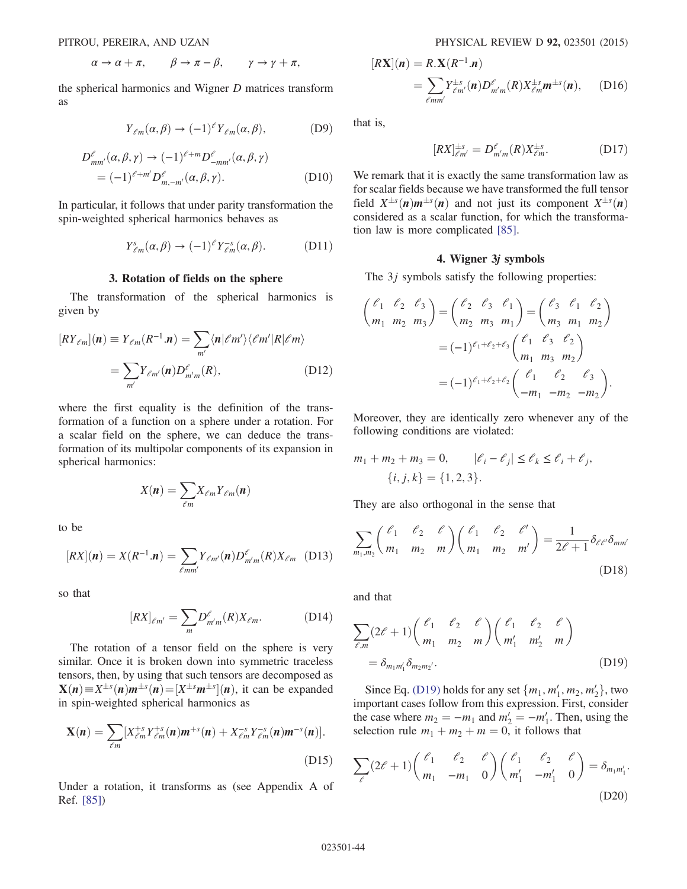$$
\alpha \to \alpha + \pi, \qquad \beta \to \pi - \beta, \qquad \gamma \to \gamma + \pi,
$$

the spherical harmonics and Wigner D matrices transform as

$$
Y_{\ell m}(\alpha,\beta) \to (-1)^{\ell} Y_{\ell m}(\alpha,\beta), \tag{D9}
$$

$$
D_{mm'}^{\ell}(\alpha,\beta,\gamma) \to (-1)^{\ell+m} D_{mm'}^{\ell}(\alpha,\beta,\gamma)
$$
  
=  $(-1)^{\ell+m'} D_{m,-m'}^{\ell}(\alpha,\beta,\gamma)$ . (D10)

In particular, it follows that under parity transformation the spin-weighted spherical harmonics behaves as

$$
Y_{\ell m}^s(\alpha,\beta) \to (-1)^\ell Y_{\ell m}^{-s}(\alpha,\beta). \tag{D11}
$$

#### 3. Rotation of fields on the sphere

The transformation of the spherical harmonics is given by

$$
[RY_{\ell m}](n) \equiv Y_{\ell m}(R^{-1} \cdot n) = \sum_{m'} \langle n | \ell m' \rangle \langle \ell m' | R | \ell m \rangle
$$

$$
= \sum_{m'} Y_{\ell m'}(n) D_{m'm}^{\ell}(R), \tag{D12}
$$

where the first equality is the definition of the transformation of a function on a sphere under a rotation. For a scalar field on the sphere, we can deduce the transformation of its multipolar components of its expansion in spherical harmonics:

$$
X(\boldsymbol{n}) = \sum_{\ell m} X_{\ell m} Y_{\ell m}(\boldsymbol{n})
$$

to be

$$
[RX](\boldsymbol{n}) = X(R^{-1}.\boldsymbol{n}) = \sum_{\ell m m'} Y_{\ell m'}(\boldsymbol{n}) D_{m'm}^{\ell}(R) X_{\ell m} \quad (D13)
$$

so that

$$
[RX]_{\ell m'} = \sum_{m} D_{m'm}^{\ell}(R) X_{\ell m}.
$$
 (D14)

The rotation of a tensor field on the sphere is very similar. Once it is broken down into symmetric traceless tensors, then, by using that such tensors are decomposed as  $\mathbf{X}(n) \equiv X^{\pm s}(n) m^{\pm s}(n) = [X^{\pm s} m^{\pm s}(n),$  it can be expanded in spin-weighted spherical harmonics as

$$
\mathbf{X}(n) = \sum_{\ell m} [X_{\ell m}^{+s} Y_{\ell m}^{+s}(n) m^{+s}(n) + X_{\ell m}^{-s} Y_{\ell m}^{-s}(n) m^{-s}(n)].
$$
\n(D15)

Under a rotation, it transforms as (see Appendix A of Ref. [85])

$$
[R\mathbf{X}](n) = R \cdot \mathbf{X}(R^{-1} \cdot n)
$$
  
= 
$$
\sum_{\ell m m'} Y_{\ell m'}^{\pm s}(n) D_{m'm}^{\ell}(R) X_{\ell m}^{\pm s}(n), \qquad (D16)
$$

that is,

$$
[RX]_{\ell m'}^{\pm s} = D_{m'm}^{\ell}(R) X_{\ell m}^{\pm s}.
$$
 (D17)

We remark that it is exactly the same transformation law as for scalar fields because we have transformed the full tensor field  $X^{\pm s}(n)m^{\pm s}(n)$  and not just its component  $X^{\pm s}(n)$ considered as a scalar function, for which the transformation law is more complicated [85].

# 4. Wigner 3j symbols

The  $3j$  symbols satisfy the following properties:

$$
\begin{pmatrix} \ell_1 & \ell_2 & \ell_3 \\ m_1 & m_2 & m_3 \end{pmatrix} = \begin{pmatrix} \ell_2 & \ell_3 & \ell_1 \\ m_2 & m_3 & m_1 \end{pmatrix} = \begin{pmatrix} \ell_3 & \ell_1 & \ell_2 \\ m_3 & m_1 & m_2 \end{pmatrix}
$$

$$
= (-1)^{\ell_1 + \ell_2 + \ell_3} \begin{pmatrix} \ell_1 & \ell_3 & \ell_2 \\ m_1 & m_3 & m_2 \end{pmatrix}
$$

$$
= (-1)^{\ell_1 + \ell_2 + \ell_2} \begin{pmatrix} \ell_1 & \ell_2 & \ell_3 \\ -m_1 & -m_2 & -m_2 \end{pmatrix}.
$$

Moreover, they are identically zero whenever any of the following conditions are violated:

$$
m_1 + m_2 + m_3 = 0, \qquad |\ell_i - \ell_j| \le \ell_k \le \ell_i + \ell_j,
$$
  
{*i, j, k*} = {1, 2, 3}.

They are also orthogonal in the sense that

$$
\sum_{m_1,m_2} \binom{\ell_1 \quad \ell_2 \quad \ell}{m_1 \quad m_2 \quad m} \binom{\ell_1 \quad \ell_2 \quad \ell'}{m_1 \quad m_2 \quad m'} = \frac{1}{2\ell+1} \delta_{\ell\ell'} \delta_{mm'}
$$
\n(D18)

and that

$$
\sum_{\ell,m} (2\ell+1) \binom{\ell_1}{m_1} \frac{\ell_2}{m_2} \frac{\ell}{m} \binom{\ell_1}{m'_1} \frac{\ell_2}{m'_2} \frac{\ell}{m}
$$
  
=  $\delta_{m_1 m'_1} \delta_{m_2 m_2'}.$  (D19)

Since Eq. (D19) holds for any set  $\{m_1, m'_1, m_2, m'_2\}$ , two portant cases follow from this expression. First, consider important cases follow from this expression. First, consider the case where  $m_2 = -m_1$  and  $m'_2 = -m'_1$ . Then, using the selection rule  $m_1 + m_2 + m_3 = 0$  it follows that selection rule  $m_1 + m_2 + m = 0$ , it follows that

$$
\sum_{\ell} (2\ell+1) \begin{pmatrix} \ell_1 & \ell_2 & \ell \\ m_1 & -m_1 & 0 \end{pmatrix} \begin{pmatrix} \ell_1 & \ell_2 & \ell \\ m'_1 & -m'_1 & 0 \end{pmatrix} = \delta_{m_1 m'_1}.
$$
\n(D20)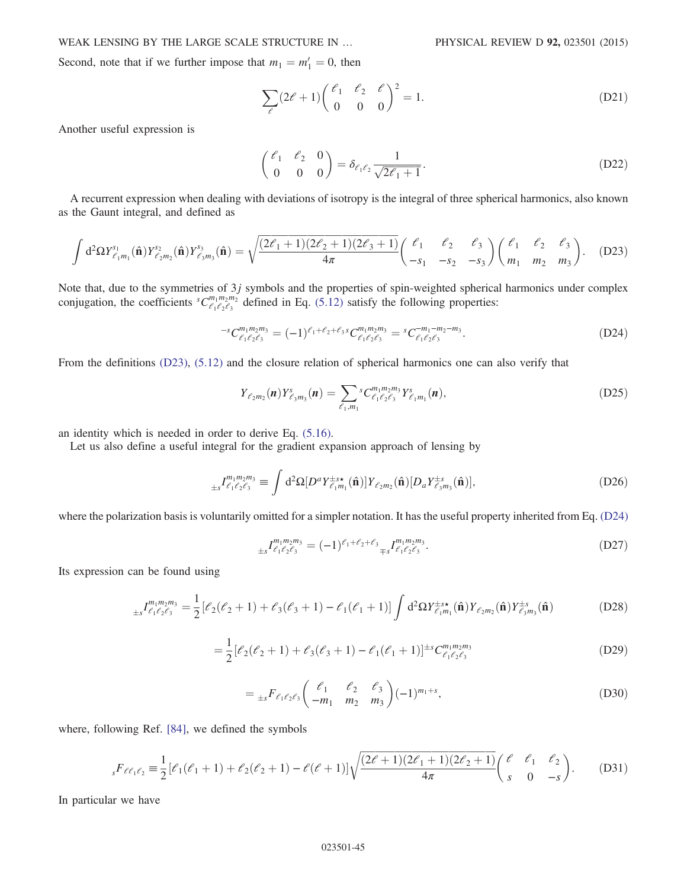Second, note that if we further impose that  $m_1 = m'_1 = 0$ , then

$$
\sum_{\ell} (2\ell + 1) \begin{pmatrix} \ell_1 & \ell_2 & \ell \\ 0 & 0 & 0 \end{pmatrix}^2 = 1.
$$
 (D21)

Another useful expression is

$$
\begin{pmatrix} \ell_1 & \ell_2 & 0 \\ 0 & 0 & 0 \end{pmatrix} = \delta_{\ell_1 \ell_2} \frac{1}{\sqrt{2\ell_1 + 1}}.
$$
 (D22)

A recurrent expression when dealing with deviations of isotropy is the integral of three spherical harmonics, also known as the Gaunt integral, and defined as

$$
\int d^2\Omega Y_{\ell_1 m_1}^{s_1}(\hat{\mathbf{n}}) Y_{\ell_2 m_2}^{s_2}(\hat{\mathbf{n}}) Y_{\ell_3 m_3}^{s_3}(\hat{\mathbf{n}}) = \sqrt{\frac{(2\ell_1 + 1)(2\ell_2 + 1)(2\ell_3 + 1)}{4\pi}} \begin{pmatrix} \ell_1 & \ell_2 & \ell_3 \\ -s_1 & -s_2 & -s_3 \end{pmatrix} \begin{pmatrix} \ell_1 & \ell_2 & \ell_3 \\ m_1 & m_2 & m_3 \end{pmatrix}.
$$
 (D23)

Note that, due to the symmetries of 3j symbols and the properties of spin-weighted spherical harmonics under complex conjugation, the coefficients  ${}^sC^{m_1m_2m_2}_{\ell_1\ell_2\ell_3}$  defined in Eq. (5.12) satisfy the following properties:

$$
{}^{-s}C_{\ell_1\ell_2\ell_3}^{m_1m_2m_3} = (-1)^{\ell_1+\ell_2+\ell_3s}C_{\ell_1\ell_2\ell_3}^{m_1m_2m_3} = {}^{s}C_{\ell_1\ell_2\ell_3}^{-m_1-m_2-m_3}.
$$
\n(D24)

From the definitions (D23), (5.12) and the closure relation of spherical harmonics one can also verify that

$$
Y_{\ell_2 m_2}(\boldsymbol{n}) Y_{\ell_3 m_3}^s(\boldsymbol{n}) = \sum_{\ell_1, m_1}^s C_{\ell_1 \ell_2 \ell_3}^{m_1 m_2 m_3} Y_{\ell_1 m_1}^s(\boldsymbol{n}), \tag{D25}
$$

an identity which is needed in order to derive Eq. (5.16).

Let us also define a useful integral for the gradient expansion approach of lensing by

$$
\_{\pm s} I^{m_1 m_2 m_3}_{\ell_1 \ell_2 \ell_3} \equiv \int d^2 \Omega [D^a Y^{\pm s \star}_{\ell_1 m_1}(\hat{\mathbf{n}})] Y_{\ell_2 m_2}(\hat{\mathbf{n}}) [D_a Y^{\pm s}_{\ell_3 m_3}(\hat{\mathbf{n}})], \tag{D26}
$$

where the polarization basis is voluntarily omitted for a simpler notation. It has the useful property inherited from Eq. (D24)

$$
\mathbf{L}_{s} I_{\ell_{1} \ell_{2} \ell_{3}}^{m_{1} m_{2} m_{3}} = (-1)^{\ell_{1} + \ell_{2} + \ell_{3}} \mathbf{F}_{\ell_{1} \ell_{2} \ell_{3}}^{m_{1} m_{2} m_{3}}.
$$
\n(D27)

Its expression can be found using

$$
I_{\pm s}^{m_1 m_2 m_3} = \frac{1}{2} [\ell_2 (\ell_2 + 1) + \ell_3 (\ell_3 + 1) - \ell_1 (\ell_1 + 1)] \int d^2 \Omega Y_{\ell_1 m_1}^{\pm s}(\hat{\mathbf{n}}) Y_{\ell_2 m_2}(\hat{\mathbf{n}}) Y_{\ell_3 m_3}^{\pm s}(\hat{\mathbf{n}})
$$
(D28)

$$
= \frac{1}{2} [\ell_2(\ell_2 + 1) + \ell_3(\ell_3 + 1) - \ell_1(\ell_1 + 1)]^{\pm s} C_{\ell_1 \ell_2 \ell_3}^{m_1 m_2 m_3}
$$
(D29)

$$
= {}_{\pm s}F_{\ell_1\ell_2\ell_3}\left(\begin{array}{cc} \ell_1 & \ell_2 & \ell_3 \\ -m_1 & m_2 & m_3 \end{array}\right)(-1)^{m_1+s}, \tag{D30}
$$

where, following Ref. [84], we defined the symbols

$$
{}_{s}F_{\ell\ell_{1}\ell_{2}} \equiv \frac{1}{2} [\ell_{1}(\ell_{1}+1) + \ell_{2}(\ell_{2}+1) - \ell(\ell+1)] \sqrt{\frac{(2\ell+1)(2\ell_{1}+1)(2\ell_{2}+1)}{4\pi}} \begin{pmatrix} \ell & \ell_{1} & \ell_{2} \\ s & 0 & -s \end{pmatrix} .
$$
 (D31)

In particular we have

#### 023501-45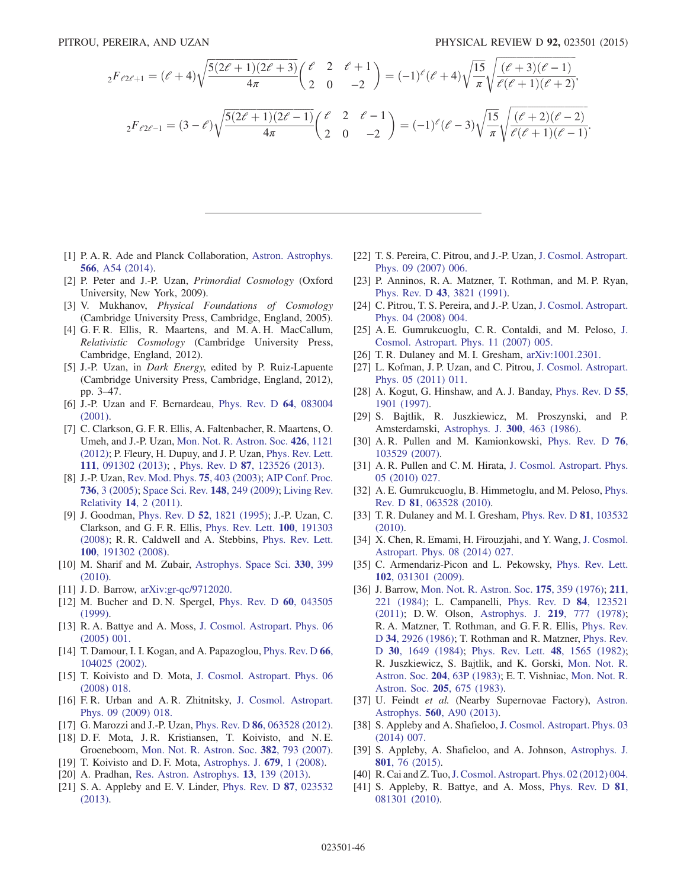$$
{}_{2}F_{\ell2\ell+1} = (\ell+4)\sqrt{\frac{5(2\ell+1)(2\ell+3)}{4\pi}} \left(\begin{array}{cc} \ell & 2 & \ell+1 \\ 2 & 0 & -2 \end{array}\right) = (-1)^{\ell}(\ell+4)\sqrt{\frac{15}{\pi}} \sqrt{\frac{(\ell+3)(\ell-1)}{\ell(\ell+1)(\ell+2)}},
$$

$$
{}_{2}F_{\ell2\ell-1} = (3-\ell)\sqrt{\frac{5(2\ell+1)(2\ell-1)}{4\pi}} \left(\begin{array}{cc} \ell & 2 & \ell-1 \\ 2 & 0 & -2 \end{array}\right) = (-1)^{\ell}(\ell-3)\sqrt{\frac{15}{\pi}} \sqrt{\frac{(\ell+2)(\ell-2)}{\ell(\ell+1)(\ell-1)}}.
$$

- [1] P. A. R. Ade and Planck Collaboration, [Astron. Astrophys.](http://dx.doi.org/10.1051/0004-6361/201323003) 566[, A54 \(2014\).](http://dx.doi.org/10.1051/0004-6361/201323003)
- [2] P. Peter and J.-P. Uzan, *Primordial Cosmology* (Oxford University, New York, 2009).
- [3] V. Mukhanov, *Physical Foundations of Cosmology* (Cambridge University Press, Cambridge, England, 2005).
- [4] G. F. R. Ellis, R. Maartens, and M. A. H. MacCallum, Relativistic Cosmology (Cambridge University Press, Cambridge, England, 2012).
- [5] J.-P. Uzan, in Dark Energy, edited by P. Ruiz-Lapuente (Cambridge University Press, Cambridge, England, 2012), pp. 3–47.
- [6] J.-P. Uzan and F. Bernardeau, [Phys. Rev. D](http://dx.doi.org/10.1103/PhysRevD.64.083004) 64, 083004 [\(2001\).](http://dx.doi.org/10.1103/PhysRevD.64.083004)
- [7] C. Clarkson, G. F. R. Ellis, A. Faltenbacher, R. Maartens, O. Umeh, and J.-P. Uzan, [Mon. Not. R. Astron. Soc.](http://dx.doi.org/10.1111/j.1365-2966.2012.21750.x) 426, 1121 [\(2012\);](http://dx.doi.org/10.1111/j.1365-2966.2012.21750.x) P. Fleury, H. Dupuy, and J. P. Uzan, [Phys. Rev. Lett.](http://dx.doi.org/10.1103/PhysRevLett.111.091302) 111[, 091302 \(2013\);](http://dx.doi.org/10.1103/PhysRevLett.111.091302) , Phys. Rev. D 87[, 123526 \(2013\)](http://dx.doi.org/10.1103/PhysRevD.87.123526).
- [8] J.-P. Uzan, [Rev. Mod. Phys.](http://dx.doi.org/10.1103/RevModPhys.75.403) 75, 403 (2003); [AIP Conf. Proc.](http://dx.doi.org/10.1063/1.1835171) 736[, 3 \(2005\);](http://dx.doi.org/10.1063/1.1835171) [Space Sci. Rev.](http://dx.doi.org/10.1007/s11214-009-9503-z) 148, 249 (2009); [Living Rev.](http://dx.doi.org/10.12942/lrr-2011-2) Relativity 14[, 2 \(2011\)](http://dx.doi.org/10.12942/lrr-2011-2).
- [9] J. Goodman, Phys. Rev. D 52[, 1821 \(1995\);](http://dx.doi.org/10.1103/PhysRevD.52.1821) J.-P. Uzan, C. Clarkson, and G. F. R. Ellis, [Phys. Rev. Lett.](http://dx.doi.org/10.1103/PhysRevLett.100.191303) 100, 191303 [\(2008\);](http://dx.doi.org/10.1103/PhysRevLett.100.191303) R. R. Caldwell and A. Stebbins, [Phys. Rev. Lett.](http://dx.doi.org/10.1103/PhysRevLett.100.191302) 100[, 191302 \(2008\).](http://dx.doi.org/10.1103/PhysRevLett.100.191302)
- [10] M. Sharif and M. Zubair, [Astrophys. Space Sci.](http://dx.doi.org/10.1007/s10509-010-0414-y) 330, 399 [\(2010\).](http://dx.doi.org/10.1007/s10509-010-0414-y)
- [11] J. D. Barrow, [arXiv:gr-qc/9712020.](http://arXiv.org/abs/gr-qc/9712020)
- [12] M. Bucher and D. N. Spergel, [Phys. Rev. D](http://dx.doi.org/10.1103/PhysRevD.60.043505) 60, 043505 [\(1999\).](http://dx.doi.org/10.1103/PhysRevD.60.043505)
- [13] R. A. Battye and A. Moss, [J. Cosmol. Astropart. Phys. 06](http://dx.doi.org/10.1088/1475-7516/2005/06/001) [\(2005\) 001.](http://dx.doi.org/10.1088/1475-7516/2005/06/001)
- [14] T. Damour, I. I. Kogan, and A. Papazoglou, [Phys. Rev. D](http://dx.doi.org/10.1103/PhysRevD.66.104025) 66, [104025 \(2002\).](http://dx.doi.org/10.1103/PhysRevD.66.104025)
- [15] T. Koivisto and D. Mota, [J. Cosmol. Astropart. Phys. 06](http://dx.doi.org/10.1088/1475-7516/2008/06/018) [\(2008\) 018.](http://dx.doi.org/10.1088/1475-7516/2008/06/018)
- [16] F.R. Urban and A.R. Zhitnitsky, [J. Cosmol. Astropart.](http://dx.doi.org/10.1088/1475-7516/2009/09/018) [Phys. 09 \(2009\) 018.](http://dx.doi.org/10.1088/1475-7516/2009/09/018)
- [17] G. Marozzi and J.-P. Uzan, *Phys. Rev. D* **86**[, 063528 \(2012\).](http://dx.doi.org/10.1103/PhysRevD.86.063528)
- [18] D. F. Mota, J. R. Kristiansen, T. Koivisto, and N. E. Groeneboom, [Mon. Not. R. Astron. Soc.](http://dx.doi.org/10.1111/j.1365-2966.2007.12413.x) 382, 793 (2007).
- [19] T. Koivisto and D. F. Mota, [Astrophys. J.](http://dx.doi.org/10.1086/587451) 679, 1 (2008).
- [20] A. Pradhan, [Res. Astron. Astrophys.](http://dx.doi.org/10.1088/1674-4527/13/2/002) 13, 139 (2013).
- [21] S. A. Appleby and E. V. Linder, [Phys. Rev. D](http://dx.doi.org/10.1103/PhysRevD.87.023532) 87, 023532 [\(2013\).](http://dx.doi.org/10.1103/PhysRevD.87.023532)
- [22] T. S. Pereira, C. Pitrou, and J.-P. Uzan, [J. Cosmol. Astropart.](http://dx.doi.org/10.1088/1475-7516/2007/09/006) [Phys. 09 \(2007\) 006.](http://dx.doi.org/10.1088/1475-7516/2007/09/006)
- [23] P. Anninos, R. A. Matzner, T. Rothman, and M. P. Ryan, Phys. Rev. D 43[, 3821 \(1991\).](http://dx.doi.org/10.1103/PhysRevD.43.3821)
- [24] C. Pitrou, T. S. Pereira, and J.-P. Uzan, [J. Cosmol. Astropart.](http://dx.doi.org/10.1088/1475-7516/2008/04/004) [Phys. 04 \(2008\) 004.](http://dx.doi.org/10.1088/1475-7516/2008/04/004)
- [25] A. E. Gumrukcuoglu, C. R. Contaldi, and M. Peloso, [J.](http://dx.doi.org/10.1088/1475-7516/2007/11/005) [Cosmol. Astropart. Phys. 11 \(2007\) 005.](http://dx.doi.org/10.1088/1475-7516/2007/11/005)
- [26] T. R. Dulaney and M. I. Gresham,  $arXiv:1001.2301$ .
- [27] L. Kofman, J. P. Uzan, and C. Pitrou, [J. Cosmol. Astropart.](http://dx.doi.org/10.1088/1475-7516/2011/05/011) [Phys. 05 \(2011\) 011.](http://dx.doi.org/10.1088/1475-7516/2011/05/011)
- [28] A. Kogut, G. Hinshaw, and A. J. Banday, [Phys. Rev. D](http://dx.doi.org/10.1103/PhysRevD.55.1901) 55, [1901 \(1997\)](http://dx.doi.org/10.1103/PhysRevD.55.1901).
- [29] S. Bajtlik, R. Juszkiewicz, M. Proszynski, and P. Amsterdamski, [Astrophys. J.](http://dx.doi.org/10.1086/163824) 300, 463 (1986).
- [30] A. R. Pullen and M. Kamionkowski, [Phys. Rev. D](http://dx.doi.org/10.1103/PhysRevD.76.103529) 76, [103529 \(2007\).](http://dx.doi.org/10.1103/PhysRevD.76.103529)
- [31] A. R. Pullen and C. M. Hirata, [J. Cosmol. Astropart. Phys.](http://dx.doi.org/10.1088/1475-7516/2010/05/027) [05 \(2010\) 027.](http://dx.doi.org/10.1088/1475-7516/2010/05/027)
- [32] A. E. Gumrukcuoglu, B. Himmetoglu, and M. Peloso, [Phys.](http://dx.doi.org/10.1103/PhysRevD.81.063528) Rev. D 81[, 063528 \(2010\)](http://dx.doi.org/10.1103/PhysRevD.81.063528).
- [33] T. R. Dulaney and M. I. Gresham, [Phys. Rev. D](http://dx.doi.org/10.1103/PhysRevD.81.103532) **81**, 103532 [\(2010\).](http://dx.doi.org/10.1103/PhysRevD.81.103532)
- [34] X. Chen, R. Emami, H. Firouzjahi, and Y. Wang, [J. Cosmol.](http://dx.doi.org/10.1088/1475-7516/2014/08/027) [Astropart. Phys. 08 \(2014\) 027.](http://dx.doi.org/10.1088/1475-7516/2014/08/027)
- [35] C. Armendariz-Picon and L. Pekowsky, [Phys. Rev. Lett.](http://dx.doi.org/10.1103/PhysRevLett.102.031301) 102[, 031301 \(2009\).](http://dx.doi.org/10.1103/PhysRevLett.102.031301)
- [36] J. Barrow, [Mon. Not. R. Astron. Soc.](http://dx.doi.org/10.1093/mnras/175.2.359) 175, 359 (1976); [211](http://dx.doi.org/10.1093/mnras/211.2.221), [221 \(1984\);](http://dx.doi.org/10.1093/mnras/211.2.221) L. Campanelli, [Phys. Rev. D](http://dx.doi.org/10.1103/PhysRevD.84.123521) 84, 123521 [\(2011\);](http://dx.doi.org/10.1103/PhysRevD.84.123521) D. W. Olson, Astrophys. J. 219[, 777 \(1978\)](http://dx.doi.org/10.1086/155838); R. A. Matzner, T. Rothman, and G. F. R. Ellis, [Phys. Rev.](http://dx.doi.org/10.1103/PhysRevD.34.2926) D 34[, 2926 \(1986\);](http://dx.doi.org/10.1103/PhysRevD.34.2926) T. Rothman and R. Matzner, [Phys. Rev.](http://dx.doi.org/10.1103/PhysRevD.30.1649) D 30[, 1649 \(1984\);](http://dx.doi.org/10.1103/PhysRevD.30.1649) [Phys. Rev. Lett.](http://dx.doi.org/10.1103/PhysRevLett.48.1565) 48, 1565 (1982); R. Juszkiewicz, S. Bajtlik, and K. Gorski, [Mon. Not. R.](http://dx.doi.org/10.1093/mnras/204.1.63P) Astron. Soc. 204[, 63P \(1983\)](http://dx.doi.org/10.1093/mnras/204.1.63P); E. T. Vishniac, [Mon. Not. R.](http://dx.doi.org/10.1093/mnras/205.3.675) Astron. Soc. 205[, 675 \(1983\).](http://dx.doi.org/10.1093/mnras/205.3.675)
- [37] U. Feindt et al. (Nearby Supernovae Factory), [Astron.](http://dx.doi.org/10.1051/0004-6361/201321880) Astrophys. 560[, A90 \(2013\)](http://dx.doi.org/10.1051/0004-6361/201321880).
- [38] S. Appleby and A. Shafieloo, [J. Cosmol. Astropart. Phys. 03](http://dx.doi.org/10.1088/1475-7516/2014/03/007) [\(2014\) 007.](http://dx.doi.org/10.1088/1475-7516/2014/03/007)
- [39] S. Appleby, A. Shafieloo, and A. Johnson, [Astrophys. J.](http://dx.doi.org/10.1088/0004-637X/801/2/76) 801[, 76 \(2015\).](http://dx.doi.org/10.1088/0004-637X/801/2/76)
- [40] R. Cai and Z. Tuo, [J. Cosmol. Astropart. Phys. 02 \(2012\) 004.](http://dx.doi.org/10.1088/1475-7516/2012/02/004)
- [41] S. Appleby, R. Battye, and A. Moss, [Phys. Rev. D](http://dx.doi.org/10.1103/PhysRevD.81.081301) 81, [081301 \(2010\).](http://dx.doi.org/10.1103/PhysRevD.81.081301)